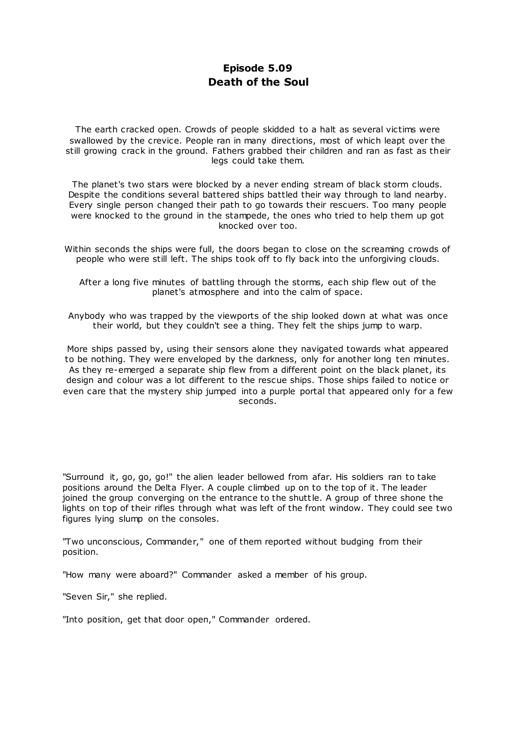# **Episode 5.09 Death of the Soul**

The earth cracked open. Crowds of people skidded to a halt as several victims were swallowed by the crevice. People ran in many directions, most of which leapt over the still growing crack in the ground. Fathers grabbed their children and ran as fast as their legs could take them.

The planet's two stars were blocked by a never ending stream of black storm clouds. Despite the conditions several battered ships battled their way through to land nearby. Every single person changed their path to go towards their rescuers. Too many people were knocked to the ground in the stampede, the ones who tried to help them up got knocked over too.

Within seconds the ships were full, the doors began to close on the screaming crowds of people who were still left. The ships took off to fly back into the unforgiving clouds.

After a long five minutes of battling through the storms, each ship flew out of the planet's atmosphere and into the calm of space.

Anybody who was trapped by the viewports of the ship looked down at what was once their world, but they couldn't see a thing. They felt the ships jump to warp.

More ships passed by, using their sensors alone they navigated towards what appeared to be nothing. They were enveloped by the darkness, only for another long ten minutes. As they re-emerged a separate ship flew from a different point on the black planet, its design and colour was a lot different to the rescue ships. Those ships failed to notice or even care that the mystery ship jumped into a purple portal that appeared only for a few seconds.

"Surround it, go, go, go!" the alien leader bellowed from afar. His soldiers ran to take positions around the Delta Flyer. A couple climbed up on to the top of it. The leader joined the group converging on the entrance to the shuttle. A group of three shone the lights on top of their rifles through what was left of the front window. They could see two figures lying slump on the consoles.

"Two unconscious, Commander," one of them reported without budging from their position.

"How many were aboard?" Commander asked a member of his group.

"Seven Sir," she replied.

"Into position, get that door open," Commander ordered.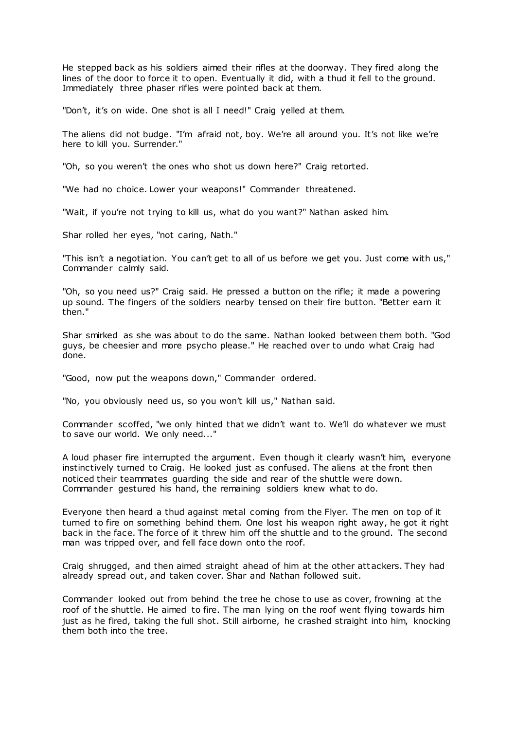He stepped back as his soldiers aimed their rifles at the doorway. They fired along the lines of the door to force it to open. Eventually it did, with a thud it fell to the ground. Immediately three phaser rifles were pointed back at them.

"Don't, it's on wide. One shot is all I need!" Craig yelled at them.

The aliens did not budge. "I'm afraid not, boy. We're all around you. It's not like we're here to kill you. Surrender."

"Oh, so you weren't the ones who shot us down here?" Craig retorted.

"We had no choice. Lower your weapons!" Commander threatened.

"Wait, if you're not trying to kill us, what do you want?" Nathan asked him.

Shar rolled her eyes, "not caring, Nath."

"This isn't a negotiation. You can't get to all of us before we get you. Just come with us," Commander calmly said.

"Oh, so you need us?" Craig said. He pressed a button on the rifle; it made a powering up sound. The fingers of the soldiers nearby tensed on their fire button. "Better earn it then."

Shar smirked as she was about to do the same. Nathan looked between them both. "God guys, be cheesier and more psycho please." He reached over to undo what Craig had done.

"Good, now put the weapons down," Commander ordered.

"No, you obviously need us, so you won't kill us," Nathan said.

Commander scoffed, "we only hinted that we didn't want to. We'll do whatever we must to save our world. We only need..."

A loud phaser fire interrupted the argument. Even though it clearly wasn't him, everyone instinctively turned to Craig. He looked just as confused. The aliens at the front then noticed their teammates guarding the side and rear of the shuttle were down. Commander gestured his hand, the remaining soldiers knew what to do.

Everyone then heard a thud against metal coming from the Flyer. The men on top of it turned to fire on something behind them. One lost his weapon right away, he got it right back in the face. The force of it threw him off the shuttle and to the ground. The second man was tripped over, and fell face down onto the roof.

Craig shrugged, and then aimed straight ahead of him at the other att ackers. They had already spread out, and taken cover. Shar and Nathan followed suit.

Commander looked out from behind the tree he chose to use as cover, frowning at the roof of the shuttle. He aimed to fire. The man lying on the roof went flying towards him just as he fired, taking the full shot. Still airborne, he crashed straight into him, knocking them both into the tree.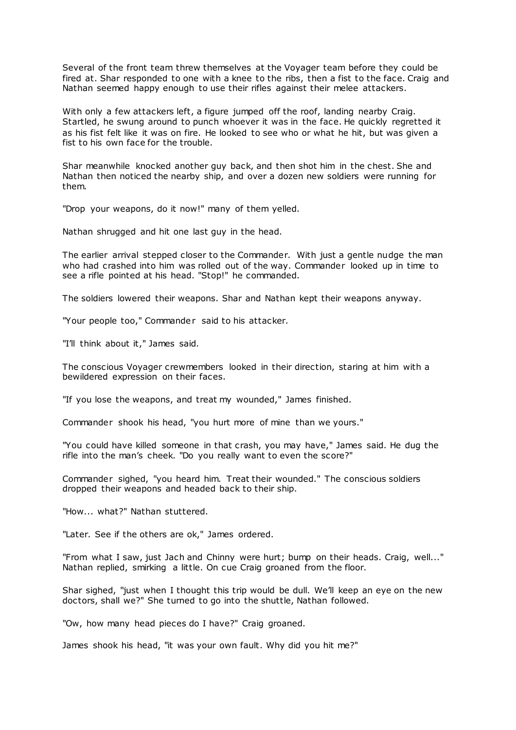Several of the front team threw themselves at the Voyager team before they could be fired at. Shar responded to one with a knee to the ribs, then a fist to the face. Craig and Nathan seemed happy enough to use their rifles against their melee attackers.

With only a few attackers left, a figure jumped off the roof, landing nearby Craig. Startled, he swung around to punch whoever it was in the face. He quickly regretted it as his fist felt like it was on fire. He looked to see who or what he hit, but was given a fist to his own face for the trouble.

Shar meanwhile knocked another guy back, and then shot him in the chest. She and Nathan then noticed the nearby ship, and over a dozen new soldiers were running for them.

"Drop your weapons, do it now!" many of them yelled.

Nathan shrugged and hit one last guy in the head.

The earlier arrival stepped closer to the Commander. With just a gentle nudge the man who had crashed into him was rolled out of the way. Commander looked up in time to see a rifle pointed at his head. "Stop!" he commanded.

The soldiers lowered their weapons. Shar and Nathan kept their weapons anyway.

"Your people too," Commander said to his attacker.

"I'll think about it," James said.

The conscious Voyager crewmembers looked in their direction, staring at him with a bewildered expression on their faces.

"If you lose the weapons, and treat my wounded," James finished.

Commander shook his head, "you hurt more of mine than we yours."

"You could have killed someone in that crash, you may have," James said. He dug the rifle into the man's cheek. "Do you really want to even the score?"

Commander sighed, "you heard him. Treat their wounded." The conscious soldiers dropped their weapons and headed back to their ship.

"How... what?" Nathan stuttered.

"Later. See if the others are ok," James ordered.

"From what I saw, just Jach and Chinny were hurt; bump on their heads. Craig, well..." Nathan replied, smirking a little. On cue Craig groaned from the floor.

Shar sighed, "just when I thought this trip would be dull. We'll keep an eye on the new doctors, shall we?" She turned to go into the shuttle, Nathan followed.

"Ow, how many head pieces do I have?" Craig groaned.

James shook his head, "it was your own fault. Why did you hit me?"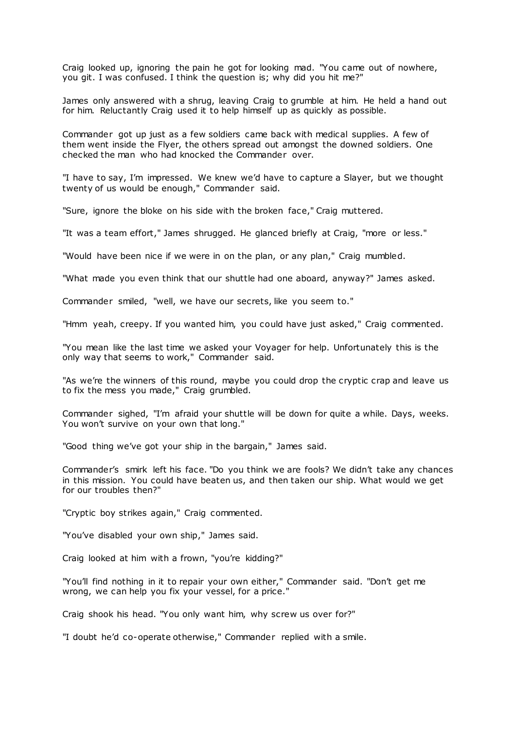Craig looked up, ignoring the pain he got for looking mad. "You came out of nowhere, you git. I was confused. I think the question is; why did you hit me?"

James only answered with a shrug, leaving Craig to grumble at him. He held a hand out for him. Reluctantly Craig used it to help himself up as quickly as possible.

Commander got up just as a few soldiers came back with medical supplies. A few of them went inside the Flyer, the others spread out amongst the downed soldiers. One checked the man who had knocked the Commander over.

"I have to say, I'm impressed. We knew we'd have to capture a Slayer, but we thought twenty of us would be enough," Commander said.

"Sure, ignore the bloke on his side with the broken face," Craig muttered.

"It was a team effort," James shrugged. He glanced briefly at Craig, "more or less."

"Would have been nice if we were in on the plan, or any plan," Craig mumbled.

"What made you even think that our shuttle had one aboard, anyway?" James asked.

Commander smiled, "well, we have our secrets, like you seem to."

"Hmm yeah, creepy. If you wanted him, you could have just asked," Craig commented.

"You mean like the last time we asked your Voyager for help. Unfortunately this is the only way that seems to work," Commander said.

"As we're the winners of this round, maybe you could drop the cryptic crap and leave us to fix the mess you made," Craig grumbled.

Commander sighed, "I'm afraid your shuttle will be down for quite a while. Days, weeks. You won't survive on your own that long."

"Good thing we've got your ship in the bargain," James said.

Commander's smirk left his face. "Do you think we are fools? We didn't take any chances in this mission. You could have beaten us, and then taken our ship. What would we get for our troubles then?"

"Cryptic boy strikes again," Craig commented.

"You've disabled your own ship," James said.

Craig looked at him with a frown, "you're kidding?"

"You'll find nothing in it to repair your own either," Commander said. "Don't get me wrong, we can help you fix your vessel, for a price."

Craig shook his head. "You only want him, why screw us over for?"

"I doubt he'd co-operate otherwise," Commander replied with a smile.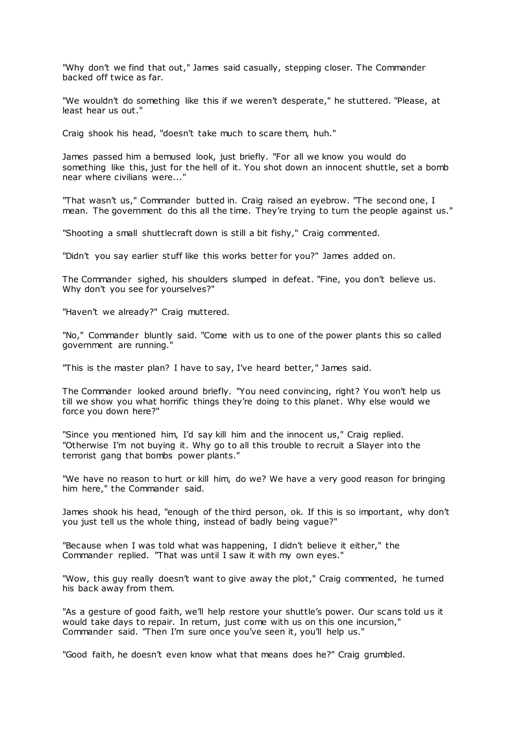"Why don't we find that out," James said casually, stepping closer. The Commander backed off twice as far.

"We wouldn't do something like this if we weren't desperate," he stuttered. "Please, at least hear us out."

Craig shook his head, "doesn't take much to scare them, huh."

James passed him a bemused look, just briefly. "For all we know you would do something like this, just for the hell of it. You shot down an innocent shuttle, set a bomb near where civilians were..."

"That wasn't us," Commander butted in. Craig raised an eyebrow. "The second one, I mean. The government do this all the time. They're trying to turn the people against us."

"Shooting a small shuttlecraft down is still a bit fishy," Craig commented.

"Didn't you say earlier stuff like this works better for you?" James added on.

The Commander sighed, his shoulders slumped in defeat. "Fine, you don't believe us. Why don't you see for yourselves?"

"Haven't we already?" Craig muttered.

"No," Commander bluntly said. "Come with us to one of the power plants this so called government are running."

"This is the master plan? I have to say, I've heard better," James said.

The Commander looked around briefly. "You need convincing, right? You won't help us till we show you what horrific things they're doing to this planet. Why else would we force you down here?"

"Since you mentioned him, I'd say kill him and the innocent us," Craig replied. "Otherwise I'm not buying it. Why go to all this trouble to recruit a Slayer into the terrorist gang that bombs power plants."

"We have no reason to hurt or kill him, do we? We have a very good reason for bringing him here," the Commander said.

James shook his head, "enough of the third person, ok. If this is so important, why don't you just tell us the whole thing, instead of badly being vague?"

"Because when I was told what was happening, I didn't believe it either," the Commander replied. "That was until I saw it with my own eyes."

"Wow, this guy really doesn't want to give away the plot," Craig commented, he turned his back away from them.

"As a gesture of good faith, we'll help restore your shuttle's power. Our scans told us it would take days to repair. In return, just come with us on this one incursion," Commander said. "Then I'm sure once you've seen it, you'll help us."

"Good faith, he doesn't even know what that means does he?" Craig grumbled.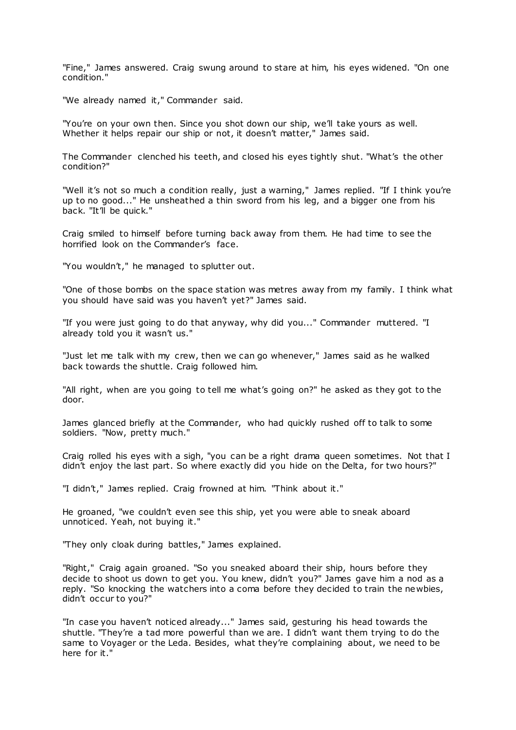"Fine," James answered. Craig swung around to stare at him, his eyes widened. "On one condition."

"We already named it," Commander said.

"You're on your own then. Since you shot down our ship, we'll take yours as well. Whether it helps repair our ship or not, it doesn't matter," James said.

The Commander clenched his teeth, and closed his eyes tightly shut. "What's the other condition?"

"Well it's not so much a condition really, just a warning," James replied. "If I think you're up to no good..." He unsheathed a thin sword from his leg, and a bigger one from his back. "It'll be quick."

Craig smiled to himself before turning back away from them. He had time to see the horrified look on the Commander's face.

"You wouldn't," he managed to splutter out.

"One of those bombs on the space station was metres away from my family. I think what you should have said was you haven't yet?" James said.

"If you were just going to do that anyway, why did you..." Commander muttered. "I already told you it wasn't us."

"Just let me talk with my crew, then we can go whenever," James said as he walked back towards the shuttle. Craig followed him.

"All right, when are you going to tell me what's going on?" he asked as they got to the door.

James glanced briefly at the Commander, who had quickly rushed off to talk to some soldiers. "Now, pretty much."

Craig rolled his eyes with a sigh, "you can be a right drama queen sometimes. Not that I didn't enjoy the last part. So where exactly did you hide on the Delta, for two hours?"

"I didn't," James replied. Craig frowned at him. "Think about it."

He groaned, "we couldn't even see this ship, yet you were able to sneak aboard unnoticed. Yeah, not buying it."

"They only cloak during battles," James explained.

"Right," Craig again groaned. "So you sneaked aboard their ship, hours before they decide to shoot us down to get you. You knew, didn't you?" James gave him a nod as a reply. "So knocking the watchers into a coma before they decided to train the newbies, didn't occur to you?"

"In case you haven't noticed already..." James said, gesturing his head towards the shuttle. "They're a tad more powerful than we are. I didn't want them trying to do the same to Voyager or the Leda. Besides, what they're complaining about, we need to be here for it."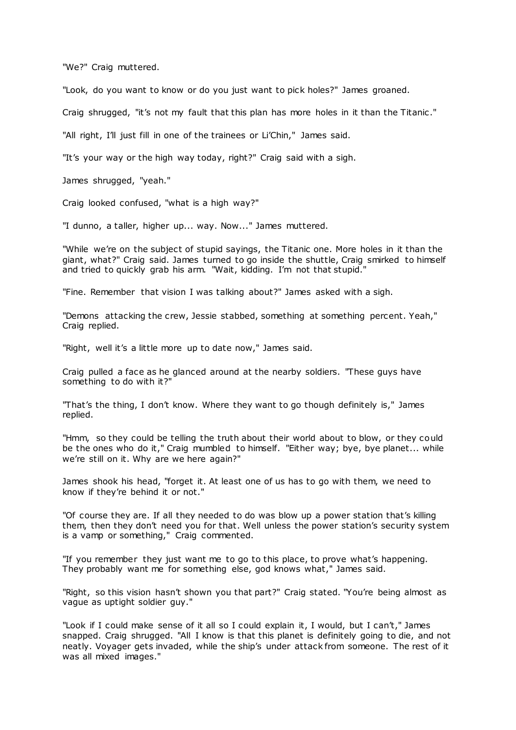"We?" Craig muttered.

"Look, do you want to know or do you just want to pick holes?" James groaned.

Craig shrugged, "it's not my fault that this plan has more holes in it than the Titanic ."

"All right, I'll just fill in one of the trainees or Li'Chin," James said.

"It's your way or the high way today, right?" Craig said with a sigh.

James shrugged, "yeah."

Craig looked confused, "what is a high way?"

"I dunno, a taller, higher up... way. Now..." James muttered.

"While we're on the subject of stupid sayings, the Titanic one. More holes in it than the giant, what?" Craig said. James turned to go inside the shuttle, Craig smirked to himself and tried to quickly grab his arm. "Wait, kidding. I'm not that stupid."

"Fine. Remember that vision I was talking about?" James asked with a sigh.

"Demons attacking the crew, Jessie stabbed, something at something percent. Yeah," Craig replied.

"Right, well it's a little more up to date now," James said.

Craig pulled a face as he glanced around at the nearby soldiers. "These guys have something to do with it?"

"That's the thing, I don't know. Where they want to go though definitely is," James replied.

"Hmm, so they could be telling the truth about their world about to blow, or they could be the ones who do it," Craig mumbled to himself. "Either way; bye, bye planet... while we're still on it. Why are we here again?"

James shook his head, "forget it. At least one of us has to go with them, we need to know if they're behind it or not."

"Of course they are. If all they needed to do was blow up a power station that's killing them, then they don't need you for that. Well unless the power station's security system is a vamp or something," Craig commented.

"If you remember they just want me to go to this place, to prove what's happening. They probably want me for something else, god knows what," James said.

"Right, so this vision hasn't shown you that part?" Craig stated. "You're being almost as vague as uptight soldier guy."

"Look if I could make sense of it all so I could explain it, I would, but I can't," James snapped. Craig shrugged. "All I know is that this planet is definitely going to die, and not neatly. Voyager gets invaded, while the ship's under attack from someone. The rest of it was all mixed images."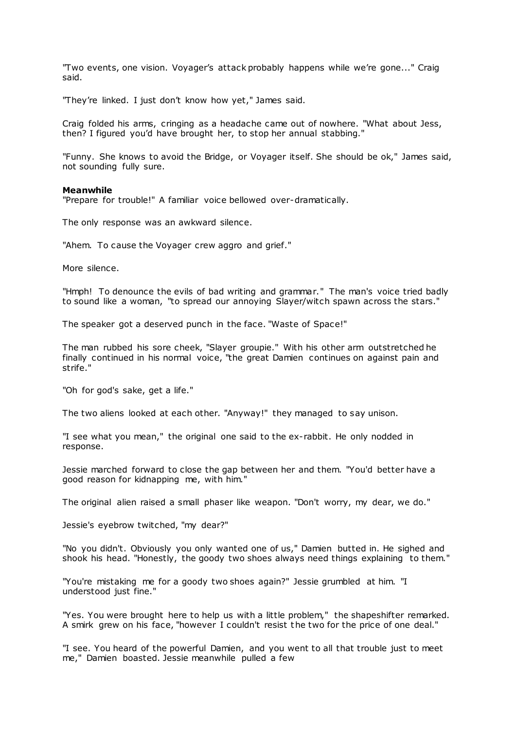"Two events, one vision. Voyager's attack probably happens while we're gone..." Craig said.

"They're linked. I just don't know how yet," James said.

Craig folded his arms, cringing as a headache came out of nowhere. "What about Jess, then? I figured you'd have brought her, to stop her annual stabbing."

"Funny. She knows to avoid the Bridge, or Voyager itself. She should be ok," James said, not sounding fully sure.

# **Meanwhile**

"Prepare for trouble!" A familiar voice bellowed over-dramatically.

The only response was an awkward silence.

"Ahem. To cause the Vovager crew aggro and grief."

More silence.

"Hmph! To denounce the evils of bad writing and grammar." The man's voice tried badly to sound like a woman, "to spread our annoying Slayer/witch spawn across the stars."

The speaker got a deserved punch in the face. "Waste of Space!"

The man rubbed his sore cheek, "Slayer groupie." With his other arm outstretched he finally continued in his normal voice, "the great Damien continues on against pain and strife."

"Oh for god's sake, get a life."

The two aliens looked at each other. "Anyway!" they managed to say unison.

"I see what you mean," the original one said to the ex-rabbit. He only nodded in response.

Jessie marched forward to close the gap between her and them. "You'd better have a good reason for kidnapping me, with him."

The original alien raised a small phaser like weapon. "Don't worry, my dear, we do."

Jessie's eyebrow twitched, "my dear?"

"No you didn't. Obviously you only wanted one of us," Damien butted in. He sighed and shook his head. "Honestly, the goody two shoes always need things explaining to them."

"You're mistaking me for a goody two shoes again?" Jessie grumbled at him. "I understood just fine."

"Yes. You were brought here to help us with a little problem," the shapeshifter remarked. A smirk grew on his face, "however I couldn't resist the two for the price of one deal."

"I see. You heard of the powerful Damien, and you went to all that trouble just to meet me," Damien boasted. Jessie meanwhile pulled a few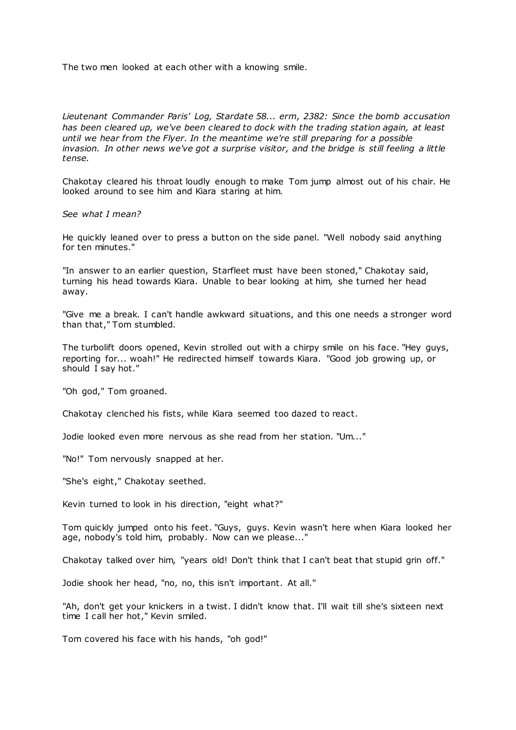The two men looked at each other with a knowing smile.

*Lieutenant Commander Paris' Log, Stardate 58... erm, 2382: Since the bomb accusation has been cleared up, we've been cleared to dock with the trading station again, at least until we hear from the Flyer. In the meantime we're still preparing for a possible invasion. In other news we've got a surprise visitor, and the bridge is still feeling a little tense.*

Chakotay cleared his throat loudly enough to make Tom jump almost out of his chair. He looked around to see him and Kiara staring at him.

*See what I mean?*

He quickly leaned over to press a button on the side panel. "Well nobody said anything for ten minutes."

"In answer to an earlier question, Starfleet must have been stoned," Chakotay said, turning his head towards Kiara. Unable to bear looking at him, she turned her head away.

"Give me a break. I can't handle awkward situations, and this one needs a stronger word than that," Tom stumbled.

The turbolift doors opened, Kevin strolled out with a chirpy smile on his face. "Hey guys, reporting for... woah!" He redirected himself towards Kiara. "Good job growing up, or should I say hot."

"Oh god," Tom groaned.

Chakotay clenched his fists, while Kiara seemed too dazed to react.

Jodie looked even more nervous as she read from her station. "Um..."

"No!" Tom nervously snapped at her.

"She's eight," Chakotay seethed.

Kevin turned to look in his direction, "eight what?"

Tom quickly jumped onto his feet. "Guys, guys. Kevin wasn't here when Kiara looked her age, nobody's told him, probably. Now can we please..."

Chakotay talked over him, "years old! Don't think that I can't beat that stupid grin off."

Jodie shook her head, "no, no, this isn't important. At all."

"Ah, don't get your knickers in a twist. I didn't know that. I'll wait till she's sixteen next time I call her hot," Kevin smiled.

Tom covered his face with his hands, "oh god!"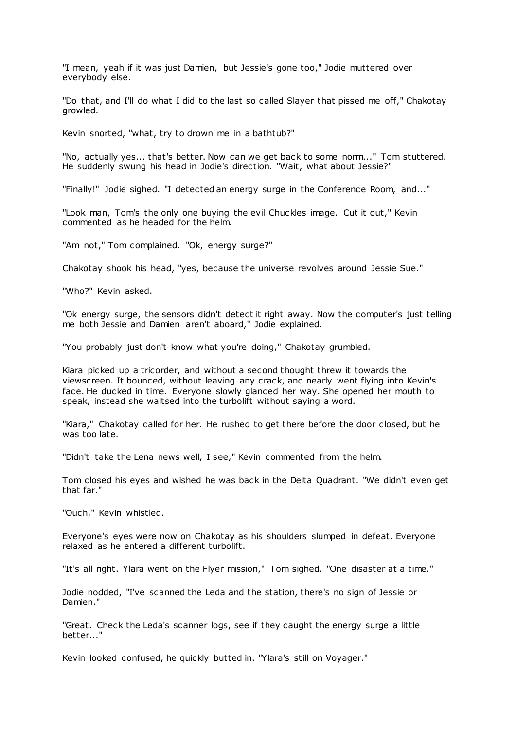"I mean, yeah if it was just Damien, but Jessie's gone too," Jodie muttered over everybody else.

"Do that, and I'll do what I did to the last so called Slayer that pissed me off," Chakotay growled.

Kevin snorted, "what, try to drown me in a bathtub?"

"No, actually yes... that's better. Now can we get back to some norm..." Tom stuttered. He suddenly swung his head in Jodie's direction. "Wait, what about Jessie?"

"Finally!" Jodie sighed. "I detected an energy surge in the Conference Room, and..."

"Look man, Tom's the only one buying the evil Chuckles image. Cut it out," Kevin commented as he headed for the helm.

"Am not," Tom complained. "Ok, energy surge?"

Chakotay shook his head, "yes, because the universe revolves around Jessie Sue."

"Who?" Kevin asked.

"Ok energy surge, the sensors didn't detect it right away. Now the computer's just telling me both Jessie and Damien aren't aboard," Jodie explained.

"You probably just don't know what you're doing," Chakotay grumbled.

Kiara picked up a tricorder, and without a second thought threw it towards the viewscreen. It bounced, without leaving any crack, and nearly went flying into Kevin's face. He ducked in time. Everyone slowly glanced her way. She opened her mouth to speak, instead she waltsed into the turbolift without saying a word.

"Kiara," Chakotay called for her. He rushed to get there before the door closed, but he was too late.

"Didn't take the Lena news well, I see," Kevin commented from the helm.

Tom closed his eyes and wished he was back in the Delta Quadrant. "We didn't even get that far."

"Ouch," Kevin whistled.

Everyone's eyes were now on Chakotay as his shoulders slumped in defeat. Everyone relaxed as he entered a different turbolift.

"It's all right. Ylara went on the Flyer mission," Tom sighed. "One disaster at a time."

Jodie nodded, "I've scanned the Leda and the station, there's no sign of Jessie or Damien."

"Great. Check the Leda's scanner logs, see if they caught the energy surge a little better..."

Kevin looked confused, he quickly butted in. "Ylara's still on Voyager."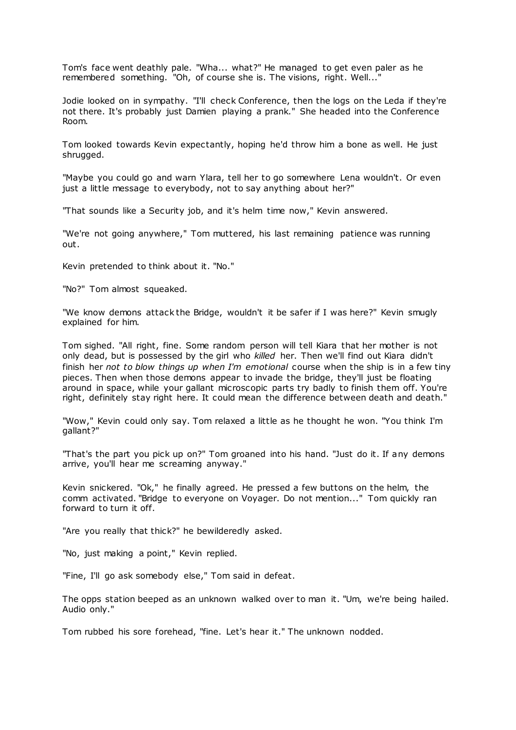Tom's face went deathly pale. "Wha... what?" He managed to get even paler as he remembered something. "Oh, of course she is. The visions, right. Well..."

Jodie looked on in sympathy. "I'll check Conference, then the logs on the Leda if they're not there. It's probably just Damien playing a prank." She headed into the Conference Room.

Tom looked towards Kevin expectantly, hoping he'd throw him a bone as well. He just shrugged.

"Maybe you could go and warn Ylara, tell her to go somewhere Lena wouldn't. Or even just a little message to everybody, not to say anything about her?"

"That sounds like a Security job, and it's helm time now," Kevin answered.

"We're not going anywhere," Tom muttered, his last remaining patience was running out.

Kevin pretended to think about it. "No."

"No?" Tom almost squeaked.

"We know demons attack the Bridge, wouldn't it be safer if I was here?" Kevin smugly explained for him.

Tom sighed. "All right, fine. Some random person will tell Kiara that her mother is not only dead, but is possessed by the girl who *killed* her. Then we'll find out Kiara didn't finish her *not to blow things up when I'm emotional* course when the ship is in a few tiny pieces. Then when those demons appear to invade the bridge, they'll just be floating around in space, while your gallant microscopic parts try badly to finish them off. You're right, definitely stay right here. It could mean the difference between death and death."

"Wow," Kevin could only say. Tom relaxed a little as he thought he won. "You think I'm gallant?"

"That's the part you pick up on?" Tom groaned into his hand. "Just do it. If any demons arrive, you'll hear me screaming anyway."

Kevin snickered. "Ok," he finally agreed. He pressed a few buttons on the helm, the comm activated. "Bridge to everyone on Voyager. Do not mention..." Tom quickly ran forward to turn it off.

"Are you really that thick?" he bewilderedly asked.

"No, just making a point," Kevin replied.

"Fine, I'll go ask somebody else," Tom said in defeat.

The opps station beeped as an unknown walked over to man it. "Um, we're being hailed. Audio only."

Tom rubbed his sore forehead, "fine. Let's hear it." The unknown nodded.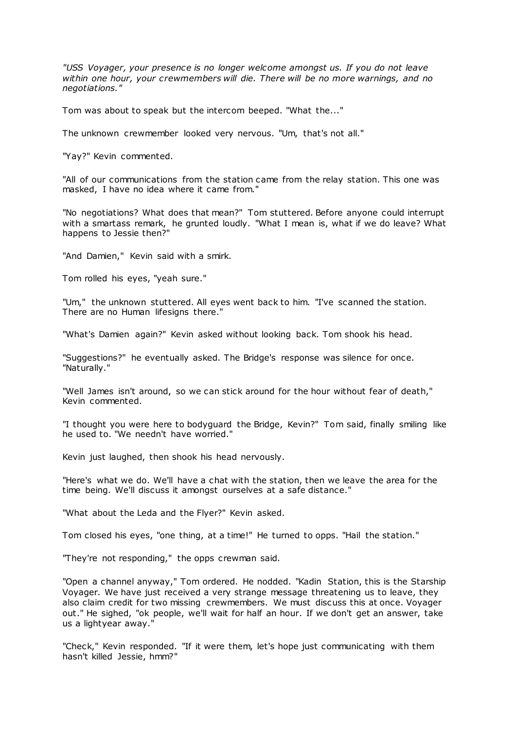*"USS Voyager, your presence is no longer welcome amongst us. If you do not leave within one hour, your crewmembers will die. There will be no more warnings, and no negotiations."*

Tom was about to speak but the intercom beeped. "What the..."

The unknown crewmember looked very nervous. "Um, that's not all."

"Yay?" Kevin commented.

"All of our communications from the station came from the relay station. This one was masked, I have no idea where it came from."

"No negotiations? What does that mean?" Tom stuttered. Before anyone could interrupt with a smartass remark, he grunted loudly. "What I mean is, what if we do leave? What happens to Jessie then?"

"And Damien," Kevin said with a smirk.

Tom rolled his eyes, "yeah sure."

"Um," the unknown stuttered. All eyes went back to him. "I've scanned the station. There are no Human lifesigns there."

"What's Damien again?" Kevin asked without looking back. Tom shook his head.

"Suggestions?" he eventually asked. The Bridge's response was silence for once. "Naturally."

"Well James isn't around, so we can stick around for the hour without fear of death," Kevin commented.

"I thought you were here to bodyguard the Bridge, Kevin?" Tom said, finally smiling like he used to. "We needn't have worried."

Kevin just laughed, then shook his head nervously.

"Here's what we do. We'll have a chat with the station, then we leave the area for the time being. We'll discuss it amongst ourselves at a safe distance."

"What about the Leda and the Flyer?" Kevin asked.

Tom closed his eyes, "one thing, at a time!" He turned to opps. "Hail the station."

"They're not responding," the opps crewman said.

"Open a channel anyway," Tom ordered. He nodded. "Kadin Station, this is the Starship Voyager. We have just received a very strange message threatening us to leave, they also claim credit for two missing crewmembers. We must discuss this at once. Voyager out." He sighed, "ok people, we'll wait for half an hour. If we don't get an answer, take us a lightyear away."

"Check," Kevin responded. "If it were them, let's hope just communicating with them hasn't killed Jessie, hmm?"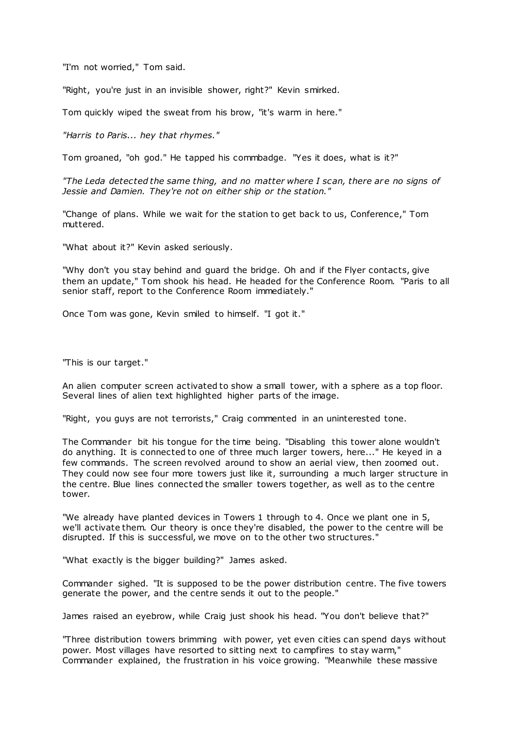"I'm not worried," Tom said.

"Right, you're just in an invisible shower, right?" Kevin smirked.

Tom quickly wiped the sweat from his brow, "it's warm in here."

*"Harris to Paris... hey that rhymes."*

Tom groaned, "oh god." He tapped his commbadge. "Yes it does, what is it?"

*"The Leda detected the same thing, and no matter where I scan, there are no signs of Jessie and Damien. They're not on either ship or the station."*

"Change of plans. While we wait for the station to get back to us, Conference," Tom muttered.

"What about it?" Kevin asked seriously.

"Why don't you stay behind and guard the bridge. Oh and if the Flyer contacts, give them an update," Tom shook his head. He headed for the Conference Room. "Paris to all senior staff, report to the Conference Room immediately."

Once Tom was gone, Kevin smiled to himself. "I got it."

"This is our target."

An alien computer screen activated to show a small tower, with a sphere as a top floor. Several lines of alien text highlighted higher parts of the image.

"Right, you guys are not terrorists," Craig commented in an uninterested tone.

The Commander bit his tongue for the time being. "Disabling this tower alone wouldn't do anything. It is connected to one of three much larger towers, here..." He keyed in a few commands. The screen revolved around to show an aerial view, then zoomed out. They could now see four more towers just like it, surrounding a much larger structure in the centre. Blue lines connected the smaller towers together, as well as to the centre tower.

"We already have planted devices in Towers 1 through to 4. Once we plant one in 5, we'll activate them. Our theory is once they're disabled, the power to the centre will be disrupted. If this is successful, we move on to the other two structures."

"What exactly is the bigger building?" James asked.

Commander sighed. "It is supposed to be the power distribution centre. The five towers generate the power, and the centre sends it out to the people."

James raised an eyebrow, while Craig just shook his head. "You don't believe that?"

"Three distribution towers brimming with power, yet even cities can spend days without power. Most villages have resorted to sitting next to campfires to stay warm," Commander explained, the frustration in his voice growing. "Meanwhile these massive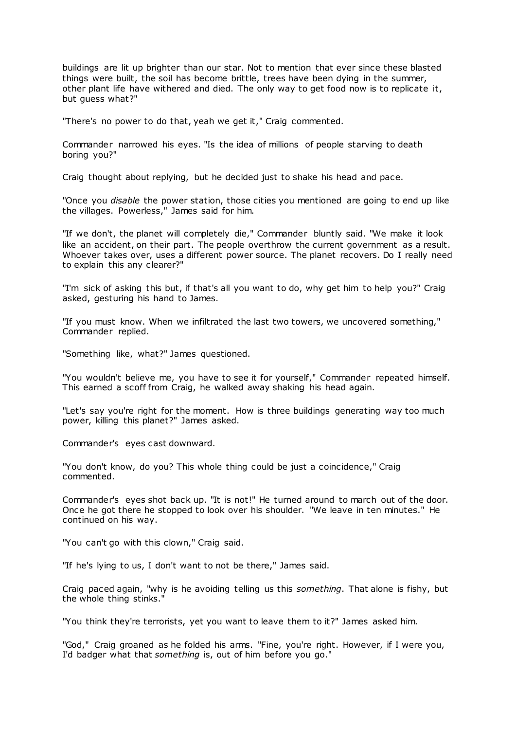buildings are lit up brighter than our star. Not to mention that ever since these blasted things were built, the soil has become brittle, trees have been dying in the summer, other plant life have withered and died. The only way to get food now is to replicate it, but guess what?"

"There's no power to do that, yeah we get it," Craig commented.

Commander narrowed his eyes. "Is the idea of millions of people starving to death boring you?"

Craig thought about replying, but he decided just to shake his head and pace.

"Once you *disable* the power station, those cities you mentioned are going to end up like the villages. Powerless," James said for him.

"If we don't, the planet will completely die," Commander bluntly said. "We make it look like an accident, on their part. The people overthrow the current government as a result. Whoever takes over, uses a different power source. The planet recovers. Do I really need to explain this any clearer?"

"I'm sick of asking this but, if that's all you want to do, why get him to help you?" Craig asked, gesturing his hand to James.

"If you must know. When we infiltrated the last two towers, we uncovered something," Commander replied.

"Something like, what?" James questioned.

"You wouldn't believe me, you have to see it for yourself," Commander repeated himself. This earned a scoff from Craig, he walked away shaking his head again.

"Let's say you're right for the moment. How is three buildings generating way too much power, killing this planet?" James asked.

Commander's eyes cast downward.

"You don't know, do you? This whole thing could be just a coincidence," Craig commented.

Commander's eyes shot back up. "It is not!" He turned around to march out of the door. Once he got there he stopped to look over his shoulder. "We leave in ten minutes." He continued on his way.

"You can't go with this clown," Craig said.

"If he's lying to us, I don't want to not be there," James said.

Craig paced again, "why is he avoiding telling us this *something*. That alone is fishy, but the whole thing stinks."

"You think they're terrorists, yet you want to leave them to it?" James asked him.

"God," Craig groaned as he folded his arms. "Fine, you're right. However, if I were you, I'd badger what that *something* is, out of him before you go."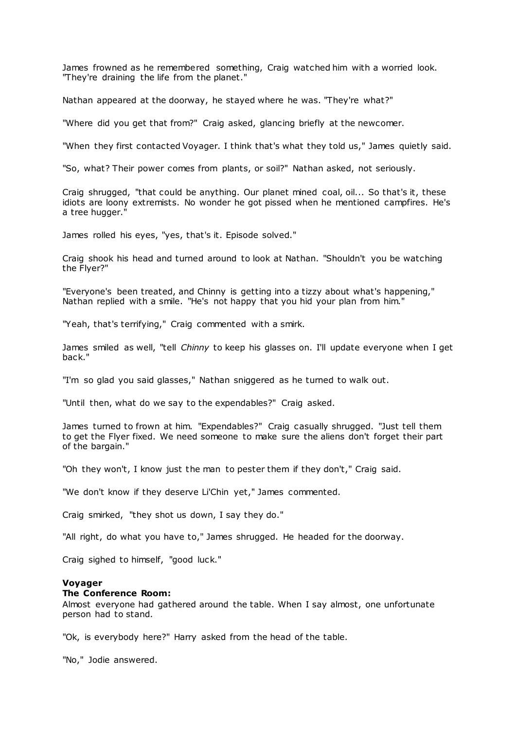James frowned as he remembered something, Craig watched him with a worried look. "They're draining the life from the planet."

Nathan appeared at the doorway, he stayed where he was. "They're what?"

"Where did you get that from?" Craig asked, glancing briefly at the newcomer.

"When they first contacted Voyager. I think that's what they told us," James quietly said.

"So, what? Their power comes from plants, or soil?" Nathan asked, not seriously.

Craig shrugged, "that could be anything. Our planet mined coal, oil... So that's it, these idiots are loony extremists. No wonder he got pissed when he mentioned campfires. He's a tree hugger."

James rolled his eyes, "yes, that's it. Episode solved."

Craig shook his head and turned around to look at Nathan. "Shouldn't you be watching the Flyer?"

"Everyone's been treated, and Chinny is getting into a tizzy about what's happening," Nathan replied with a smile. "He's not happy that you hid your plan from him."

"Yeah, that's terrifying," Craig commented with a smirk.

James smiled as well, "tell *Chinny* to keep his glasses on. I'll update everyone when I get back."

"I'm so glad you said glasses," Nathan sniggered as he turned to walk out.

"Until then, what do we say to the expendables?" Craig asked.

James turned to frown at him. "Expendables?" Craig casually shrugged. "Just tell them to get the Flyer fixed. We need someone to make sure the aliens don't forget their part of the bargain."

"Oh they won't, I know just the man to pester them if they don't," Craig said.

"We don't know if they deserve Li'Chin yet," James commented.

Craig smirked, "they shot us down, I say they do."

"All right, do what you have to," James shrugged. He headed for the doorway.

Craig sighed to himself, "good luck."

### **Voyager**

# **The Conference Room:**

Almost everyone had gathered around the table. When I say almost, one unfortunate person had to stand.

"Ok, is everybody here?" Harry asked from the head of the table.

"No," Jodie answered.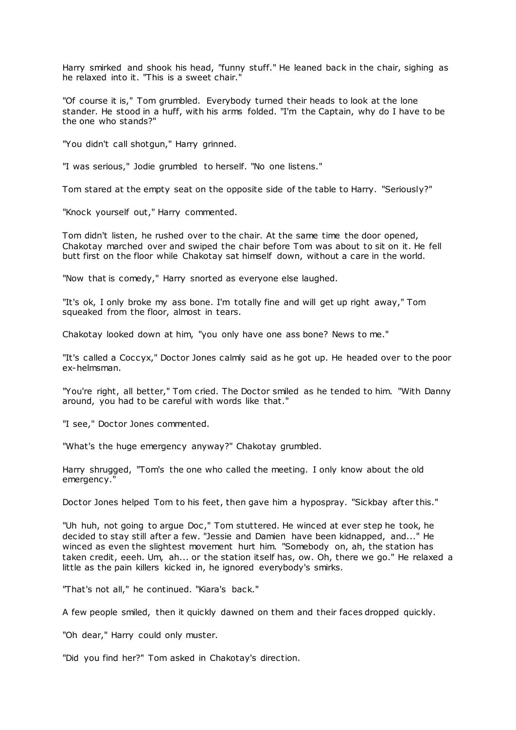Harry smirked and shook his head, "funny stuff." He leaned back in the chair, sighing as he relaxed into it. "This is a sweet chair."

"Of course it is," Tom grumbled. Everybody turned their heads to look at the lone stander. He stood in a huff, with his arms folded. "I'm the Captain, why do I have to be the one who stands?"

"You didn't call shotgun," Harry grinned.

"I was serious," Jodie grumbled to herself. "No one listens."

Tom stared at the empty seat on the opposite side of the table to Harry. "Seriously?"

"Knock yourself out," Harry commented.

Tom didn't listen, he rushed over to the chair. At the same time the door opened, Chakotay marched over and swiped the chair before Tom was about to sit on it. He fell butt first on the floor while Chakotay sat himself down, without a care in the world.

"Now that is comedy," Harry snorted as everyone else laughed.

"It's ok, I only broke my ass bone. I'm totally fine and will get up right away," Tom squeaked from the floor, almost in tears.

Chakotay looked down at him, "you only have one ass bone? News to me."

"It's called a Coccyx," Doctor Jones calmly said as he got up. He headed over to the poor ex-helmsman.

"You're right, all better," Tom cried. The Doctor smiled as he tended to him. "With Danny around, you had to be careful with words like that."

"I see," Doctor Jones commented.

"What's the huge emergency anyway?" Chakotay grumbled.

Harry shrugged, "Tom's the one who called the meeting. I only know about the old emergency."

Doctor Jones helped Tom to his feet, then gave him a hypospray. "Sickbay after this."

"Uh huh, not going to argue Doc," Tom stuttered. He winced at ever step he took, he decided to stay still after a few. "Jessie and Damien have been kidnapped, and..." He winced as even the slightest movement hurt him. "Somebody on, ah, the station has taken credit, eeeh. Um, ah... or the station itself has, ow. Oh, there we go." He relaxed a little as the pain killers kicked in, he ignored everybody's smirks.

"That's not all," he continued. "Kiara's back."

A few people smiled, then it quickly dawned on them and their faces dropped quickly.

"Oh dear," Harry could only muster.

"Did you find her?" Tom asked in Chakotay's direction.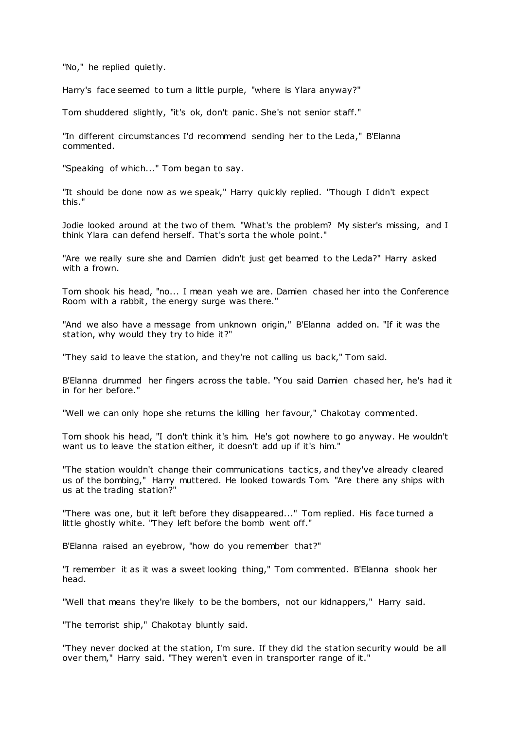"No," he replied quietly.

Harry's face seemed to turn a little purple, "where is Ylara anyway?"

Tom shuddered slightly, "it's ok, don't panic . She's not senior staff."

"In different circumstances I'd recommend sending her to the Leda," B'Elanna commented.

"Speaking of which..." Tom began to say.

"It should be done now as we speak," Harry quickly replied. "Though I didn't expect this."

Jodie looked around at the two of them. "What's the problem? My sister's missing, and I think Ylara can defend herself. That's sorta the whole point."

"Are we really sure she and Damien didn't just get beamed to the Leda?" Harry asked with a frown.

Tom shook his head, "no... I mean yeah we are. Damien chased her into the Conference Room with a rabbit, the energy surge was there."

"And we also have a message from unknown origin," B'Elanna added on. "If it was the station, why would they try to hide it?"

"They said to leave the station, and they're not calling us back," Tom said.

B'Elanna drummed her fingers across the table. "You said Damien chased her, he's had it in for her before."

"Well we can only hope she returns the killing her favour," Chakotay commented.

Tom shook his head, "I don't think it's him. He's got nowhere to go anyway. He wouldn't want us to leave the station either, it doesn't add up if it's him."

"The station wouldn't change their communications tactics, and they've already cleared us of the bombing," Harry muttered. He looked towards Tom. "Are there any ships with us at the trading station?"

"There was one, but it left before they disappeared..." Tom replied. His face turned a little ghostly white. "They left before the bomb went off."

B'Elanna raised an eyebrow, "how do you remember that?"

"I remember it as it was a sweet looking thing," Tom commented. B'Elanna shook her head.

"Well that means they're likely to be the bombers, not our kidnappers," Harry said.

"The terrorist ship," Chakotay bluntly said.

"They never docked at the station, I'm sure. If they did the station security would be all over them," Harry said. "They weren't even in transporter range of it."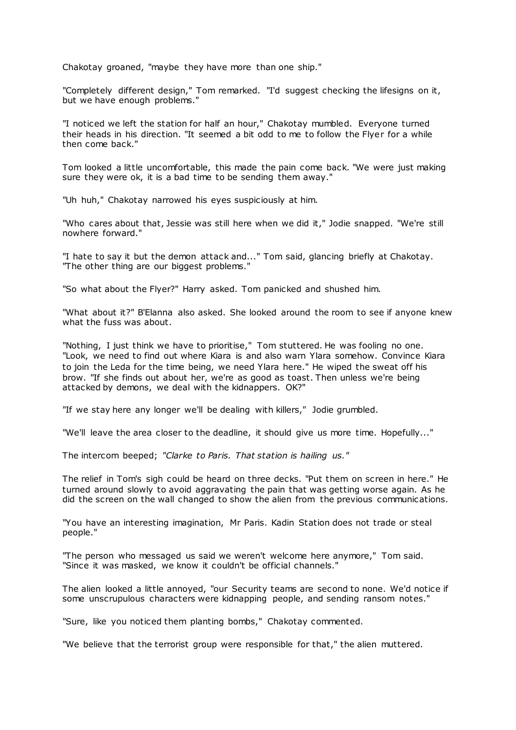Chakotay groaned, "maybe they have more than one ship."

"Completely different design," Tom remarked. "I'd suggest checking the lifesigns on it, but we have enough problems."

"I noticed we left the station for half an hour," Chakotay mumbled. Everyone turned their heads in his direction. "It seemed a bit odd to me to follow the Flyer for a while then come back."

Tom looked a little uncomfortable, this made the pain come back. "We were just making sure they were ok, it is a bad time to be sending them away."

"Uh huh," Chakotay narrowed his eyes suspiciously at him.

"Who cares about that, Jessie was still here when we did it," Jodie snapped. "We're still nowhere forward."

"I hate to say it but the demon attack and..." Tom said, glancing briefly at Chakotay. "The other thing are our biggest problems."

"So what about the Flyer?" Harry asked. Tom panicked and shushed him.

"What about it?" B'Elanna also asked. She looked around the room to see if anyone knew what the fuss was about.

"Nothing, I just think we have to prioritise," Tom stuttered. He was fooling no one. "Look, we need to find out where Kiara is and also warn Ylara somehow. Convince Kiara to join the Leda for the time being, we need Ylara here." He wiped the sweat off his brow. "If she finds out about her, we're as good as toast. Then unless we're being attacked by demons, we deal with the kidnappers. OK?"

"If we stay here any longer we'll be dealing with killers," Jodie grumbled.

"We'll leave the area closer to the deadline, it should give us more time. Hopefully..."

The intercom beeped; *"Clarke to Paris. That station is hailing us."*

The relief in Tom's sigh could be heard on three decks. "Put them on screen in here." He turned around slowly to avoid aggravating the pain that was getting worse again. As he did the screen on the wall changed to show the alien from the previous communications.

"You have an interesting imagination, Mr Paris. Kadin Station does not trade or steal people."

"The person who messaged us said we weren't welcome here anymore," Tom said. "Since it was masked, we know it couldn't be official channels."

The alien looked a little annoyed, "our Security teams are second to none. We'd notice if some unscrupulous characters were kidnapping people, and sending ransom notes."

"Sure, like you noticed them planting bombs," Chakotay commented.

"We believe that the terrorist group were responsible for that," the alien muttered.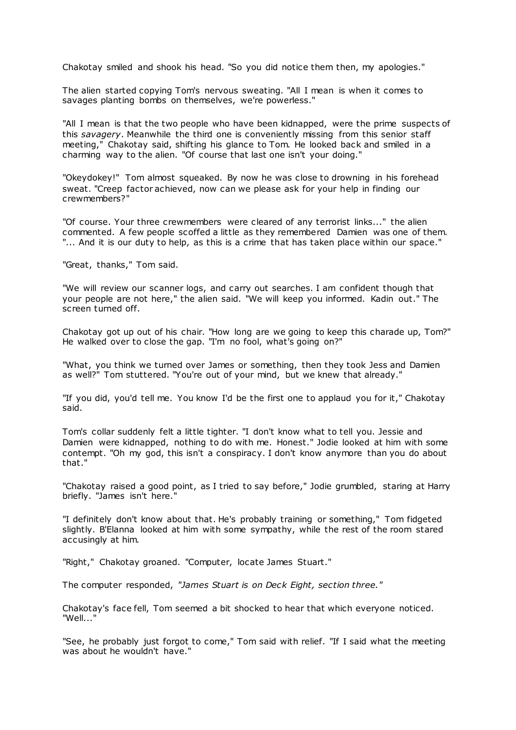Chakotay smiled and shook his head. "So you did notice them then, my apologies."

The alien started copying Tom's nervous sweating. "All I mean is when it comes to savages planting bombs on themselves, we're powerless."

"All I mean is that the two people who have been kidnapped, were the prime suspects of this *savagery*. Meanwhile the third one is conveniently missing from this senior staff meeting," Chakotay said, shifting his glance to Tom. He looked back and smiled in a charming way to the alien. "Of course that last one isn't your doing."

"Okeydokey!" Tom almost squeaked. By now he was close to drowning in his forehead sweat. "Creep factor achieved, now can we please ask for your help in finding our crewmembers?"

"Of course. Your three crewmembers were cleared of any terrorist links..." the alien commented. A few people scoffed a little as they remembered Damien was one of them. "... And it is our duty to help, as this is a crime that has taken place within our space."

"Great, thanks," Tom said.

"We will review our scanner logs, and carry out searches. I am confident though that your people are not here," the alien said. "We will keep you informed. Kadin out." The screen turned off.

Chakotay got up out of his chair. "How long are we going to keep this charade up, Tom?" He walked over to close the gap. "I'm no fool, what's going on?"

"What, you think we turned over James or something, then they took Jess and Damien as well?" Tom stuttered. "You're out of your mind, but we knew that already."

"If you did, you'd tell me. You know I'd be the first one to applaud you for it," Chakotay said.

Tom's collar suddenly felt a little tighter. "I don't know what to tell you. Jessie and Damien were kidnapped, nothing to do with me. Honest." Jodie looked at him with some contempt. "Oh my god, this isn't a conspiracy. I don't know anymore than you do about that."

"Chakotay raised a good point, as I tried to say before," Jodie grumbled, staring at Harry briefly. "James isn't here."

"I definitely don't know about that. He's probably training or something," Tom fidgeted slightly. B'Elanna looked at him with some sympathy, while the rest of the room stared accusingly at him.

"Right," Chakotay groaned. "Computer, locate James Stuart."

The computer responded, *"James Stuart is on Deck Eight, section three."*

Chakotay's face fell, Tom seemed a bit shocked to hear that which everyone noticed. "Well..."

"See, he probably just forgot to come," Tom said with relief. "If I said what the meeting was about he wouldn't have."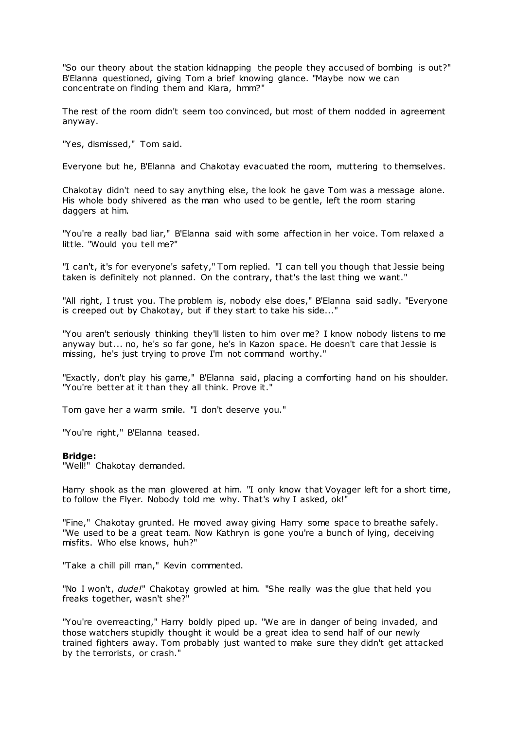"So our theory about the station kidnapping the people they accused of bombing is out?" B'Elanna questioned, giving Tom a brief knowing glance. "Maybe now we can concentrate on finding them and Kiara, hmm?"

The rest of the room didn't seem too convinced, but most of them nodded in agreement anyway.

"Yes, dismissed," Tom said.

Everyone but he, B'Elanna and Chakotay evacuated the room, muttering to themselves.

Chakotay didn't need to say anything else, the look he gave Tom was a message alone. His whole body shivered as the man who used to be gentle, left the room staring daggers at him.

"You're a really bad liar," B'Elanna said with some affection in her voice. Tom relaxed a little. "Would you tell me?"

"I can't, it's for everyone's safety," Tom replied. "I can tell you though that Jessie being taken is definitely not planned. On the contrary, that's the last thing we want."

"All right, I trust you. The problem is, nobody else does," B'Elanna said sadly. "Everyone is creeped out by Chakotay, but if they start to take his side..."

"You aren't seriously thinking they'll listen to him over me? I know nobody listens to me anyway but... no, he's so far gone, he's in Kazon space. He doesn't care that Jessie is missing, he's just trying to prove I'm not command worthy."

"Exactly, don't play his game," B'Elanna said, placing a comforting hand on his shoulder. "You're better at it than they all think. Prove it."

Tom gave her a warm smile. "I don't deserve you."

"You're right," B'Elanna teased.

#### **Bridge:**

"Well!" Chakotay demanded.

Harry shook as the man glowered at him. "I only know that Voyager left for a short time, to follow the Flyer. Nobody told me why. That's why I asked, ok!"

"Fine," Chakotay grunted. He moved away giving Harry some space to breathe safely. "We used to be a great team. Now Kathryn is gone you're a bunch of lying, deceiving misfits. Who else knows, huh?"

"Take a chill pill man," Kevin commented.

"No I won't, *dude!*" Chakotay growled at him. "She really was the glue that held you freaks together, wasn't she?"

"You're overreacting," Harry boldly piped up. "We are in danger of being invaded, and those watchers stupidly thought it would be a great idea to send half of our newly trained fighters away. Tom probably just wanted to make sure they didn't get attacked by the terrorists, or crash."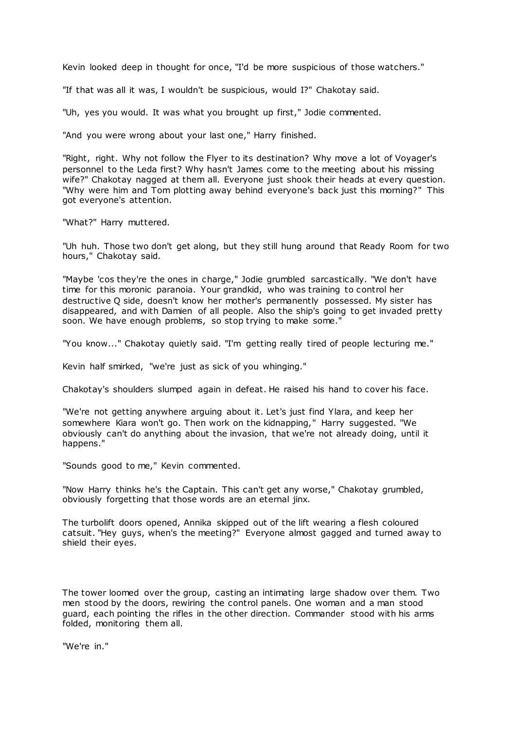Kevin looked deep in thought for once, "I'd be more suspicious of those watchers."

"If that was all it was, I wouldn't be suspicious, would I?" Chakotay said.

"Uh, yes you would. It was what you brought up first," Jodie commented.

"And you were wrong about your last one," Harry finished.

"Right, right. Why not follow the Flyer to its destination? Why move a lot of Voyager's personnel to the Leda first? Why hasn't James come to the meeting about his missing wife?" Chakotay nagged at them all. Everyone just shook their heads at every question. "Why were him and Tom plotting away behind everyone's back just this morning?" This got everyone's attention.

"What?" Harry muttered.

"Uh huh. Those two don't get along, but they still hung around that Ready Room for two hours," Chakotay said.

"Maybe 'cos they're the ones in charge," Jodie grumbled sarcastically. "We don't have time for this moronic paranoia. Your grandkid, who was training to control her destructive Q side, doesn't know her mother's permanently possessed. My sister has disappeared, and with Damien of all people. Also the ship's going to get invaded pretty soon. We have enough problems, so stop trying to make some."

"You know..." Chakotay quietly said. "I'm getting really tired of people lecturing me."

Kevin half smirked, "we're just as sick of you whinging."

Chakotay's shoulders slumped again in defeat. He raised his hand to cover his face.

"We're not getting anywhere arguing about it. Let's just find Ylara, and keep her somewhere Kiara won't go. Then work on the kidnapping," Harry suggested. "We obviously can't do anything about the invasion, that we're not already doing, until it happens."

"Sounds good to me," Kevin commented.

"Now Harry thinks he's the Captain. This can't get any worse," Chakotay grumbled, obviously forgetting that those words are an eternal jinx.

The turbolift doors opened, Annika skipped out of the lift wearing a flesh coloured catsuit. "Hey guys, when's the meeting?" Everyone almost gagged and turned away to shield their eyes.

The tower loomed over the group, casting an intimating large shadow over them. Two men stood by the doors, rewiring the control panels. One woman and a man stood guard, each pointing the rifles in the other direction. Commander stood with his arms folded, monitoring them all.

"We're in."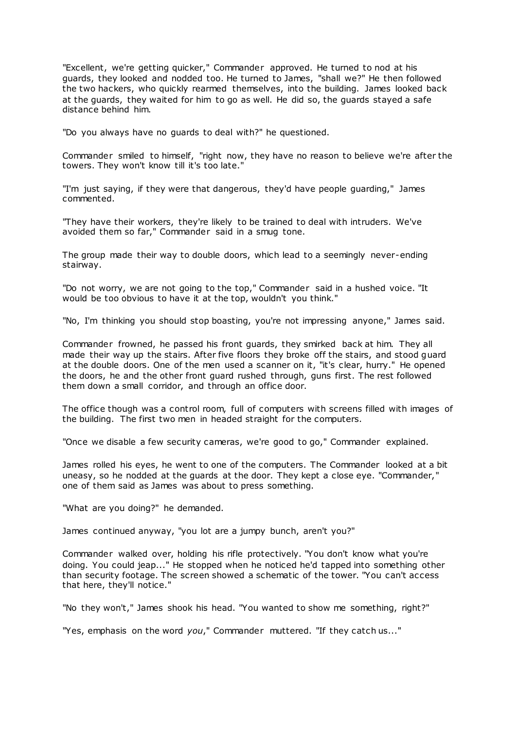"Excellent, we're getting quicker," Commander approved. He turned to nod at his guards, they looked and nodded too. He turned to James, "shall we?" He then followed the two hackers, who quickly rearmed themselves, into the building. James looked back at the guards, they waited for him to go as well. He did so, the guards stayed a safe distance behind him.

"Do you always have no guards to deal with?" he questioned.

Commander smiled to himself, "right now, they have no reason to believe we're after the towers. They won't know till it's too late."

"I'm just saying, if they were that dangerous, they'd have people guarding," James commented.

"They have their workers, they're likely to be trained to deal with intruders. We've avoided them so far," Commander said in a smug tone.

The group made their way to double doors, which lead to a seemingly never-ending stairway.

"Do not worry, we are not going to the top," Commander said in a hushed voice. "It would be too obvious to have it at the top, wouldn't you think."

"No, I'm thinking you should stop boasting, you're not impressing anyone," James said.

Commander frowned, he passed his front guards, they smirked back at him. They all made their way up the stairs. After five floors they broke off the stairs, and stood guard at the double doors. One of the men used a scanner on it, "it's clear, hurry." He opened the doors, he and the other front guard rushed through, guns first. The rest followed them down a small corridor, and through an office door.

The office though was a control room, full of computers with screens filled with images of the building. The first two men in headed straight for the computers.

"Once we disable a few security cameras, we're good to go," Commander explained.

James rolled his eyes, he went to one of the computers. The Commander looked at a bit uneasy, so he nodded at the guards at the door. They kept a close eye. "Commander," one of them said as James was about to press something.

"What are you doing?" he demanded.

James continued anyway, "you lot are a jumpy bunch, aren't you?"

Commander walked over, holding his rifle protectively. "You don't know what you're doing. You could jeap..." He stopped when he noticed he'd tapped into something other than security footage. The screen showed a schematic of the tower. "You can't access that here, they'll notice."

"No they won't," James shook his head. "You wanted to show me something, right?"

"Yes, emphasis on the word *you*," Commander muttered. "If they catch us..."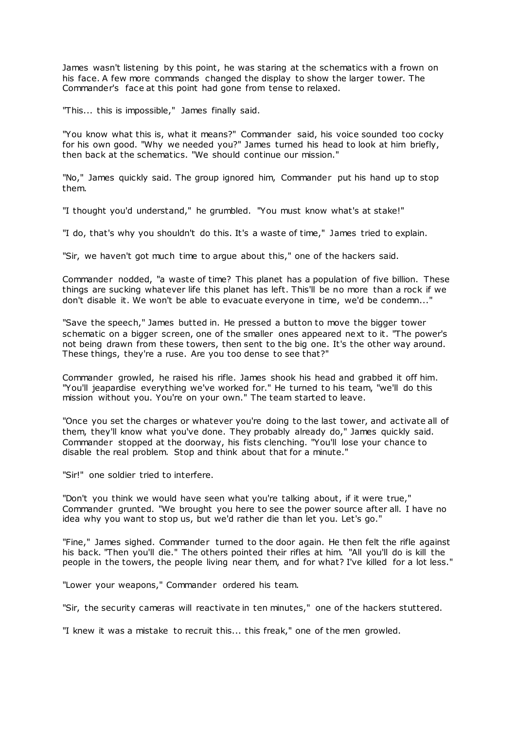James wasn't listening by this point, he was staring at the schematics with a frown on his face. A few more commands changed the display to show the larger tower. The Commander's face at this point had gone from tense to relaxed.

"This... this is impossible," James finally said.

"You know what this is, what it means?" Commander said, his voice sounded too cocky for his own good. "Why we needed you?" James turned his head to look at him briefly, then back at the schematics. "We should continue our mission."

"No," James quickly said. The group ignored him, Commander put his hand up to stop them.

"I thought you'd understand," he grumbled. "You must know what's at stake!"

"I do, that's why you shouldn't do this. It's a waste of time," James tried to explain.

"Sir, we haven't got much time to argue about this," one of the hackers said.

Commander nodded, "a waste of time? This planet has a population of five billion. These things are sucking whatever life this planet has left. This'll be no more than a rock if we don't disable it. We won't be able to evacuate everyone in time, we'd be condemn..."

"Save the speech," James butted in. He pressed a button to move the bigger tower schematic on a bigger screen, one of the smaller ones appeared next to it. "The power's not being drawn from these towers, then sent to the big one. It's the other way around. These things, they're a ruse. Are you too dense to see that?"

Commander growled, he raised his rifle. James shook his head and grabbed it off him. "You'll jeapardise everything we've worked for." He turned to his team, "we'll do this mission without you. You're on your own." The team started to leave.

"Once you set the charges or whatever you're doing to the last tower, and activate all of them, they'll know what you've done. They probably already do," James quickly said. Commander stopped at the doorway, his fists clenching. "You'll lose your chance to disable the real problem. Stop and think about that for a minute."

"Sir!" one soldier tried to interfere.

"Don't you think we would have seen what you're talking about, if it were true," Commander grunted. "We brought you here to see the power source after all. I have no idea why you want to stop us, but we'd rather die than let you. Let's go."

"Fine," James sighed. Commander turned to the door again. He then felt the rifle against his back. "Then you'll die." The others pointed their rifles at him. "All you'll do is kill the people in the towers, the people living near them, and for what? I've killed for a lot less."

"Lower your weapons," Commander ordered his team.

"Sir, the security cameras will reactivate in ten minutes," one of the hackers stuttered.

"I knew it was a mistake to recruit this... this freak," one of the men growled.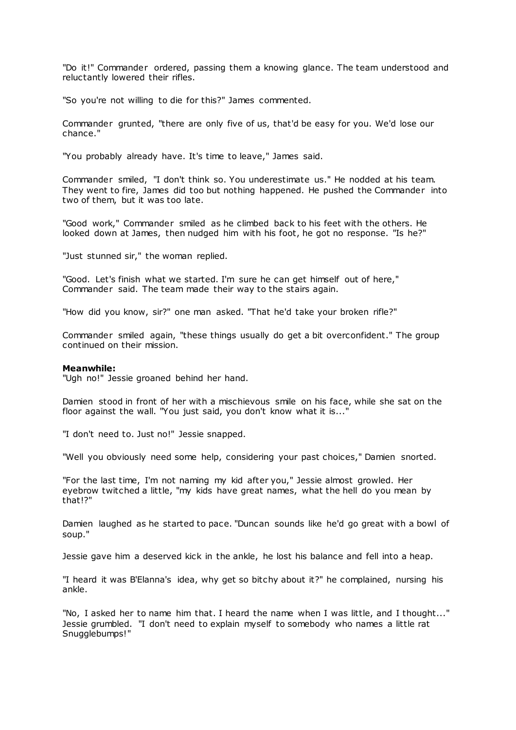"Do it!" Commander ordered, passing them a knowing glance. The team understood and reluctantly lowered their rifles.

"So you're not willing to die for this?" James commented.

Commander grunted, "there are only five of us, that'd be easy for you. We'd lose our chance."

"You probably already have. It's time to leave," James said.

Commander smiled, "I don't think so. You underestimate us." He nodded at his team. They went to fire, James did too but nothing happened. He pushed the Commander into two of them, but it was too late.

"Good work," Commander smiled as he climbed back to his feet with the others. He looked down at James, then nudged him with his foot, he got no response. "Is he?"

"Just stunned sir," the woman replied.

"Good. Let's finish what we started. I'm sure he can get himself out of here," Commander said. The team made their way to the stairs again.

"How did you know, sir?" one man asked. "That he'd take your broken rifle?"

Commander smiled again, "these things usually do get a bit overconfident." The group continued on their mission.

# **Meanwhile:**

"Ugh no!" Jessie groaned behind her hand.

Damien stood in front of her with a mischievous smile on his face, while she sat on the floor against the wall. "You just said, you don't know what it is..."

"I don't need to. Just no!" Jessie snapped.

"Well you obviously need some help, considering your past choices," Damien snorted.

"For the last time, I'm not naming my kid after you," Jessie almost growled. Her eyebrow twitched a little, "my kids have great names, what the hell do you mean by that!?"

Damien laughed as he started to pace. "Duncan sounds like he'd go great with a bowl of soup."

Jessie gave him a deserved kick in the ankle, he lost his balance and fell into a heap.

"I heard it was B'Elanna's idea, why get so bitchy about it?" he complained, nursing his ankle.

"No, I asked her to name him that. I heard the name when I was little, and I thought..." Jessie grumbled. "I don't need to explain myself to somebody who names a little rat Snugglebumps!"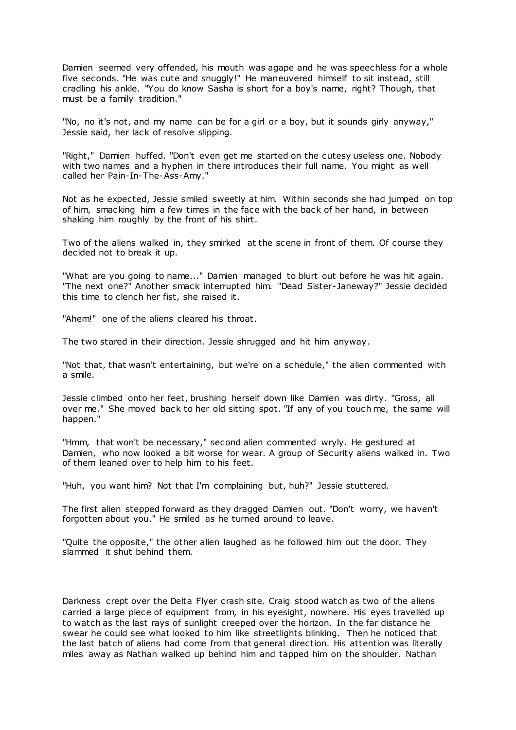Damien seemed very offended, his mouth was agape and he was speechless for a whole five seconds. "He was cute and snuggly!" He maneuvered himself to sit instead, still cradling his ankle. "You do know Sasha is short for a boy's name, right? Though, that must be a family tradition."

"No, no it's not, and my name can be for a girl or a boy, but it sounds girly anyway," Jessie said, her lack of resolve slipping.

"Right," Damien huffed. "Don't even get me started on the cutesy useless one. Nobody with two names and a hyphen in there introduces their full name. You might as well called her Pain-In-The-Ass-Amy."

Not as he expected, Jessie smiled sweetly at him. Within seconds she had jumped on top of him, smacking him a few times in the face with the back of her hand, in between shaking him roughly by the front of his shirt.

Two of the aliens walked in, they smirked at the scene in front of them. Of course they decided not to break it up.

"What are you going to name..." Damien managed to blurt out before he was hit again. "The next one?" Another smack interrupted him. "Dead Sister-Janeway?" Jessie decided this time to clench her fist, she raised it.

"Ahem!" one of the aliens cleared his throat.

The two stared in their direction. Jessie shrugged and hit him anyway.

"Not that, that wasn't entertaining, but we're on a schedule," the alien commented with a smile.

Jessie climbed onto her feet, brushing herself down like Damien was dirty. "Gross, all over me." She moved back to her old sitting spot. "If any of you touch me, the same will happen."

"Hmm, that won't be necessary," second alien commented wryly. He gestured at Damien, who now looked a bit worse for wear. A group of Security aliens walked in. Two of them leaned over to help him to his feet.

"Huh, you want him? Not that I'm complaining but, huh?" Jessie stuttered.

The first alien stepped forward as they dragged Damien out. "Don't worry, we haven't forgotten about you." He smiled as he turned around to leave.

"Quite the opposite," the other alien laughed as he followed him out the door. They slammed it shut behind them.

Darkness crept over the Delta Flyer crash site. Craig stood watch as two of the aliens carried a large piece of equipment from, in his eyesight, nowhere. His eyes travelled up to watch as the last rays of sunlight creeped over the horizon. In the far distance he swear he could see what looked to him like streetlights blinking. Then he noticed that the last batch of aliens had come from that general direction. His attention was literally miles away as Nathan walked up behind him and tapped him on the shoulder. Nathan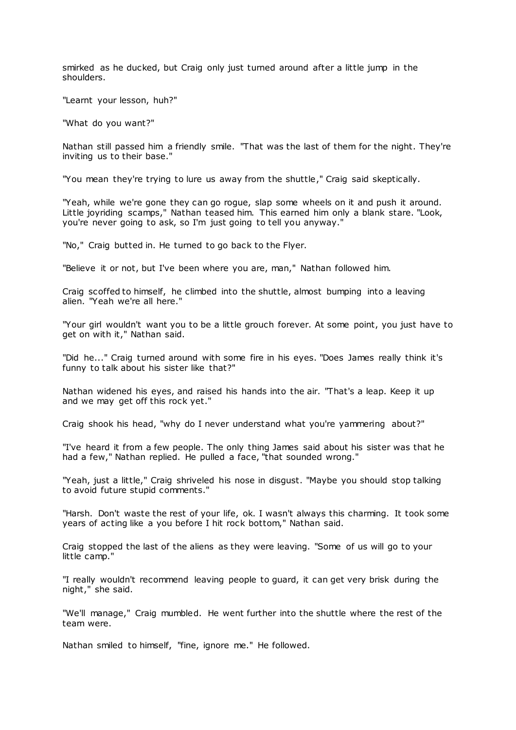smirked as he ducked, but Craig only just turned around after a little jump in the shoulders.

"Learnt your lesson, huh?"

"What do you want?"

Nathan still passed him a friendly smile. "That was the last of them for the night. They're inviting us to their base."

"You mean they're trying to lure us away from the shuttle," Craig said skeptically.

"Yeah, while we're gone they can go rogue, slap some wheels on it and push it around. Little joyriding scamps," Nathan teased him. This earned him only a blank stare. "Look, you're never going to ask, so I'm just going to tell you anyway."

"No," Craig butted in. He turned to go back to the Flyer.

"Believe it or not, but I've been where you are, man," Nathan followed him.

Craig scoffed to himself, he climbed into the shuttle, almost bumping into a leaving alien. "Yeah we're all here."

"Your girl wouldn't want you to be a little grouch forever. At some point, you just have to get on with it," Nathan said.

"Did he..." Craig turned around with some fire in his eyes. "Does James really think it's funny to talk about his sister like that?"

Nathan widened his eyes, and raised his hands into the air. "That's a leap. Keep it up and we may get off this rock yet."

Craig shook his head, "why do I never understand what you're yammering about?"

"I've heard it from a few people. The only thing James said about his sister was that he had a few," Nathan replied. He pulled a face, "that sounded wrong."

"Yeah, just a little," Craig shriveled his nose in disgust. "Maybe you should stop talking to avoid future stupid comments."

"Harsh. Don't waste the rest of your life, ok. I wasn't always this charming. It took some years of acting like a you before I hit rock bottom," Nathan said.

Craig stopped the last of the aliens as they were leaving. "Some of us will go to your little camp."

"I really wouldn't recommend leaving people to guard, it can get very brisk during the night," she said.

"We'll manage," Craig mumbled. He went further into the shuttle where the rest of the team were.

Nathan smiled to himself, "fine, ignore me." He followed.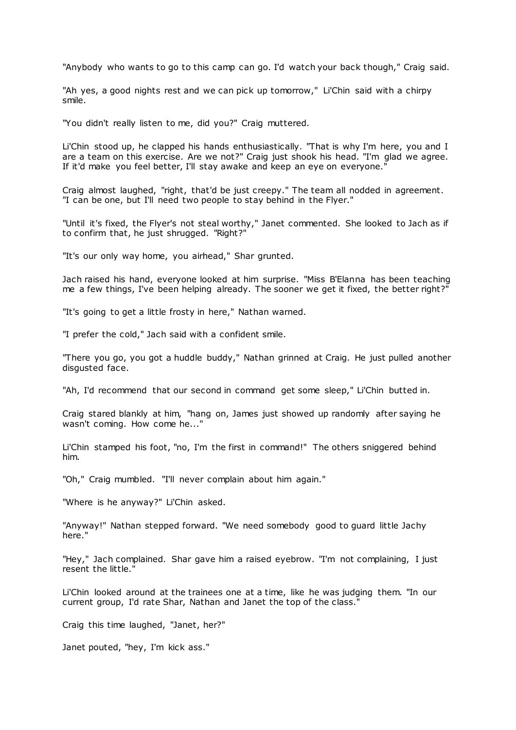"Anybody who wants to go to this camp can go. I'd watch your back though," Craig said.

"Ah yes, a good nights rest and we can pick up tomorrow," Li'Chin said with a chirpy smile.

"You didn't really listen to me, did you?" Craig muttered.

Li'Chin stood up, he clapped his hands enthusiastically. "That is why I'm here, you and I are a team on this exercise. Are we not?" Craig just shook his head. "I'm glad we agree. If it'd make you feel better, I'll stay awake and keep an eye on everyone.

Craig almost laughed, "right, that'd be just creepy." The team all nodded in agreement. "I can be one, but I'll need two people to stay behind in the Flyer."

"Until it's fixed, the Flyer's not steal worthy," Janet commented. She looked to Jach as if to confirm that, he just shrugged. "Right?"

"It's our only way home, you airhead," Shar grunted.

Jach raised his hand, everyone looked at him surprise. "Miss B'Elanna has been teaching me a few things, I've been helping already. The sooner we get it fixed, the better right?"

"It's going to get a little frosty in here," Nathan warned.

"I prefer the cold," Jach said with a confident smile.

"There you go, you got a huddle buddy," Nathan grinned at Craig. He just pulled another disgusted face.

"Ah, I'd recommend that our second in command get some sleep," Li'Chin butted in.

Craig stared blankly at him, "hang on, James just showed up randomly after saying he wasn't coming. How come he..."

Li'Chin stamped his foot, "no, I'm the first in command!" The others sniggered behind him.

"Oh," Craig mumbled. "I'll never complain about him again."

"Where is he anyway?" Li'Chin asked.

"Anyway!" Nathan stepped forward. "We need somebody good to guard little Jachy here."

"Hey," Jach complained. Shar gave him a raised eyebrow. "I'm not complaining, I just resent the little."

Li'Chin looked around at the trainees one at a time, like he was judging them. "In our current group, I'd rate Shar, Nathan and Janet the top of the class."

Craig this time laughed, "Janet, her?"

Janet pouted, "hey, I'm kick ass."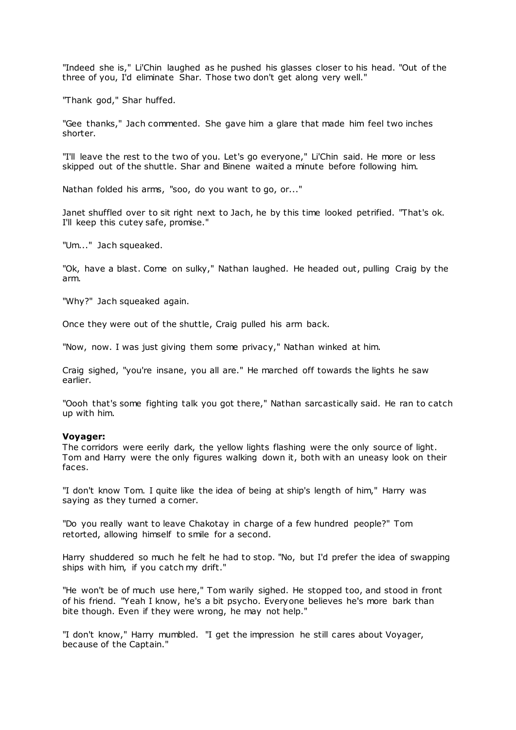"Indeed she is," Li'Chin laughed as he pushed his glasses closer to his head. "Out of the three of you, I'd eliminate Shar. Those two don't get along very well."

"Thank god," Shar huffed.

"Gee thanks," Jach commented. She gave him a glare that made him feel two inches shorter.

"I'll leave the rest to the two of you. Let's go everyone," Li'Chin said. He more or less skipped out of the shuttle. Shar and Binene waited a minute before following him.

Nathan folded his arms, "soo, do you want to go, or..."

Janet shuffled over to sit right next to Jach, he by this time looked petrified. "That's ok. I'll keep this cutey safe, promise."

"Um..." Jach squeaked.

"Ok, have a blast. Come on sulky," Nathan laughed. He headed out, pulling Craig by the arm.

"Why?" Jach squeaked again.

Once they were out of the shuttle, Craig pulled his arm back.

"Now, now. I was just giving them some privacy," Nathan winked at him.

Craig sighed, "you're insane, you all are." He marched off towards the lights he saw earlier.

"Oooh that's some fighting talk you got there," Nathan sarcastically said. He ran to catch up with him.

# **Voyager:**

The corridors were eerily dark, the yellow lights flashing were the only source of light. Tom and Harry were the only figures walking down it, both with an uneasy look on their faces.

"I don't know Tom. I quite like the idea of being at ship's length of him," Harry was saying as they turned a corner.

"Do you really want to leave Chakotay in charge of a few hundred people?" Tom retorted, allowing himself to smile for a second.

Harry shuddered so much he felt he had to stop. "No, but I'd prefer the idea of swapping ships with him, if you catch my drift."

"He won't be of much use here," Tom warily sighed. He stopped too, and stood in front of his friend. "Yeah I know, he's a bit psycho. Everyone believes he's more bark than bite though. Even if they were wrong, he may not help."

"I don't know," Harry mumbled. "I get the impression he still cares about Voyager, because of the Captain."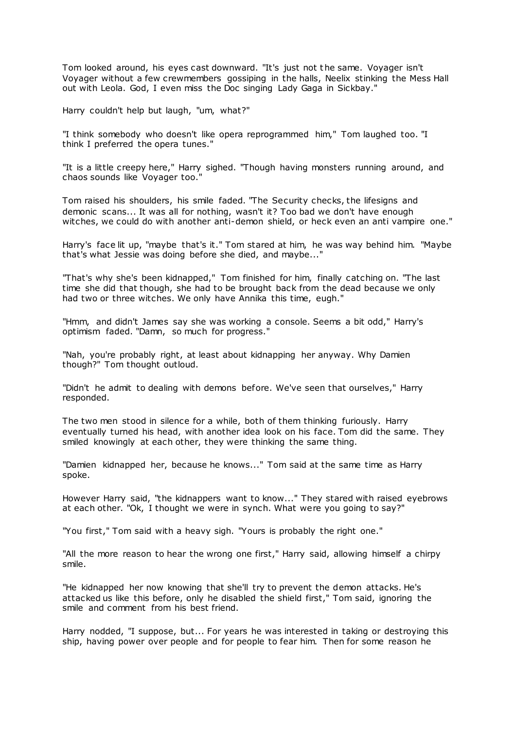Tom looked around, his eyes cast downward. "It's just not the same. Voyager isn't Voyager without a few crewmembers gossiping in the halls, Neelix stinking the Mess Hall out with Leola. God, I even miss the Doc singing Lady Gaga in Sickbay."

Harry couldn't help but laugh, "um, what?"

"I think somebody who doesn't like opera reprogrammed him," Tom laughed too. "I think I preferred the opera tunes."

"It is a little creepy here," Harry sighed. "Though having monsters running around, and chaos sounds like Voyager too."

Tom raised his shoulders, his smile faded. "The Security checks, the lifesigns and demonic scans... It was all for nothing, wasn't it? Too bad we don't have enough witches, we could do with another anti-demon shield, or heck even an anti vampire one."

Harry's face lit up, "maybe that's it." Tom stared at him, he was way behind him. "Maybe that's what Jessie was doing before she died, and maybe..."

"That's why she's been kidnapped," Tom finished for him, finally catching on. "The last time she did that though, she had to be brought back from the dead because we only had two or three witches. We only have Annika this time, eugh."

"Hmm, and didn't James say she was working a console. Seems a bit odd," Harry's optimism faded. "Damn, so much for progress."

"Nah, you're probably right, at least about kidnapping her anyway. Why Damien though?" Tom thought outloud.

"Didn't he admit to dealing with demons before. We've seen that ourselves," Harry responded.

The two men stood in silence for a while, both of them thinking furiously. Harry eventually turned his head, with another idea look on his face. Tom did the same. They smiled knowingly at each other, they were thinking the same thing.

"Damien kidnapped her, because he knows..." Tom said at the same time as Harry spoke.

However Harry said, "the kidnappers want to know..." They stared with raised eyebrows at each other. "Ok, I thought we were in synch. What were you going to say?"

"You first," Tom said with a heavy sigh. "Yours is probably the right one."

"All the more reason to hear the wrong one first," Harry said, allowing himself a chirpy smile.

"He kidnapped her now knowing that she'll try to prevent the demon attacks. He's attacked us like this before, only he disabled the shield first," Tom said, ignoring the smile and comment from his best friend.

Harry nodded, "I suppose, but... For years he was interested in taking or destroying this ship, having power over people and for people to fear him. Then for some reason he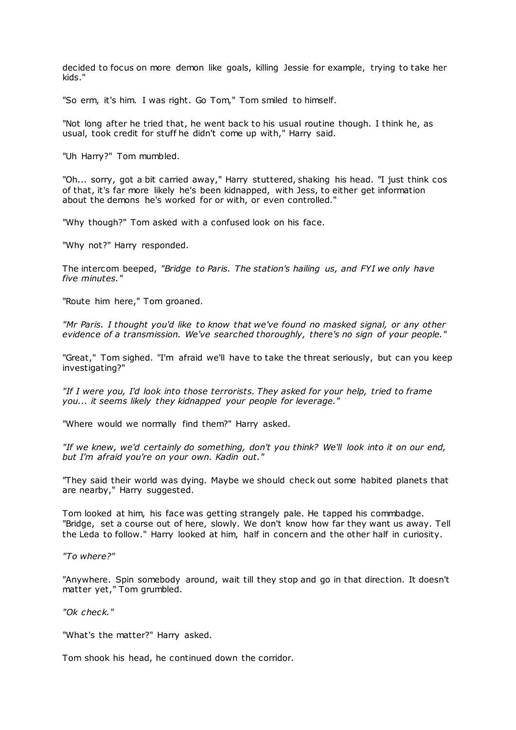decided to focus on more demon like goals, killing Jessie for example, trying to take her kids."

"So erm, it's him. I was right. Go Tom," Tom smiled to himself.

"Not long after he tried that, he went back to his usual routine though. I think he, as usual, took credit for stuff he didn't come up with," Harry said.

"Uh Harry?" Tom mumbled.

"Oh... sorry, got a bit carried away," Harry stuttered, shaking his head. "I just think cos of that, it's far more likely he's been kidnapped, with Jess, to either get information about the demons he's worked for or with, or even controlled."

"Why though?" Tom asked with a confused look on his face.

"Why not?" Harry responded.

The intercom beeped, *"Bridge to Paris. The station's hailing us, and FYI we only have five minutes."*

"Route him here," Tom groaned.

*"Mr Paris. I thought you'd like to know that we've found no masked signal, or any other evidence of a transmission. We've searched thoroughly, there's no sign of your people."*

"Great," Tom sighed. "I'm afraid we'll have to take the threat seriously, but can you keep investigating?"

*"If I were you, I'd look into those terrorists. They asked for your help, tried to frame you... it seems likely they kidnapped your people for leverage."*

"Where would we normally find them?" Harry asked.

*"If we knew, we'd certainly do something, don't you think? We'll look into it on our end, but I'm afraid you're on your own. Kadin out."*

"They said their world was dying. Maybe we should check out some habited planets that are nearby," Harry suggested.

Tom looked at him, his face was getting strangely pale. He tapped his commbadge. "Bridge, set a course out of here, slowly. We don't know how far they want us away. Tell the Leda to follow." Harry looked at him, half in concern and the other half in curiosity.

*"To where?"*

"Anywhere. Spin somebody around, wait till they stop and go in that direction. It doesn't matter yet," Tom grumbled.

*"Ok check."*

"What's the matter?" Harry asked.

Tom shook his head, he continued down the corridor.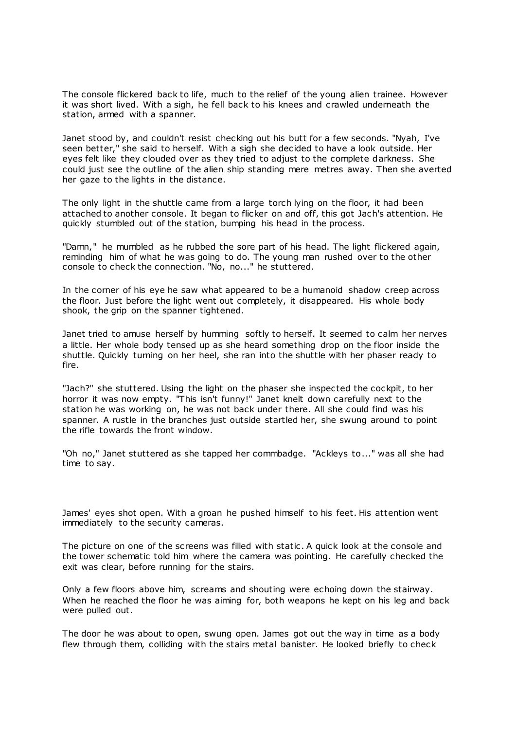The console flickered back to life, much to the relief of the young alien trainee. However it was short lived. With a sigh, he fell back to his knees and crawled underneath the station, armed with a spanner.

Janet stood by, and couldn't resist checking out his butt for a few seconds. "Nyah, I've seen better," she said to herself. With a sigh she decided to have a look outside. Her eyes felt like they clouded over as they tried to adjust to the complete darkness. She could just see the outline of the alien ship standing mere metres away. Then she averted her gaze to the lights in the distance.

The only light in the shuttle came from a large torch lying on the floor, it had been attached to another console. It began to flicker on and off, this got Jach's attention. He quickly stumbled out of the station, bumping his head in the process.

"Damn," he mumbled as he rubbed the sore part of his head. The light flickered again, reminding him of what he was going to do. The young man rushed over to the other console to check the connection. "No, no..." he stuttered.

In the corner of his eye he saw what appeared to be a humanoid shadow creep across the floor. Just before the light went out completely, it disappeared. His whole body shook, the grip on the spanner tightened.

Janet tried to amuse herself by humming softly to herself. It seemed to calm her nerves a little. Her whole body tensed up as she heard something drop on the floor inside the shuttle. Quickly turning on her heel, she ran into the shuttle with her phaser ready to fire.

"Jach?" she stuttered. Using the light on the phaser she inspected the cockpit, to her horror it was now empty. "This isn't funny!" Janet knelt down carefully next to the station he was working on, he was not back under there. All she could find was his spanner. A rustle in the branches just outside startled her, she swung around to point the rifle towards the front window.

"Oh no," Janet stuttered as she tapped her commbadge. "Ackleys to..." was all she had time to say.

James' eyes shot open. With a groan he pushed himself to his feet. His attention went immediately to the security cameras.

The picture on one of the screens was filled with static . A quick look at the console and the tower schematic told him where the camera was pointing. He carefully checked the exit was clear, before running for the stairs.

Only a few floors above him, screams and shouting were echoing down the stairway. When he reached the floor he was aiming for, both weapons he kept on his leg and back were pulled out.

The door he was about to open, swung open. James got out the way in time as a body flew through them, colliding with the stairs metal banister. He looked briefly to check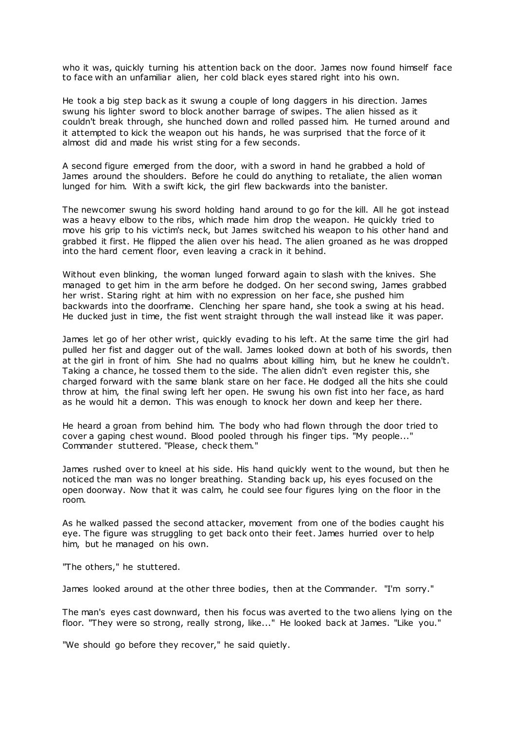who it was, quickly turning his attention back on the door. James now found himself face to face with an unfamiliar alien, her cold black eyes stared right into his own.

He took a big step back as it swung a couple of long daggers in his direction. James swung his lighter sword to block another barrage of swipes. The alien hissed as it couldn't break through, she hunched down and rolled passed him. He turned around and it attempted to kick the weapon out his hands, he was surprised that the force of it almost did and made his wrist sting for a few seconds.

A second figure emerged from the door, with a sword in hand he grabbed a hold of James around the shoulders. Before he could do anything to retaliate, the alien woman lunged for him. With a swift kick, the girl flew backwards into the banister.

The newcomer swung his sword holding hand around to go for the kill. All he got instead was a heavy elbow to the ribs, which made him drop the weapon. He quickly tried to move his grip to his victim's neck, but James switched his weapon to his other hand and grabbed it first. He flipped the alien over his head. The alien groaned as he was dropped into the hard cement floor, even leaving a crack in it behind.

Without even blinking, the woman lunged forward again to slash with the knives. She managed to get him in the arm before he dodged. On her second swing, James grabbed her wrist. Staring right at him with no expression on her face, she pushed him backwards into the doorframe. Clenching her spare hand, she took a swing at his head. He ducked just in time, the fist went straight through the wall instead like it was paper.

James let go of her other wrist, quickly evading to his left. At the same time the girl had pulled her fist and dagger out of the wall. James looked down at both of his swords, then at the girl in front of him. She had no qualms about killing him, but he knew he couldn't. Taking a chance, he tossed them to the side. The alien didn't even register this, she charged forward with the same blank stare on her face. He dodged all the hits she could throw at him, the final swing left her open. He swung his own fist into her face, as hard as he would hit a demon. This was enough to knock her down and keep her there.

He heard a groan from behind him. The body who had flown through the door tried to cover a gaping chest wound. Blood pooled through his finger tips. "My people..." Commander stuttered. "Please, check them."

James rushed over to kneel at his side. His hand quickly went to the wound, but then he noticed the man was no longer breathing. Standing back up, his eyes focused on the open doorway. Now that it was calm, he could see four figures lying on the floor in the room.

As he walked passed the second attacker, movement from one of the bodies caught his eye. The figure was struggling to get back onto their feet. James hurried over to help him, but he managed on his own.

"The others," he stuttered.

James looked around at the other three bodies, then at the Commander. "I'm sorry."

The man's eyes cast downward, then his focus was averted to the two aliens lying on the floor. "They were so strong, really strong, like..." He looked back at James. "Like you."

"We should go before they recover," he said quietly.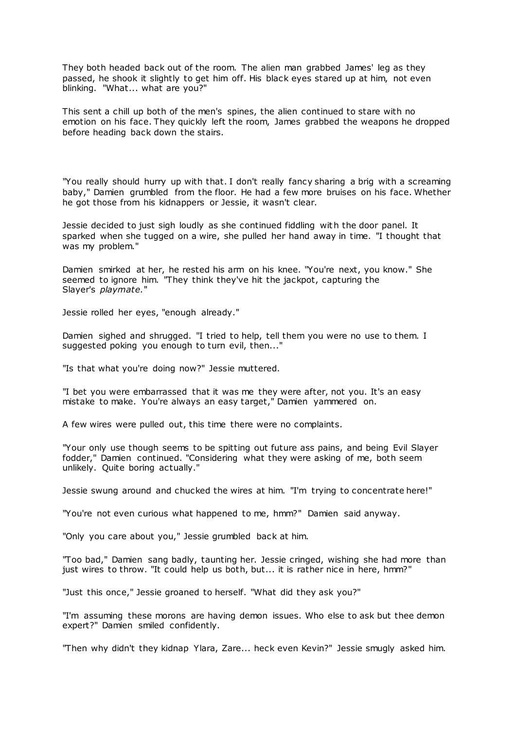They both headed back out of the room. The alien man grabbed James' leg as they passed, he shook it slightly to get him off. His black eyes stared up at him, not even blinking. "What... what are you?"

This sent a chill up both of the men's spines, the alien continued to stare with no emotion on his face. They quickly left the room, James grabbed the weapons he dropped before heading back down the stairs.

"You really should hurry up with that. I don't really fancy sharing a brig with a screaming baby," Damien grumbled from the floor. He had a few more bruises on his face. Whether he got those from his kidnappers or Jessie, it wasn't clear.

Jessie decided to just sigh loudly as she continued fiddling with the door panel. It sparked when she tugged on a wire, she pulled her hand away in time. "I thought that was my problem."

Damien smirked at her, he rested his arm on his knee. "You're next, you know." She seemed to ignore him. "They think they've hit the jackpot, capturing the Slayer's *playmate.*"

Jessie rolled her eyes, "enough already."

Damien sighed and shrugged. "I tried to help, tell them you were no use to them. I suggested poking you enough to turn evil, then..."

"Is that what you're doing now?" Jessie muttered.

"I bet you were embarrassed that it was me they were after, not you. It's an easy mistake to make. You're always an easy target," Damien yammered on.

A few wires were pulled out, this time there were no complaints.

"Your only use though seems to be spitting out future ass pains, and being Evil Slayer fodder," Damien continued. "Considering what they were asking of me, both seem unlikely. Quite boring actually."

Jessie swung around and chucked the wires at him. "I'm trying to concentrate here!"

"You're not even curious what happened to me, hmm?" Damien said anyway.

"Only you care about you," Jessie grumbled back at him.

"Too bad," Damien sang badly, taunting her. Jessie cringed, wishing she had more than just wires to throw. "It could help us both, but... it is rather nice in here, hmm?"

"Just this once," Jessie groaned to herself. "What did they ask you?"

"I'm assuming these morons are having demon issues. Who else to ask but thee demon expert?" Damien smiled confidently.

"Then why didn't they kidnap Ylara, Zare... heck even Kevin?" Jessie smugly asked him.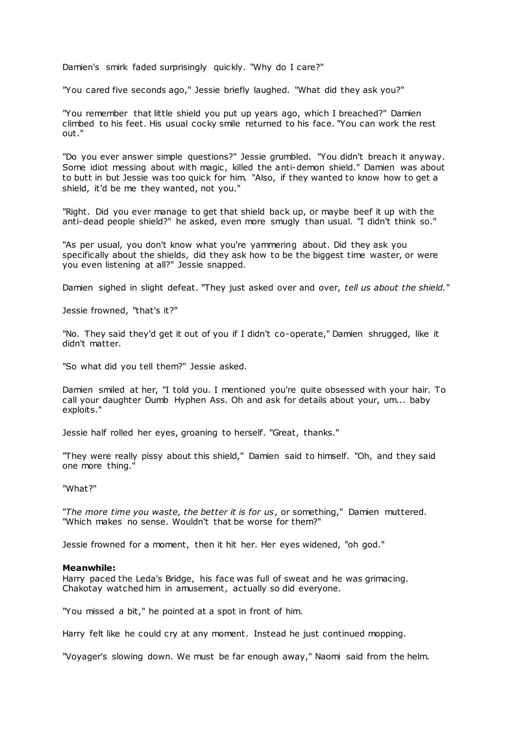Damien's smirk faded surprisingly quickly. "Why do I care?"

"You cared five seconds ago," Jessie briefly laughed. "What did they ask you?"

"You remember that little shield you put up years ago, which I breached?" Damien climbed to his feet. His usual cocky smile returned to his face. "You can work the rest out."

"Do you ever answer simple questions?" Jessie grumbled. "You didn't breach it anyway. Some idiot messing about with magic, killed the anti-demon shield." Damien was about to butt in but Jessie was too quick for him. "Also, if they wanted to know how to get a shield, it'd be me they wanted, not you."

"Right. Did you ever manage to get that shield back up, or maybe beef it up with the anti-dead people shield?" he asked, even more smugly than usual. "I didn't think so."

"As per usual, you don't know what you're yammering about. Did they ask you specifically about the shields, did they ask how to be the biggest time waster, or were you even listening at all?" Jessie snapped.

Damien sighed in slight defeat. "They just asked over and over, *tell us about the shield.*"

Jessie frowned, "that's it?"

"No. They said they'd get it out of you if I didn't co-operate," Damien shrugged, like it didn't matter.

"So what did you tell them?" Jessie asked.

Damien smiled at her, "I told you. I mentioned you're quite obsessed with your hair. To call your daughter Dumb Hyphen Ass. Oh and ask for details about your, um... baby exploits."

Jessie half rolled her eyes, groaning to herself. "Great, thanks."

"They were really pissy about this shield," Damien said to himself. "Oh, and they said one more thing."

"What?"

"*The more time you waste, the better it is for us*, or something," Damien muttered. "Which makes no sense. Wouldn't that be worse for them?"

Jessie frowned for a moment, then it hit her. Her eyes widened, "oh god."

# **Meanwhile:**

Harry paced the Leda's Bridge, his face was full of sweat and he was grimacing. Chakotay watched him in amusement, actually so did everyone.

"You missed a bit," he pointed at a spot in front of him.

Harry felt like he could cry at any moment. Instead he just continued mopping.

"Voyager's slowing down. We must be far enough away," Naomi said from the helm.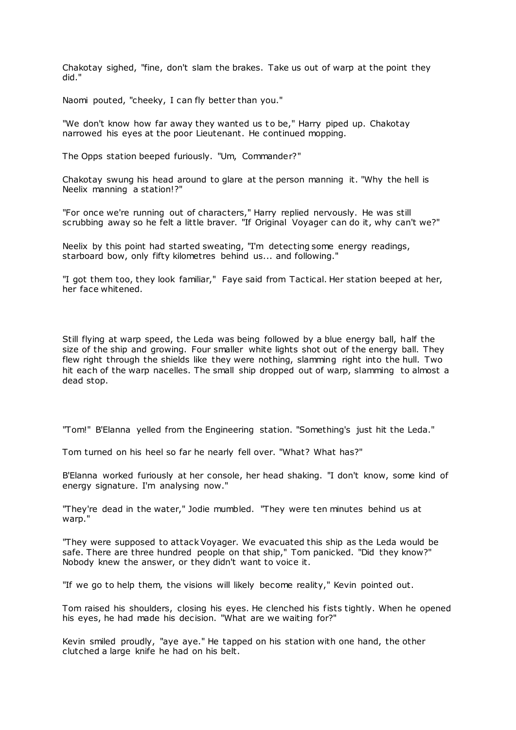Chakotay sighed, "fine, don't slam the brakes. Take us out of warp at the point they did."

Naomi pouted, "cheeky, I can fly better than you."

"We don't know how far away they wanted us to be," Harry piped up. Chakotay narrowed his eyes at the poor Lieutenant. He continued mopping.

The Opps station beeped furiously. "Um, Commander?"

Chakotay swung his head around to glare at the person manning it. "Why the hell is Neelix manning a station!?"

"For once we're running out of characters," Harry replied nervously. He was still scrubbing away so he felt a little braver. "If Original Voyager can do it, why can't we?"

Neelix by this point had started sweating, "I'm detecting some energy readings, starboard bow, only fifty kilometres behind us... and following."

"I got them too, they look familiar," Faye said from Tactical. Her station beeped at her, her face whitened.

Still flying at warp speed, the Leda was being followed by a blue energy ball, half the size of the ship and growing. Four smaller white lights shot out of the energy ball. They flew right through the shields like they were nothing, slamming right into the hull. Two hit each of the warp nacelles. The small ship dropped out of warp, slamming to almost a dead stop.

"Tom!" B'Elanna yelled from the Engineering station. "Something's just hit the Leda."

Tom turned on his heel so far he nearly fell over. "What? What has?"

B'Elanna worked furiously at her console, her head shaking. "I don't know, some kind of energy signature. I'm analysing now."

"They're dead in the water," Jodie mumbled. "They were ten minutes behind us at warp."

"They were supposed to attack Voyager. We evacuated this ship as the Leda would be safe. There are three hundred people on that ship," Tom panicked. "Did they know?" Nobody knew the answer, or they didn't want to voice it.

"If we go to help them, the visions will likely become reality," Kevin pointed out.

Tom raised his shoulders, closing his eyes. He clenched his fists tightly. When he opened his eyes, he had made his decision. "What are we waiting for?"

Kevin smiled proudly, "aye aye." He tapped on his station with one hand, the other clutched a large knife he had on his belt.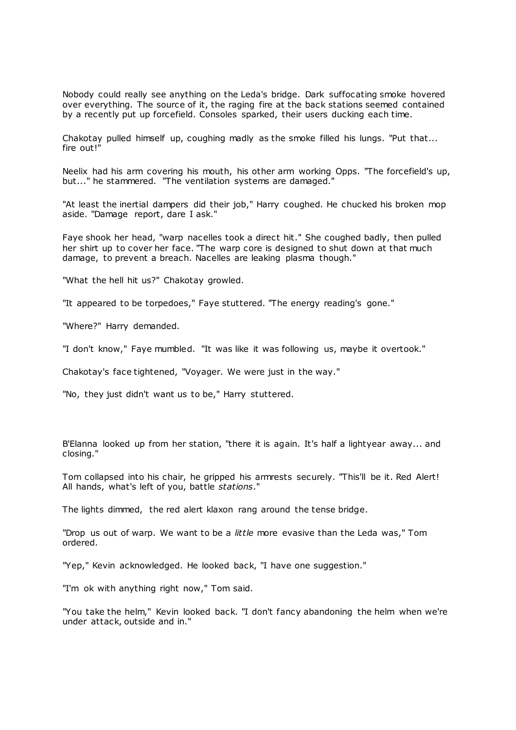Nobody could really see anything on the Leda's bridge. Dark suffocating smoke hovered over everything. The source of it, the raging fire at the back stations seemed contained by a recently put up forcefield. Consoles sparked, their users ducking each time.

Chakotay pulled himself up, coughing madly as the smoke filled his lungs. "Put that... fire out!"

Neelix had his arm covering his mouth, his other arm working Opps. "The forcefield's up, but..." he stammered. "The ventilation systems are damaged."

"At least the inertial dampers did their job," Harry coughed. He chucked his broken mop aside. "Damage report, dare I ask."

Faye shook her head, "warp nacelles took a direct hit." She coughed badly, then pulled her shirt up to cover her face. "The warp core is designed to shut down at that much damage, to prevent a breach. Nacelles are leaking plasma though."

"What the hell hit us?" Chakotay growled.

"It appeared to be torpedoes," Faye stuttered. "The energy reading's gone."

"Where?" Harry demanded.

"I don't know," Faye mumbled. "It was like it was following us, maybe it overtook."

Chakotay's face tightened, "Voyager. We were just in the way."

"No, they just didn't want us to be," Harry stuttered.

B'Elanna looked up from her station, "there it is again. It's half a lightyear away... and closing."

Tom collapsed into his chair, he gripped his armrests securely. "This'll be it. Red Alert! All hands, what's left of you, battle *stations*."

The lights dimmed, the red alert klaxon rang around the tense bridge.

"Drop us out of warp. We want to be a *little* more evasive than the Leda was," Tom ordered.

"Yep," Kevin acknowledged. He looked back, "I have one suggestion."

"I'm ok with anything right now," Tom said.

"You take the helm," Kevin looked back. "I don't fancy abandoning the helm when we're under attack, outside and in."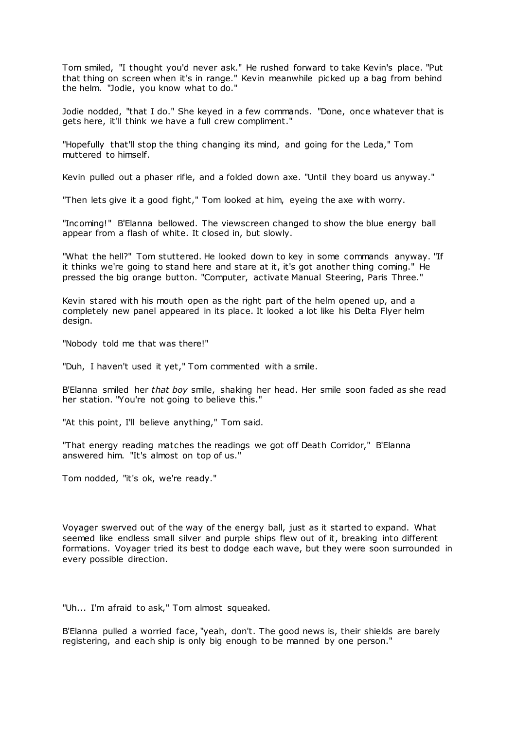Tom smiled, "I thought you'd never ask." He rushed forward to take Kevin's place. "Put that thing on screen when it's in range." Kevin meanwhile picked up a bag from behind the helm. "Jodie, you know what to do."

Jodie nodded, "that I do." She keyed in a few commands. "Done, once whatever that is gets here, it'll think we have a full crew compliment."

"Hopefully that'll stop the thing changing its mind, and going for the Leda," Tom muttered to himself.

Kevin pulled out a phaser rifle, and a folded down axe. "Until they board us anyway."

"Then lets give it a good fight," Tom looked at him, eyeing the axe with worry.

"Incoming!" B'Elanna bellowed. The viewscreen changed to show the blue energy ball appear from a flash of white. It closed in, but slowly.

"What the hell?" Tom stuttered. He looked down to key in some commands anyway. "If it thinks we're going to stand here and stare at it, it's got another thing coming." He pressed the big orange button. "Computer, activate Manual Steering, Paris Three."

Kevin stared with his mouth open as the right part of the helm opened up, and a completely new panel appeared in its place. It looked a lot like his Delta Flyer helm design.

"Nobody told me that was there!"

"Duh, I haven't used it yet," Tom commented with a smile.

B'Elanna smiled her *that boy* smile, shaking her head. Her smile soon faded as she read her station. "You're not going to believe this."

"At this point, I'll believe anything," Tom said.

"That energy reading matches the readings we got off Death Corridor," B'Elanna answered him. "It's almost on top of us."

Tom nodded, "it's ok, we're ready."

Voyager swerved out of the way of the energy ball, just as it started to expand. What seemed like endless small silver and purple ships flew out of it, breaking into different formations. Voyager tried its best to dodge each wave, but they were soon surrounded in every possible direction.

"Uh... I'm afraid to ask," Tom almost squeaked.

B'Elanna pulled a worried face, "yeah, don't. The good news is, their shields are barely registering, and each ship is only big enough to be manned by one person."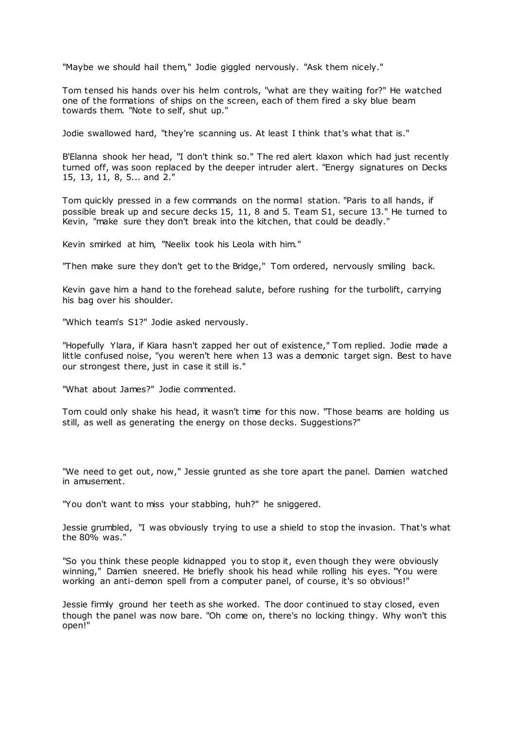"Maybe we should hail them," Jodie giggled nervously. "Ask them nicely."

Tom tensed his hands over his helm controls, "what are they waiting for?" He watched one of the formations of ships on the screen, each of them fired a sky blue beam towards them. "Note to self, shut up."

Jodie swallowed hard, "they're scanning us. At least I think that's what that is."

B'Elanna shook her head, "I don't think so." The red alert klaxon which had just recently turned off, was soon replaced by the deeper intruder alert. "Energy signatures on Decks 15, 13, 11, 8, 5... and 2."

Tom quickly pressed in a few commands on the normal station. "Paris to all hands, if possible break up and secure decks 15, 11, 8 and 5. Team S1, secure 13." He turned to Kevin, "make sure they don't break into the kitchen, that could be deadly."

Kevin smirked at him, "Neelix took his Leola with him."

"Then make sure they don't get to the Bridge," Tom ordered, nervously smiling back.

Kevin gave him a hand to the forehead salute, before rushing for the turbolift, carrying his bag over his shoulder.

"Which team's S1?" Jodie asked nervously.

"Hopefully Ylara, if Kiara hasn't zapped her out of existence," Tom replied. Jodie made a little confused noise, "you weren't here when 13 was a demonic target sign. Best to have our strongest there, just in case it still is."

"What about James?" Jodie commented.

Tom could only shake his head, it wasn't time for this now. "Those beams are holding us still, as well as generating the energy on those decks. Suggestions?"

"We need to get out, now," Jessie grunted as she tore apart the panel. Damien watched in amusement.

"You don't want to miss your stabbing, huh?" he sniggered.

Jessie grumbled, "I was obviously trying to use a shield to stop the invasion. That's what the 80% was."

"So you think these people kidnapped you to stop it, even though they were obviously winning," Damien sneered. He briefly shook his head while rolling his eyes. "You were working an anti-demon spell from a computer panel, of course, it's so obvious!"

Jessie firmly ground her teeth as she worked. The door continued to stay closed, even though the panel was now bare. "Oh come on, there's no locking thingy. Why won't this open!"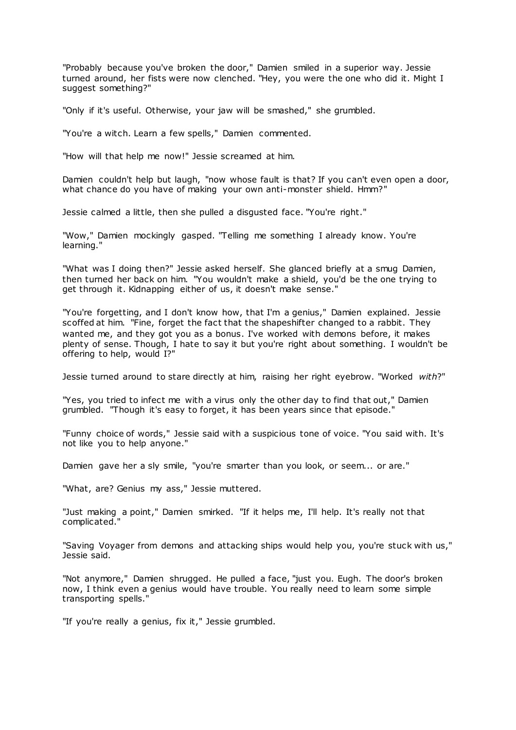"Probably because you've broken the door," Damien smiled in a superior way. Jessie turned around, her fists were now clenched. "Hey, you were the one who did it. Might I suggest something?"

"Only if it's useful. Otherwise, your jaw will be smashed," she grumbled.

"You're a witch. Learn a few spells," Damien commented.

"How will that help me now!" Jessie screamed at him.

Damien couldn't help but laugh, "now whose fault is that? If you can't even open a door, what chance do you have of making your own anti-monster shield. Hmm?"

Jessie calmed a little, then she pulled a disgusted face. "You're right."

"Wow," Damien mockingly gasped. "Telling me something I already know. You're learning."

"What was I doing then?" Jessie asked herself. She glanced briefly at a smug Damien, then turned her back on him. "You wouldn't make a shield, you'd be the one trying to get through it. Kidnapping either of us, it doesn't make sense."

"You're forgetting, and I don't know how, that I'm a genius," Damien explained. Jessie scoffed at him. "Fine, forget the fact that the shapeshifter changed to a rabbit. They wanted me, and they got you as a bonus. I've worked with demons before, it makes plenty of sense. Though, I hate to say it but you're right about something. I wouldn't be offering to help, would I?"

Jessie turned around to stare directly at him, raising her right eyebrow. "Worked *with*?"

"Yes, you tried to infect me with a virus only the other day to find that out," Damien grumbled. "Though it's easy to forget, it has been years since that episode."

"Funny choice of words," Jessie said with a suspicious tone of voice. "You said with. It's not like you to help anyone."

Damien gave her a sly smile, "you're smarter than you look, or seem... or are."

"What, are? Genius my ass," Jessie muttered.

"Just making a point," Damien smirked. "If it helps me, I'll help. It's really not that complicated."

"Saving Voyager from demons and attacking ships would help you, you're stuck with us," Jessie said.

"Not anymore," Damien shrugged. He pulled a face, "just you. Eugh. The door's broken now, I think even a genius would have trouble. You really need to learn some simple transporting spells."

"If you're really a genius, fix it," Jessie grumbled.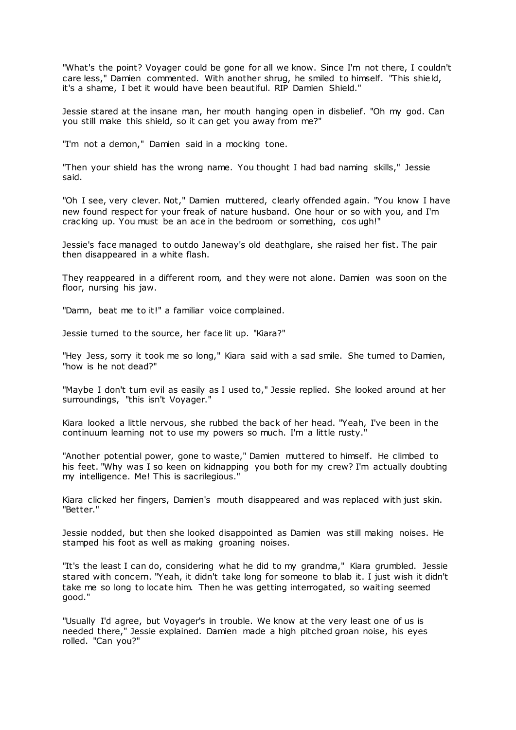"What's the point? Voyager could be gone for all we know. Since I'm not there, I couldn't care less," Damien commented. With another shrug, he smiled to himself. "This shield, it's a shame, I bet it would have been beautiful. RIP Damien Shield."

Jessie stared at the insane man, her mouth hanging open in disbelief. "Oh my god. Can you still make this shield, so it can get you away from me?"

"I'm not a demon," Damien said in a mocking tone.

"Then your shield has the wrong name. You thought I had bad naming skills," Jessie said.

"Oh I see, very clever. Not," Damien muttered, clearly offended again. "You know I have new found respect for your freak of nature husband. One hour or so with you, and I'm cracking up. You must be an ace in the bedroom or something, cos ugh!"

Jessie's face managed to outdo Janeway's old deathglare, she raised her fist. The pair then disappeared in a white flash.

They reappeared in a different room, and they were not alone. Damien was soon on the floor, nursing his jaw.

"Damn, beat me to it!" a familiar voice complained.

Jessie turned to the source, her face lit up. "Kiara?"

"Hey Jess, sorry it took me so long," Kiara said with a sad smile. She turned to Damien, "how is he not dead?"

"Maybe I don't turn evil as easily as I used to," Jessie replied. She looked around at her surroundings, "this isn't Voyager."

Kiara looked a little nervous, she rubbed the back of her head. "Yeah, I've been in the continuum learning not to use my powers so much. I'm a little rusty."

"Another potential power, gone to waste," Damien muttered to himself. He climbed to his feet. "Why was I so keen on kidnapping you both for my crew? I'm actually doubting my intelligence. Me! This is sacrilegious."

Kiara clicked her fingers, Damien's mouth disappeared and was replaced with just skin. "Better."

Jessie nodded, but then she looked disappointed as Damien was still making noises. He stamped his foot as well as making groaning noises.

"It's the least I can do, considering what he did to my grandma," Kiara grumbled. Jessie stared with concern. "Yeah, it didn't take long for someone to blab it. I just wish it didn't take me so long to locate him. Then he was getting interrogated, so waiting seemed good."

"Usually I'd agree, but Voyager's in trouble. We know at the very least one of us is needed there," Jessie explained. Damien made a high pitched groan noise, his eyes rolled. "Can you?"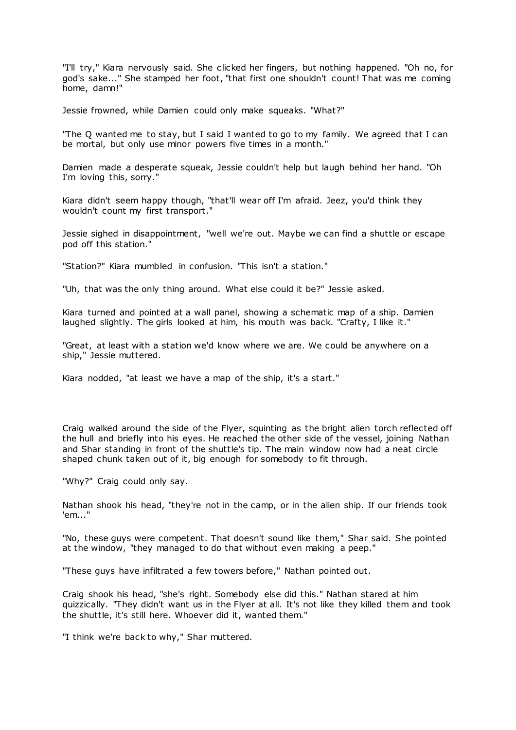"I'll try," Kiara nervously said. She clicked her fingers, but nothing happened. "Oh no, for god's sake..." She stamped her foot, "that first one shouldn't count! That was me coming home, damn!"

Jessie frowned, while Damien could only make squeaks. "What?"

"The Q wanted me to stay, but I said I wanted to go to my family. We agreed that I can be mortal, but only use minor powers five times in a month."

Damien made a desperate squeak, Jessie couldn't help but laugh behind her hand. "Oh I'm loving this, sorry."

Kiara didn't seem happy though, "that'll wear off I'm afraid. Jeez, you'd think they wouldn't count my first transport."

Jessie sighed in disappointment, "well we're out. Maybe we can find a shuttle or escape pod off this station."

"Station?" Kiara mumbled in confusion. "This isn't a station."

"Uh, that was the only thing around. What else could it be?" Jessie asked.

Kiara turned and pointed at a wall panel, showing a schematic map of a ship. Damien laughed slightly. The girls looked at him, his mouth was back. "Crafty, I like it."

"Great, at least with a station we'd know where we are. We could be anywhere on a ship," Jessie muttered.

Kiara nodded, "at least we have a map of the ship, it's a start."

Craig walked around the side of the Flyer, squinting as the bright alien torch reflected off the hull and briefly into his eyes. He reached the other side of the vessel, joining Nathan and Shar standing in front of the shuttle's tip. The main window now had a neat circle shaped chunk taken out of it, big enough for somebody to fit through.

"Why?" Craig could only say.

Nathan shook his head, "they're not in the camp, or in the alien ship. If our friends took 'em..."

"No, these guys were competent. That doesn't sound like them," Shar said. She pointed at the window, "they managed to do that without even making a peep."

"These guys have infiltrated a few towers before," Nathan pointed out.

Craig shook his head, "she's right. Somebody else did this." Nathan stared at him quizzically. "They didn't want us in the Flyer at all. It's not like they killed them and took the shuttle, it's still here. Whoever did it, wanted them."

"I think we're back to why," Shar muttered.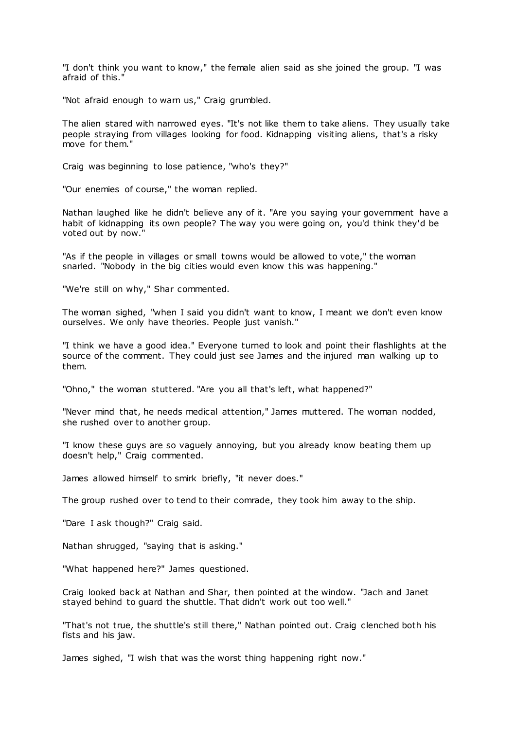"I don't think you want to know," the female alien said as she joined the group. "I was afraid of this."

"Not afraid enough to warn us," Craig grumbled.

The alien stared with narrowed eyes. "It's not like them to take aliens. They usually take people straying from villages looking for food. Kidnapping visiting aliens, that's a risky move for them."

Craig was beginning to lose patience, "who's they?"

"Our enemies of course," the woman replied.

Nathan laughed like he didn't believe any of it. "Are you saying your government have a habit of kidnapping its own people? The way you were going on, you'd think they'd be voted out by now."

"As if the people in villages or small towns would be allowed to vote," the woman snarled. "Nobody in the big cities would even know this was happening."

"We're still on why," Shar commented.

The woman sighed, "when I said you didn't want to know, I meant we don't even know ourselves. We only have theories. People just vanish."

"I think we have a good idea." Everyone turned to look and point their flashlights at the source of the comment. They could just see James and the injured man walking up to them.

"Ohno," the woman stuttered. "Are you all that's left, what happened?"

"Never mind that, he needs medical attention," James muttered. The woman nodded, she rushed over to another group.

"I know these guys are so vaguely annoying, but you already know beating them up doesn't help," Craig commented.

James allowed himself to smirk briefly, "it never does."

The group rushed over to tend to their comrade, they took him away to the ship.

"Dare I ask though?" Craig said.

Nathan shrugged, "saying that is asking."

"What happened here?" James questioned.

Craig looked back at Nathan and Shar, then pointed at the window. "Jach and Janet stayed behind to guard the shuttle. That didn't work out too well."

"That's not true, the shuttle's still there," Nathan pointed out. Craig clenched both his fists and his jaw.

James sighed, "I wish that was the worst thing happening right now."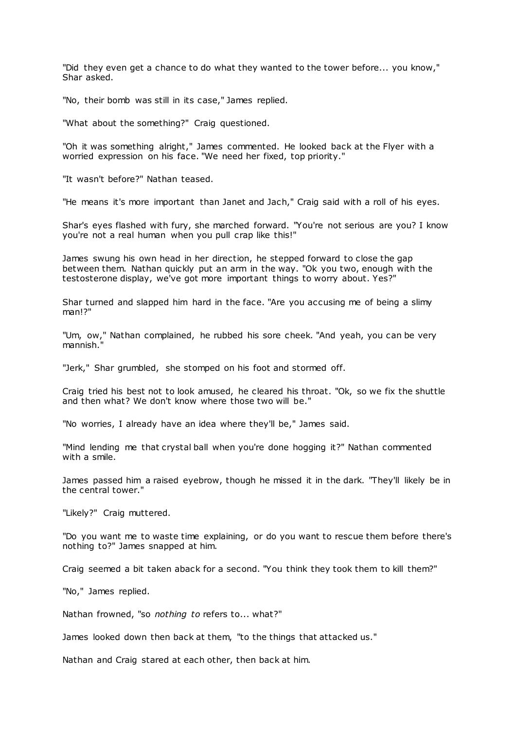"Did they even get a chance to do what they wanted to the tower before... you know," Shar asked.

"No, their bomb was still in its case," James replied.

"What about the something?" Craig questioned.

"Oh it was something alright," James commented. He looked back at the Flyer with a worried expression on his face. "We need her fixed, top priority."

"It wasn't before?" Nathan teased.

"He means it's more important than Janet and Jach," Craig said with a roll of his eyes.

Shar's eyes flashed with fury, she marched forward. "You're not serious are you? I know you're not a real human when you pull crap like this!"

James swung his own head in her direction, he stepped forward to close the gap between them. Nathan quickly put an arm in the way. "Ok you two, enough with the testosterone display, we've got more important things to worry about. Yes?"

Shar turned and slapped him hard in the face. "Are you accusing me of being a slimy man!?"

"Um, ow," Nathan complained, he rubbed his sore cheek. "And yeah, you can be very mannish."

"Jerk," Shar grumbled, she stomped on his foot and stormed off.

Craig tried his best not to look amused, he cleared his throat. "Ok, so we fix the shuttle and then what? We don't know where those two will be."

"No worries, I already have an idea where they'll be," James said.

"Mind lending me that crystal ball when you're done hogging it?" Nathan commented with a smile.

James passed him a raised eyebrow, though he missed it in the dark. "They'll likely be in the central tower."

"Likely?" Craig muttered.

"Do you want me to waste time explaining, or do you want to rescue them before there's nothing to?" James snapped at him.

Craig seemed a bit taken aback for a second. "You think they took them to kill them?"

"No," James replied.

Nathan frowned, "so *nothing to* refers to... what?"

James looked down then back at them, "to the things that attacked us."

Nathan and Craig stared at each other, then back at him.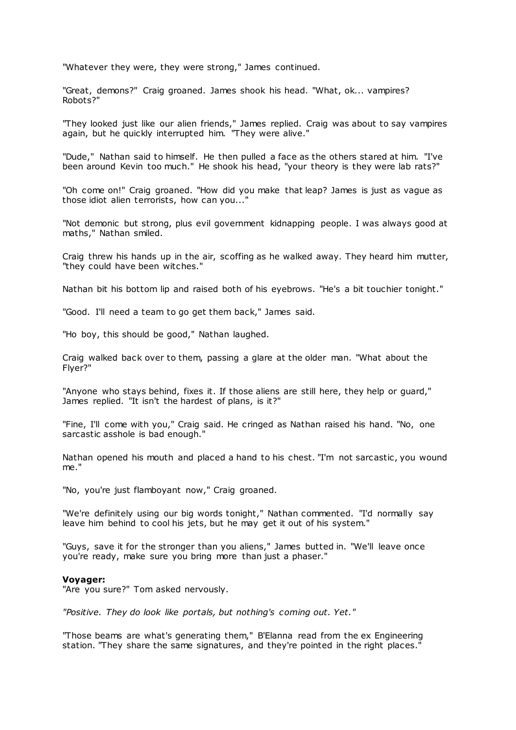"Whatever they were, they were strong," James continued.

"Great, demons?" Craig groaned. James shook his head. "What, ok... vampires? Robots?"

"They looked just like our alien friends," James replied. Craig was about to say vampires again, but he quickly interrupted him. "They were alive."

"Dude," Nathan said to himself. He then pulled a face as the others stared at him. "I've been around Kevin too much." He shook his head, "your theory is they were lab rats?"

"Oh come on!" Craig groaned. "How did you make that leap? James is just as vague as those idiot alien terrorists, how can you..."

"Not demonic but strong, plus evil government kidnapping people. I was always good at maths," Nathan smiled.

Craig threw his hands up in the air, scoffing as he walked away. They heard him mutter, "they could have been witches."

Nathan bit his bottom lip and raised both of his eyebrows. "He's a bit touchier tonight."

"Good. I'll need a team to go get them back," James said.

"Ho boy, this should be good," Nathan laughed.

Craig walked back over to them, passing a glare at the older man. "What about the Flyer?"

"Anyone who stays behind, fixes it. If those aliens are still here, they help or guard," James replied. "It isn't the hardest of plans, is it?"

"Fine, I'll come with you," Craig said. He cringed as Nathan raised his hand. "No, one sarcastic asshole is bad enough."

Nathan opened his mouth and placed a hand to his chest. "I'm not sarcastic, you wound me."

"No, you're just flamboyant now," Craig groaned.

"We're definitely using our big words tonight," Nathan commented. "I'd normally say leave him behind to cool his jets, but he may get it out of his system."

"Guys, save it for the stronger than you aliens," James butted in. "We'll leave once you're ready, make sure you bring more than just a phaser."

### **Voyager:**

"Are you sure?" Tom asked nervously.

*"Positive. They do look like portals, but nothing's coming out. Yet."*

"Those beams are what's generating them," B'Elanna read from the ex Engineering station. "They share the same signatures, and they're pointed in the right places."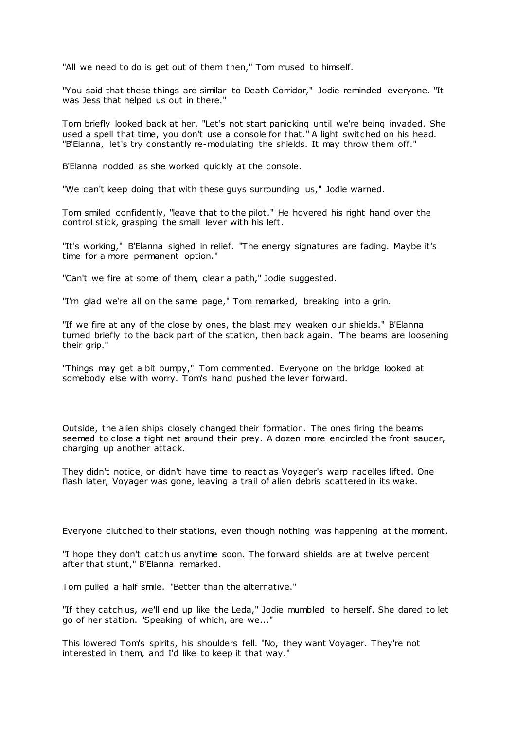"All we need to do is get out of them then," Tom mused to himself.

"You said that these things are similar to Death Corridor," Jodie reminded everyone. "It was Jess that helped us out in there."

Tom briefly looked back at her. "Let's not start panicking until we're being invaded. She used a spell that time, you don't use a console for that." A light switched on his head. "B'Elanna, let's try constantly re-modulating the shields. It may throw them off."

B'Elanna nodded as she worked quickly at the console.

"We can't keep doing that with these guys surrounding us," Jodie warned.

Tom smiled confidently, "leave that to the pilot." He hovered his right hand over the control stick, grasping the small lever with his left.

"It's working," B'Elanna sighed in relief. "The energy signatures are fading. Maybe it's time for a more permanent option."

"Can't we fire at some of them, clear a path," Jodie suggested.

"I'm glad we're all on the same page," Tom remarked, breaking into a grin.

"If we fire at any of the close by ones, the blast may weaken our shields." B'Elanna turned briefly to the back part of the station, then back again. "The beams are loosening their grip."

"Things may get a bit bumpy," Tom commented. Everyone on the bridge looked at somebody else with worry. Tom's hand pushed the lever forward.

Outside, the alien ships closely changed their formation. The ones firing the beams seemed to close a tight net around their prey. A dozen more encircled the front saucer, charging up another attack.

They didn't notice, or didn't have time to react as Voyager's warp nacelles lifted. One flash later, Voyager was gone, leaving a trail of alien debris scattered in its wake.

Everyone clutched to their stations, even though nothing was happening at the moment.

"I hope they don't catch us anytime soon. The forward shields are at twelve percent after that stunt," B'Elanna remarked.

Tom pulled a half smile. "Better than the alternative."

"If they catch us, we'll end up like the Leda," Jodie mumbled to herself. She dared to let go of her station. "Speaking of which, are we..."

This lowered Tom's spirits, his shoulders fell. "No, they want Voyager. They're not interested in them, and I'd like to keep it that way."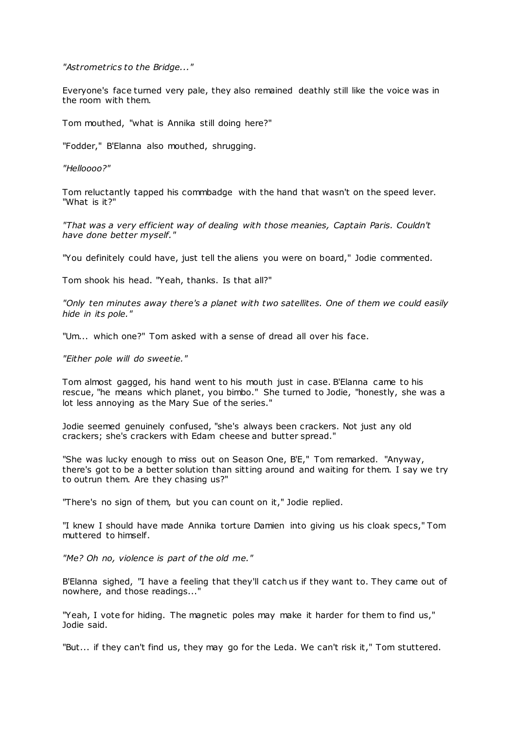*"Astrometrics to the Bridge..."*

Everyone's face turned very pale, they also remained deathly still like the voice was in the room with them.

Tom mouthed, "what is Annika still doing here?"

"Fodder," B'Elanna also mouthed, shrugging.

*"Helloooo?"*

Tom reluctantly tapped his commbadge with the hand that wasn't on the speed lever. "What is it?"

*"That was a very efficient way of dealing with those meanies, Captain Paris. Couldn't have done better myself."*

"You definitely could have, just tell the aliens you were on board," Jodie commented.

Tom shook his head. "Yeah, thanks. Is that all?"

*"Only ten minutes away there's a planet with two satellites. One of them we could easily hide in its pole."*

"Um... which one?" Tom asked with a sense of dread all over his face.

*"Either pole will do sweetie."*

Tom almost gagged, his hand went to his mouth just in case. B'Elanna came to his rescue, "he means which planet, you bimbo." She turned to Jodie, "honestly, she was a lot less annoying as the Mary Sue of the series."

Jodie seemed genuinely confused, "she's always been crackers. Not just any old crackers; she's crackers with Edam cheese and butter spread."

"She was lucky enough to miss out on Season One, B'E," Tom remarked. "Anyway, there's got to be a better solution than sitting around and waiting for them. I say we try to outrun them. Are they chasing us?"

"There's no sign of them, but you can count on it," Jodie replied.

"I knew I should have made Annika torture Damien into giving us his cloak specs," Tom muttered to himself.

*"Me? Oh no, violence is part of the old me."*

B'Elanna sighed, "I have a feeling that they'll catch us if they want to. They came out of nowhere, and those readings..."

"Yeah, I vote for hiding. The magnetic poles may make it harder for them to find us," Jodie said.

"But... if they can't find us, they may go for the Leda. We can't risk it," Tom stuttered.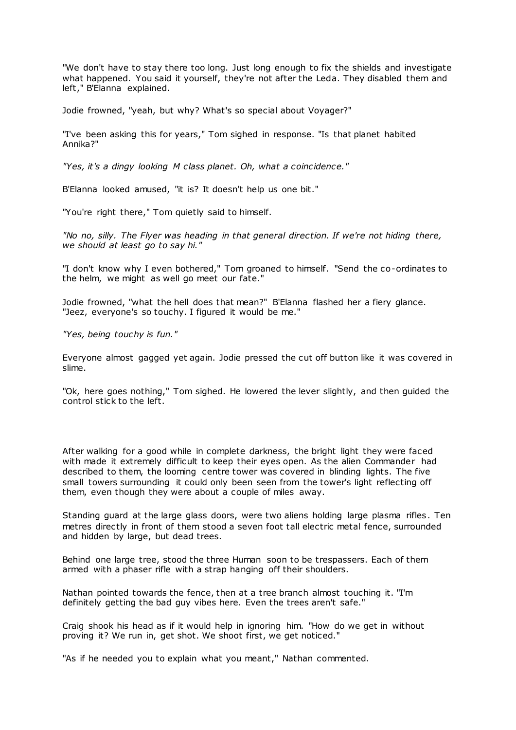"We don't have to stay there too long. Just long enough to fix the shields and investigate what happened. You said it yourself, they're not after the Leda. They disabled them and left," B'Elanna explained.

Jodie frowned, "yeah, but why? What's so special about Voyager?"

"I've been asking this for years," Tom sighed in response. "Is that planet habited Annika?"

*"Yes, it's a dingy looking M class planet. Oh, what a coincidence."*

B'Elanna looked amused, "it is? It doesn't help us one bit."

"You're right there," Tom quietly said to himself.

*"No no, silly. The Flyer was heading in that general direction. If we're not hiding there, we should at least go to say hi."*

"I don't know why I even bothered," Tom groaned to himself. "Send the co-ordinates to the helm, we might as well go meet our fate."

Jodie frowned, "what the hell does that mean?" B'Elanna flashed her a fiery glance. "Jeez, everyone's so touchy. I figured it would be me."

*"Yes, being touchy is fun."*

Everyone almost gagged yet again. Jodie pressed the cut off button like it was covered in slime.

"Ok, here goes nothing," Tom sighed. He lowered the lever slightly, and then guided the control stick to the left.

After walking for a good while in complete darkness, the bright light they were faced with made it extremely difficult to keep their eyes open. As the alien Commander had described to them, the looming centre tower was covered in blinding lights. The five small towers surrounding it could only been seen from the tower's light reflecting off them, even though they were about a couple of miles away.

Standing guard at the large glass doors, were two aliens holding large plasma rifles. Ten metres directly in front of them stood a seven foot tall electric metal fence, surrounded and hidden by large, but dead trees.

Behind one large tree, stood the three Human soon to be trespassers. Each of them armed with a phaser rifle with a strap hanging off their shoulders.

Nathan pointed towards the fence, then at a tree branch almost touching it. "I'm definitely getting the bad guy vibes here. Even the trees aren't safe."

Craig shook his head as if it would help in ignoring him. "How do we get in without proving it? We run in, get shot. We shoot first, we get noticed."

"As if he needed you to explain what you meant," Nathan commented.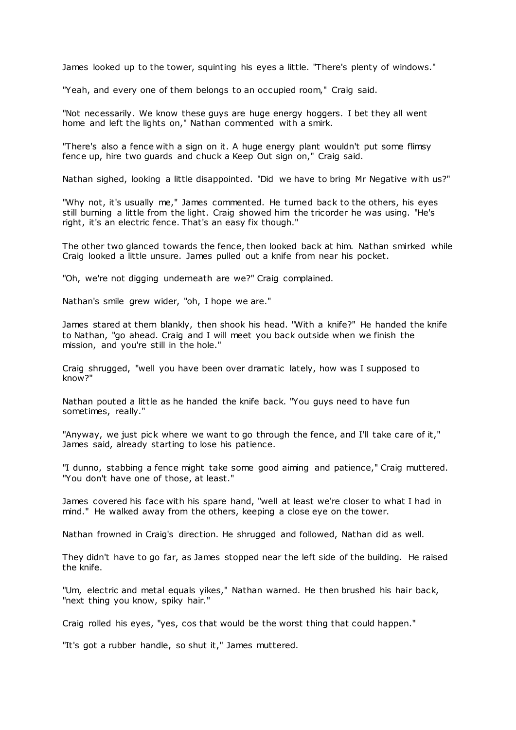James looked up to the tower, squinting his eyes a little. "There's plenty of windows."

"Yeah, and every one of them belongs to an occupied room," Craig said.

"Not necessarily. We know these guys are huge energy hoggers. I bet they all went home and left the lights on," Nathan commented with a smirk.

"There's also a fence with a sign on it. A huge energy plant wouldn't put some flimsy fence up, hire two guards and chuck a Keep Out sign on," Craig said.

Nathan sighed, looking a little disappointed. "Did we have to bring Mr Negative with us?"

"Why not, it's usually me," James commented. He turned back to the others, his eyes still burning a little from the light. Craig showed him the tricorder he was using. "He's right, it's an electric fence. That's an easy fix though."

The other two glanced towards the fence, then looked back at him. Nathan smirked while Craig looked a little unsure. James pulled out a knife from near his pocket.

"Oh, we're not digging underneath are we?" Craig complained.

Nathan's smile grew wider, "oh, I hope we are."

James stared at them blankly, then shook his head. "With a knife?" He handed the knife to Nathan, "go ahead. Craig and I will meet you back outside when we finish the mission, and you're still in the hole."

Craig shrugged, "well you have been over dramatic lately, how was I supposed to know?"

Nathan pouted a little as he handed the knife back. "You guys need to have fun sometimes, really."

"Anyway, we just pick where we want to go through the fence, and I'll take care of it," James said, already starting to lose his patience.

"I dunno, stabbing a fence might take some good aiming and patience," Craig muttered. "You don't have one of those, at least."

James covered his face with his spare hand, "well at least we're closer to what I had in mind." He walked away from the others, keeping a close eye on the tower.

Nathan frowned in Craig's direction. He shrugged and followed, Nathan did as well.

They didn't have to go far, as James stopped near the left side of the building. He raised the knife.

"Um, electric and metal equals yikes," Nathan warned. He then brushed his hair back, "next thing you know, spiky hair."

Craig rolled his eyes, "yes, cos that would be the worst thing that could happen."

"It's got a rubber handle, so shut it," James muttered.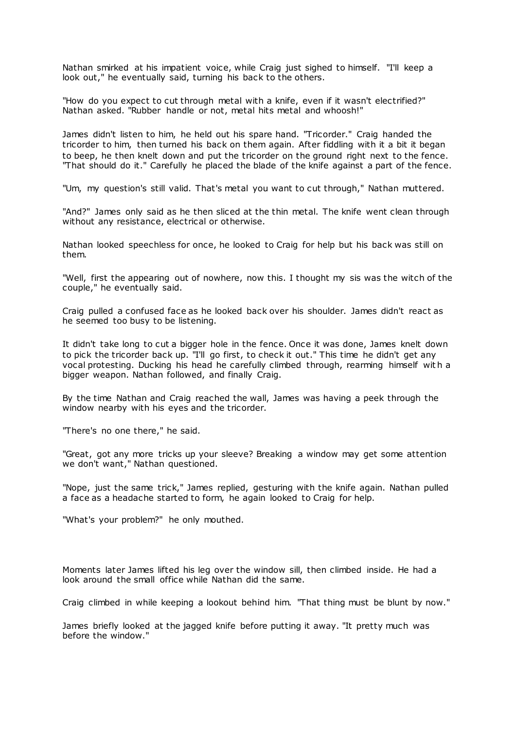Nathan smirked at his impatient voice, while Craig just sighed to himself. "I'll keep a look out," he eventually said, turning his back to the others.

"How do you expect to cut through metal with a knife, even if it wasn't electrified?" Nathan asked. "Rubber handle or not, metal hits metal and whoosh!"

James didn't listen to him, he held out his spare hand. "Tricorder." Craig handed the tricorder to him, then turned his back on them again. After fiddling with it a bit it began to beep, he then knelt down and put the tricorder on the ground right next to the fence. "That should do it." Carefully he placed the blade of the knife against a part of the fence.

"Um, my question's still valid. That's metal you want to cut through," Nathan muttered.

"And?" James only said as he then sliced at the thin metal. The knife went clean through without any resistance, electrical or otherwise.

Nathan looked speechless for once, he looked to Craig for help but his back was still on them.

"Well, first the appearing out of nowhere, now this. I thought my sis was the witch of the couple," he eventually said.

Craig pulled a confused face as he looked back over his shoulder. James didn't react as he seemed too busy to be listening.

It didn't take long to cut a bigger hole in the fence. Once it was done, James knelt down to pick the tricorder back up. "I'll go first, to check it out." This time he didn't get any vocal protesting. Ducking his head he carefully climbed through, rearming himself wit h a bigger weapon. Nathan followed, and finally Craig.

By the time Nathan and Craig reached the wall, James was having a peek through the window nearby with his eyes and the tricorder.

"There's no one there," he said.

"Great, got any more tricks up your sleeve? Breaking a window may get some attention we don't want," Nathan questioned.

"Nope, just the same trick," James replied, gesturing with the knife again. Nathan pulled a face as a headache started to form, he again looked to Craig for help.

"What's your problem?" he only mouthed.

Moments later James lifted his leg over the window sill, then climbed inside. He had a look around the small office while Nathan did the same.

Craig climbed in while keeping a lookout behind him. "That thing must be blunt by now."

James briefly looked at the jagged knife before putting it away. "It pretty much was before the window."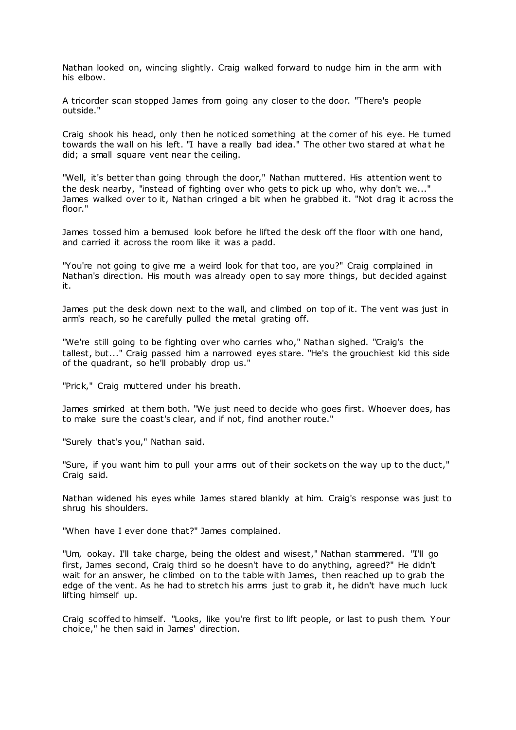Nathan looked on, wincing slightly. Craig walked forward to nudge him in the arm with his elbow.

A tricorder scan stopped James from going any closer to the door. "There's people outside."

Craig shook his head, only then he noticed something at the corner of his eye. He turned towards the wall on his left. "I have a really bad idea." The other two stared at what he did; a small square vent near the ceiling.

"Well, it's better than going through the door," Nathan muttered. His attention went to the desk nearby, "instead of fighting over who gets to pick up who, why don't we..." James walked over to it, Nathan cringed a bit when he grabbed it. "Not drag it across the floor."

James tossed him a bemused look before he lifted the desk off the floor with one hand, and carried it across the room like it was a padd.

"You're not going to give me a weird look for that too, are you?" Craig complained in Nathan's direction. His mouth was already open to say more things, but decided against it.

James put the desk down next to the wall, and climbed on top of it. The vent was just in arm's reach, so he carefully pulled the metal grating off.

"We're still going to be fighting over who carries who," Nathan sighed. "Craig's the tallest, but..." Craig passed him a narrowed eyes stare. "He's the grouchiest kid this side of the quadrant, so he'll probably drop us."

"Prick," Craig muttered under his breath.

James smirked at them both. "We just need to decide who goes first. Whoever does, has to make sure the coast's clear, and if not, find another route."

"Surely that's you," Nathan said.

"Sure, if you want him to pull your arms out of their sockets on the way up to the duct," Craig said.

Nathan widened his eyes while James stared blankly at him. Craig's response was just to shrug his shoulders.

"When have I ever done that?" James complained.

"Um, ookay. I'll take charge, being the oldest and wisest," Nathan stammered. "I'll go first, James second, Craig third so he doesn't have to do anything, agreed?" He didn't wait for an answer, he climbed on to the table with James, then reached up to grab the edge of the vent. As he had to stretch his arms just to grab it, he didn't have much luck lifting himself up.

Craig scoffed to himself. "Looks, like you're first to lift people, or last to push them. Your choice," he then said in James' direction.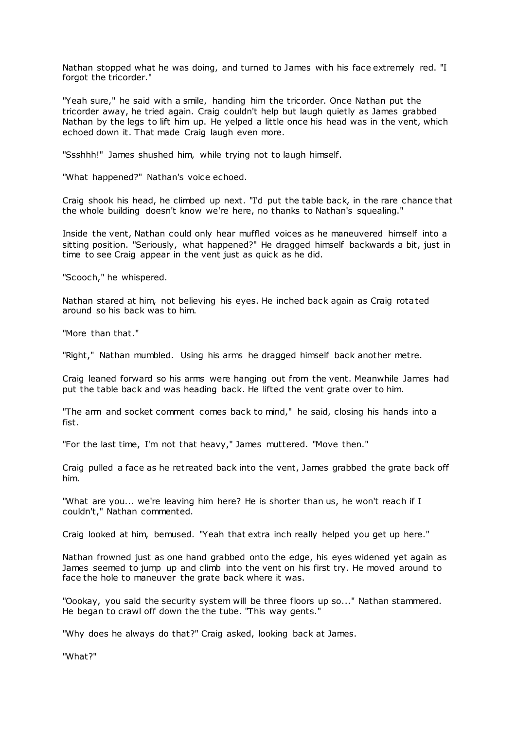Nathan stopped what he was doing, and turned to James with his face extremely red. "I forgot the tricorder."

"Yeah sure," he said with a smile, handing him the tricorder. Once Nathan put the tricorder away, he tried again. Craig couldn't help but laugh quietly as James grabbed Nathan by the legs to lift him up. He yelped a little once his head was in the vent, which echoed down it. That made Craig laugh even more.

"Ssshhh!" James shushed him, while trying not to laugh himself.

"What happened?" Nathan's voice echoed.

Craig shook his head, he climbed up next. "I'd put the table back, in the rare chance that the whole building doesn't know we're here, no thanks to Nathan's squealing."

Inside the vent, Nathan could only hear muffled voices as he maneuvered himself into a sitting position. "Seriously, what happened?" He dragged himself backwards a bit, just in time to see Craig appear in the vent just as quick as he did.

"Scooch," he whispered.

Nathan stared at him, not believing his eyes. He inched back again as Craig rotated around so his back was to him.

"More than that."

"Right," Nathan mumbled. Using his arms he dragged himself back another metre.

Craig leaned forward so his arms were hanging out from the vent. Meanwhile James had put the table back and was heading back. He lifted the vent grate over to him.

"The arm and socket comment comes back to mind," he said, closing his hands into a fist.

"For the last time, I'm not that heavy," James muttered. "Move then."

Craig pulled a face as he retreated back into the vent, James grabbed the grate back off him.

"What are you... we're leaving him here? He is shorter than us, he won't reach if I couldn't," Nathan commented.

Craig looked at him, bemused. "Yeah that extra inch really helped you get up here."

Nathan frowned just as one hand grabbed onto the edge, his eyes widened yet again as James seemed to jump up and climb into the vent on his first try. He moved around to face the hole to maneuver the grate back where it was.

"Oookay, you said the security system will be three floors up so..." Nathan stammered. He began to crawl off down the the tube. "This way gents."

"Why does he always do that?" Craig asked, looking back at James.

"What?"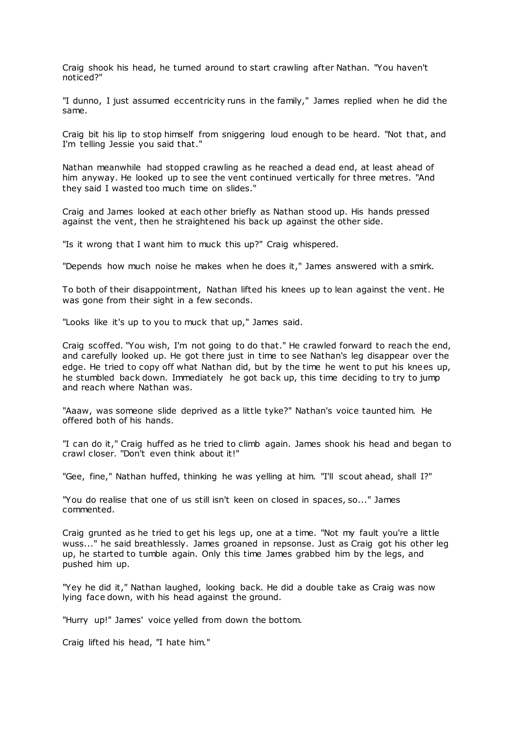Craig shook his head, he turned around to start crawling after Nathan. "You haven't noticed?"

"I dunno, I just assumed eccentricity runs in the family," James replied when he did the same.

Craig bit his lip to stop himself from sniggering loud enough to be heard. "Not that, and I'm telling Jessie you said that."

Nathan meanwhile had stopped crawling as he reached a dead end, at least ahead of him anyway. He looked up to see the vent continued vertically for three metres. "And they said I wasted too much time on slides."

Craig and James looked at each other briefly as Nathan stood up. His hands pressed against the vent, then he straightened his back up against the other side.

"Is it wrong that I want him to muck this up?" Craig whispered.

"Depends how much noise he makes when he does it," James answered with a smirk.

To both of their disappointment, Nathan lifted his knees up to lean against the vent. He was gone from their sight in a few seconds.

"Looks like it's up to you to muck that up," James said.

Craig scoffed. "You wish, I'm not going to do that." He crawled forward to reach the end, and carefully looked up. He got there just in time to see Nathan's leg disappear over the edge. He tried to copy off what Nathan did, but by the time he went to put his knees up, he stumbled back down. Immediately he got back up, this time deciding to try to jump and reach where Nathan was.

"Aaaw, was someone slide deprived as a little tyke?" Nathan's voice taunted him. He offered both of his hands.

"I can do it," Craig huffed as he tried to climb again. James shook his head and began to crawl closer. "Don't even think about it!"

"Gee, fine," Nathan huffed, thinking he was yelling at him. "I'll scout ahead, shall I?"

"You do realise that one of us still isn't keen on closed in spaces, so..." James commented.

Craig grunted as he tried to get his legs up, one at a time. "Not my fault you're a little wuss..." he said breathlessly. James groaned in repsonse. Just as Craig got his other leg up, he started to tumble again. Only this time James grabbed him by the legs, and pushed him up.

"Yey he did it," Nathan laughed, looking back. He did a double take as Craig was now lying face down, with his head against the ground.

"Hurry up!" James' voice yelled from down the bottom.

Craig lifted his head, "I hate him."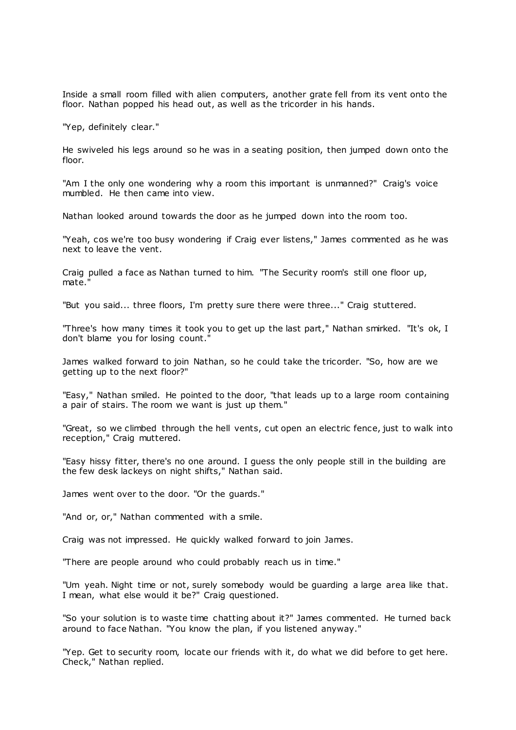Inside a small room filled with alien computers, another grate fell from its vent onto the floor. Nathan popped his head out, as well as the tricorder in his hands.

"Yep, definitely clear."

He swiveled his legs around so he was in a seating position, then jumped down onto the floor.

"Am I the only one wondering why a room this important is unmanned?" Craig's voice mumbled. He then came into view.

Nathan looked around towards the door as he jumped down into the room too.

"Yeah, cos we're too busy wondering if Craig ever listens," James commented as he was next to leave the vent.

Craig pulled a face as Nathan turned to him. "The Security room's still one floor up, mate.

"But you said... three floors, I'm pretty sure there were three..." Craig stuttered.

"Three's how many times it took you to get up the last part," Nathan smirked. "It's ok, I don't blame you for losing count."

James walked forward to join Nathan, so he could take the tricorder. "So, how are we getting up to the next floor?"

"Easy," Nathan smiled. He pointed to the door, "that leads up to a large room containing a pair of stairs. The room we want is just up them."

"Great, so we climbed through the hell vents, cut open an electric fence, just to walk into reception," Craig muttered.

"Easy hissy fitter, there's no one around. I guess the only people still in the building are the few desk lackeys on night shifts," Nathan said.

James went over to the door. "Or the guards."

"And or, or," Nathan commented with a smile.

Craig was not impressed. He quickly walked forward to join James.

"There are people around who could probably reach us in time."

"Um yeah. Night time or not, surely somebody would be guarding a large area like that. I mean, what else would it be?" Craig questioned.

"So your solution is to waste time chatting about it?" James commented. He turned back around to face Nathan. "You know the plan, if you listened anyway."

"Yep. Get to security room, locate our friends with it, do what we did before to get here. Check," Nathan replied.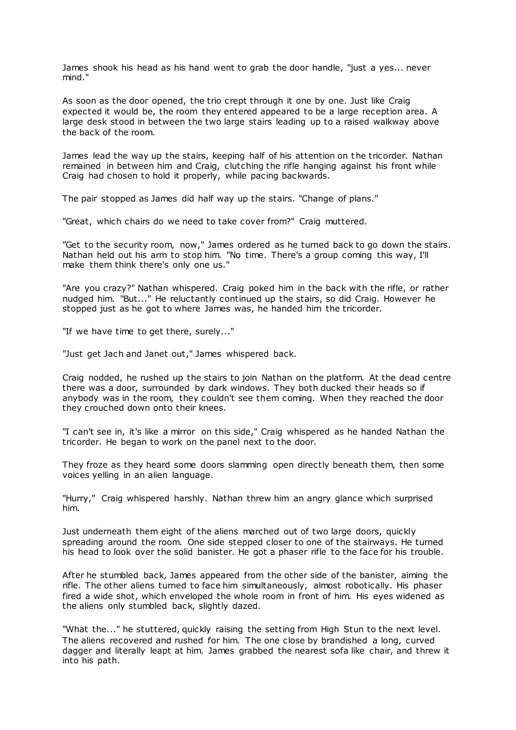James shook his head as his hand went to grab the door handle, "just a yes... never mind."

As soon as the door opened, the trio crept through it one by one. Just like Craig expected it would be, the room they entered appeared to be a large reception area. A large desk stood in between the two large stairs leading up to a raised walkway above the back of the room.

James lead the way up the stairs, keeping half of his attention on the tricorder. Nathan remained in between him and Craig, clutching the rifle hanging against his front while Craig had chosen to hold it properly, while pacing backwards.

The pair stopped as James did half way up the stairs. "Change of plans."

"Great, which chairs do we need to take cover from?" Craig muttered.

"Get to the security room, now," James ordered as he turned back to go down the stairs. Nathan held out his arm to stop him. "No time. There's a group coming this way, I'll make them think there's only one us."

"Are you crazy?" Nathan whispered. Craig poked him in the back with the rifle, or rather nudged him. "But..." He reluctantly continued up the stairs, so did Craig. However he stopped just as he got to where James was, he handed him the tricorder.

"If we have time to get there, surely..."

"Just get Jach and Janet out," James whispered back.

Craig nodded, he rushed up the stairs to join Nathan on the platform. At the dead centre there was a door, surrounded by dark windows. They both ducked their heads so if anybody was in the room, they couldn't see them coming. When they reached the door they crouched down onto their knees.

"I can't see in, it's like a mirror on this side," Craig whispered as he handed Nathan the tricorder. He began to work on the panel next to the door.

They froze as they heard some doors slamming open directly beneath them, then some voices yelling in an alien language.

"Hurry," Craig whispered harshly. Nathan threw him an angry glance which surprised him.

Just underneath them eight of the aliens marched out of two large doors, quickly spreading around the room. One side stepped closer to one of the stairways. He turned his head to look over the solid banister. He got a phaser rifle to the face for his trouble.

After he stumbled back, James appeared from the other side of the banister, aiming the rifle. The other aliens turned to face him simultaneously, almost robotically. His phaser fired a wide shot, which enveloped the whole room in front of him. His eyes widened as the aliens only stumbled back, slightly dazed.

"What the..." he stuttered, quickly raising the setting from High Stun to the next level. The aliens recovered and rushed for him. The one close by brandished a long, curved dagger and literally leapt at him. James grabbed the nearest sofa like chair, and threw it into his path.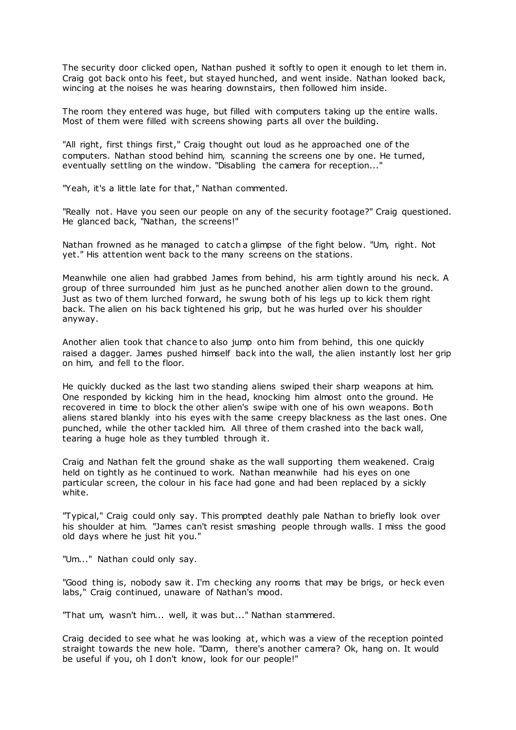The security door clicked open, Nathan pushed it softly to open it enough to let them in. Craig got back onto his feet, but stayed hunched, and went inside. Nathan looked back, wincing at the noises he was hearing downstairs, then followed him inside.

The room they entered was huge, but filled with computers taking up the entire walls. Most of them were filled with screens showing parts all over the building.

"All right, first things first," Craig thought out loud as he approached one of the computers. Nathan stood behind him, scanning the screens one by one. He turned, eventually settling on the window. "Disabling the camera for reception..."

"Yeah, it's a little late for that," Nathan commented.

"Really not. Have you seen our people on any of the security footage?" Craig questioned. He glanced back, "Nathan, the screens!"

Nathan frowned as he managed to catch a glimpse of the fight below. "Um, right. Not yet." His attention went back to the many screens on the stations.

Meanwhile one alien had grabbed James from behind, his arm tightly around his neck. A group of three surrounded him just as he punched another alien down to the ground. Just as two of them lurched forward, he swung both of his legs up to kick them right back. The alien on his back tightened his grip, but he was hurled over his shoulder anyway.

Another alien took that chance to also jump onto him from behind, this one quickly raised a dagger. James pushed himself back into the wall, the alien instantly lost her grip on him, and fell to the floor.

He quickly ducked as the last two standing aliens swiped their sharp weapons at him. One responded by kicking him in the head, knocking him almost onto the ground. He recovered in time to block the other alien's swipe with one of his own weapons. Both aliens stared blankly into his eyes with the same creepy blackness as the last ones. One punched, while the other tackled him. All three of them crashed into the back wall, tearing a huge hole as they tumbled through it.

Craig and Nathan felt the ground shake as the wall supporting them weakened. Craig held on tightly as he continued to work. Nathan meanwhile had his eyes on one particular screen, the colour in his face had gone and had been replaced by a sickly white.

"Typical," Craig could only say. This prompted deathly pale Nathan to briefly look over his shoulder at him. "James can't resist smashing people through walls. I miss the good old days where he just hit you."

"Um..." Nathan could only say.

"Good thing is, nobody saw it. I'm checking any rooms that may be brigs, or heck even labs," Craig continued, unaware of Nathan's mood.

"That um, wasn't him... well, it was but..." Nathan stammered.

Craig decided to see what he was looking at, which was a view of the reception pointed straight towards the new hole. "Damn, there's another camera? Ok, hang on. It would be useful if you, oh I don't know, look for our people!"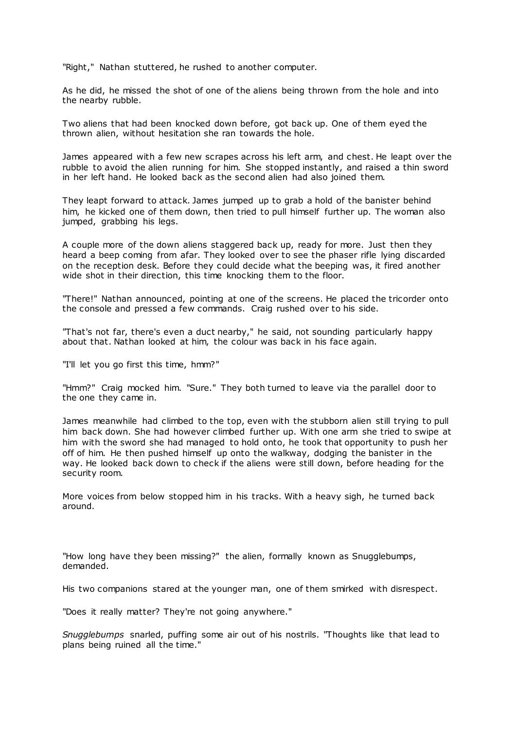"Right," Nathan stuttered, he rushed to another computer.

As he did, he missed the shot of one of the aliens being thrown from the hole and into the nearby rubble.

Two aliens that had been knocked down before, got back up. One of them eyed the thrown alien, without hesitation she ran towards the hole.

James appeared with a few new scrapes across his left arm, and chest. He leapt over the rubble to avoid the alien running for him. She stopped instantly, and raised a thin sword in her left hand. He looked back as the second alien had also joined them.

They leapt forward to attack. James jumped up to grab a hold of the banister behind him, he kicked one of them down, then tried to pull himself further up. The woman also jumped, grabbing his legs.

A couple more of the down aliens staggered back up, ready for more. Just then they heard a beep coming from afar. They looked over to see the phaser rifle lying discarded on the reception desk. Before they could decide what the beeping was, it fired another wide shot in their direction, this time knocking them to the floor.

"There!" Nathan announced, pointing at one of the screens. He placed the tricorder onto the console and pressed a few commands. Craig rushed over to his side.

"That's not far, there's even a duct nearby," he said, not sounding particularly happy about that. Nathan looked at him, the colour was back in his face again.

"I'll let you go first this time, hmm?"

"Hmm?" Craig mocked him. "Sure." They both turned to leave via the parallel door to the one they came in.

James meanwhile had climbed to the top, even with the stubborn alien still trying to pull him back down. She had however climbed further up. With one arm she tried to swipe at him with the sword she had managed to hold onto, he took that opportunity to push her off of him. He then pushed himself up onto the walkway, dodging the banister in the way. He looked back down to check if the aliens were still down, before heading for the security room.

More voices from below stopped him in his tracks. With a heavy sigh, he turned back around.

"How long have they been missing?" the alien, formally known as Snugglebumps, demanded.

His two companions stared at the younger man, one of them smirked with disrespect.

"Does it really matter? They're not going anywhere."

*Snugglebumps* snarled, puffing some air out of his nostrils. "Thoughts like that lead to plans being ruined all the time."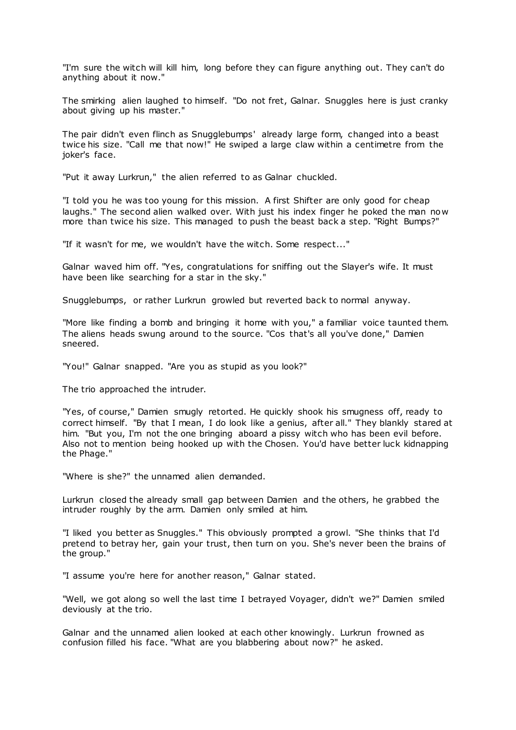"I'm sure the witch will kill him, long before they can figure anything out. They can't do anything about it now."

The smirking alien laughed to himself. "Do not fret, Galnar. Snuggles here is just cranky about giving up his master."

The pair didn't even flinch as Snugglebumps' already large form, changed into a beast twice his size. "Call me that now!" He swiped a large claw within a centimetre from the joker's face.

"Put it away Lurkrun," the alien referred to as Galnar chuckled.

"I told you he was too young for this mission. A first Shifter are only good for cheap laughs." The second alien walked over. With just his index finger he poked the man now more than twice his size. This managed to push the beast back a step. "Right Bumps?"

"If it wasn't for me, we wouldn't have the witch. Some respect..."

Galnar waved him off. "Yes, congratulations for sniffing out the Slayer's wife. It must have been like searching for a star in the sky."

Snugglebumps, or rather Lurkrun growled but reverted back to normal anyway.

"More like finding a bomb and bringing it home with you," a familiar voice taunted them. The aliens heads swung around to the source. "Cos that's all you've done," Damien sneered.

"You!" Galnar snapped. "Are you as stupid as you look?"

The trio approached the intruder.

"Yes, of course," Damien smugly retorted. He quickly shook his smugness off, ready to correct himself. "By that I mean, I do look like a genius, after all." They blankly stared at him. "But you, I'm not the one bringing aboard a pissy witch who has been evil before. Also not to mention being hooked up with the Chosen. You'd have better luck kidnapping the Phage."

"Where is she?" the unnamed alien demanded.

Lurkrun closed the already small gap between Damien and the others, he grabbed the intruder roughly by the arm. Damien only smiled at him.

"I liked you better as Snuggles." This obviously prompted a growl. "She thinks that I'd pretend to betray her, gain your trust, then turn on you. She's never been the brains of the group."

"I assume you're here for another reason," Galnar stated.

"Well, we got along so well the last time I betrayed Voyager, didn't we?" Damien smiled deviously at the trio.

Galnar and the unnamed alien looked at each other knowingly. Lurkrun frowned as confusion filled his face. "What are you blabbering about now?" he asked.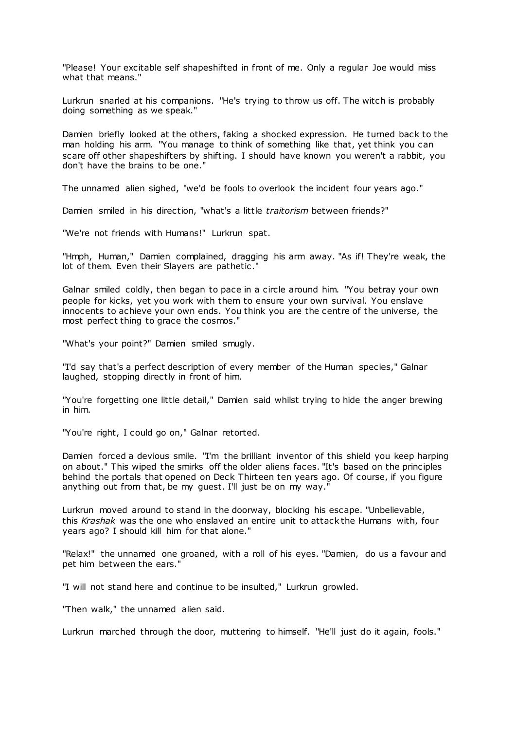"Please! Your excitable self shapeshifted in front of me. Only a regular Joe would miss what that means."

Lurkrun snarled at his companions. "He's trying to throw us off. The witch is probably doing something as we speak."

Damien briefly looked at the others, faking a shocked expression. He turned back to the man holding his arm. "You manage to think of something like that, yet think you can scare off other shapeshifters by shifting. I should have known you weren't a rabbit, you don't have the brains to be one."

The unnamed alien sighed, "we'd be fools to overlook the incident four years ago."

Damien smiled in his direction, "what's a little *traitorism* between friends?"

"We're not friends with Humans!" Lurkrun spat.

"Hmph, Human," Damien complained, dragging his arm away. "As if! They're weak, the lot of them. Even their Slayers are pathetic."

Galnar smiled coldly, then began to pace in a circle around him. "You betray your own people for kicks, yet you work with them to ensure your own survival. You enslave innocents to achieve your own ends. You think you are the centre of the universe, the most perfect thing to grace the cosmos."

"What's your point?" Damien smiled smugly.

"I'd say that's a perfect description of every member of the Human species," Galnar laughed, stopping directly in front of him.

"You're forgetting one little detail," Damien said whilst trying to hide the anger brewing in him.

"You're right, I could go on," Galnar retorted.

Damien forced a devious smile. "I'm the brilliant inventor of this shield you keep harping on about." This wiped the smirks off the older aliens faces. "It's based on the principles behind the portals that opened on Deck Thirteen ten years ago. Of course, if you figure anything out from that, be my guest. I'll just be on my way."

Lurkrun moved around to stand in the doorway, blocking his escape. "Unbelievable, this *Krashak* was the one who enslaved an entire unit to attack the Humans with, four years ago? I should kill him for that alone."

"Relax!" the unnamed one groaned, with a roll of his eyes. "Damien, do us a favour and pet him between the ears."

"I will not stand here and continue to be insulted," Lurkrun growled.

"Then walk," the unnamed alien said.

Lurkrun marched through the door, muttering to himself. "He'll just do it again, fools."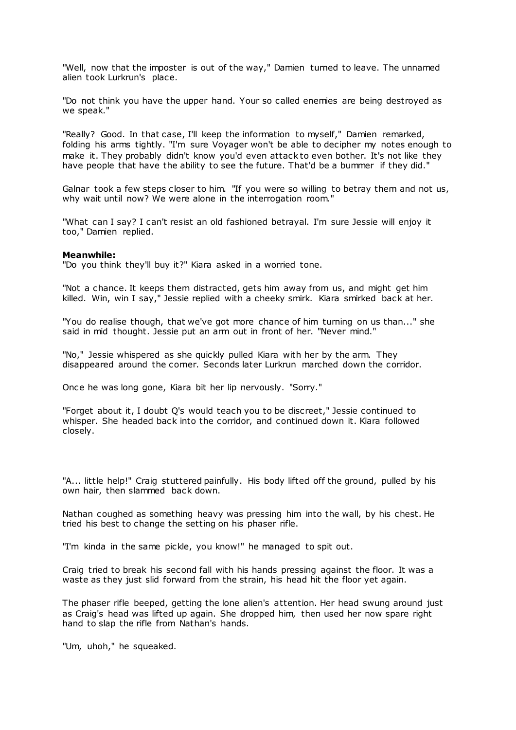"Well, now that the imposter is out of the way," Damien turned to leave. The unnamed alien took Lurkrun's place.

"Do not think you have the upper hand. Your so called enemies are being destroyed as we speak."

"Really? Good. In that case, I'll keep the information to myself," Damien remarked, folding his arms tightly. "I'm sure Voyager won't be able to decipher my notes enough to make it. They probably didn't know you'd even attack to even bother. It's not like they have people that have the ability to see the future. That'd be a bummer if they did."

Galnar took a few steps closer to him. "If you were so willing to betray them and not us, why wait until now? We were alone in the interrogation room."

"What can I say? I can't resist an old fashioned betrayal. I'm sure Jessie will enjoy it too," Damien replied.

### **Meanwhile:**

"Do you think they'll buy it?" Kiara asked in a worried tone.

"Not a chance. It keeps them distracted, gets him away from us, and might get him killed. Win, win I say," Jessie replied with a cheeky smirk. Kiara smirked back at her.

"You do realise though, that we've got more chance of him turning on us than..." she said in mid thought. Jessie put an arm out in front of her. "Never mind."

"No," Jessie whispered as she quickly pulled Kiara with her by the arm. They disappeared around the corner. Seconds later Lurkrun marched down the corridor.

Once he was long gone, Kiara bit her lip nervously. "Sorry."

"Forget about it, I doubt Q's would teach you to be discreet," Jessie continued to whisper. She headed back into the corridor, and continued down it. Kiara followed closely.

"A... little help!" Craig stuttered painfully. His body lifted off the ground, pulled by his own hair, then slammed back down.

Nathan coughed as something heavy was pressing him into the wall, by his chest. He tried his best to change the setting on his phaser rifle.

"I'm kinda in the same pickle, you know!" he managed to spit out.

Craig tried to break his second fall with his hands pressing against the floor. It was a waste as they just slid forward from the strain, his head hit the floor yet again.

The phaser rifle beeped, getting the lone alien's attention. Her head swung around just as Craig's head was lifted up again. She dropped him, then used her now spare right hand to slap the rifle from Nathan's hands.

"Um, uhoh," he squeaked.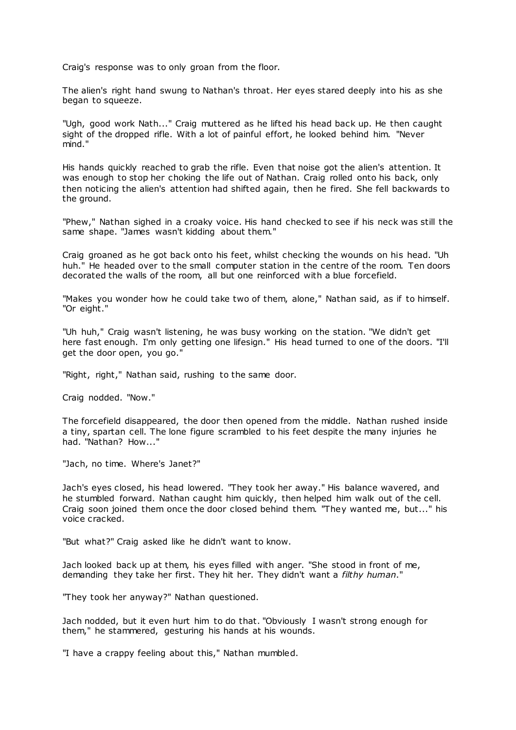Craig's response was to only groan from the floor.

The alien's right hand swung to Nathan's throat. Her eyes stared deeply into his as she began to squeeze.

"Ugh, good work Nath..." Craig muttered as he lifted his head back up. He then caught sight of the dropped rifle. With a lot of painful effort, he looked behind him. "Never mind."

His hands quickly reached to grab the rifle. Even that noise got the alien's attention. It was enough to stop her choking the life out of Nathan. Craig rolled onto his back, only then noticing the alien's attention had shifted again, then he fired. She fell backwards to the ground.

"Phew," Nathan sighed in a croaky voice. His hand checked to see if his neck was still the same shape. "James wasn't kidding about them."

Craig groaned as he got back onto his feet, whilst checking the wounds on his head. "Uh huh." He headed over to the small computer station in the centre of the room. Ten doors decorated the walls of the room, all but one reinforced with a blue forcefield.

"Makes you wonder how he could take two of them, alone," Nathan said, as if to himself. "Or eight."

"Uh huh," Craig wasn't listening, he was busy working on the station. "We didn't get here fast enough. I'm only getting one lifesign." His head turned to one of the doors. "I'll get the door open, you go."

"Right, right," Nathan said, rushing to the same door.

Craig nodded. "Now."

The forcefield disappeared, the door then opened from the middle. Nathan rushed inside a tiny, spartan cell. The lone figure scrambled to his feet despite the many injuries he had. "Nathan? How..."

"Jach, no time. Where's Janet?"

Jach's eyes closed, his head lowered. "They took her away." His balance wavered, and he stumbled forward. Nathan caught him quickly, then helped him walk out of the cell. Craig soon joined them once the door closed behind them. "They wanted me, but..." his voice cracked.

"But what?" Craig asked like he didn't want to know.

Jach looked back up at them, his eyes filled with anger. "She stood in front of me, demanding they take her first. They hit her. They didn't want a *filthy human*."

"They took her anyway?" Nathan questioned.

Jach nodded, but it even hurt him to do that. "Obviously I wasn't strong enough for them," he stammered, gesturing his hands at his wounds.

"I have a crappy feeling about this," Nathan mumbled.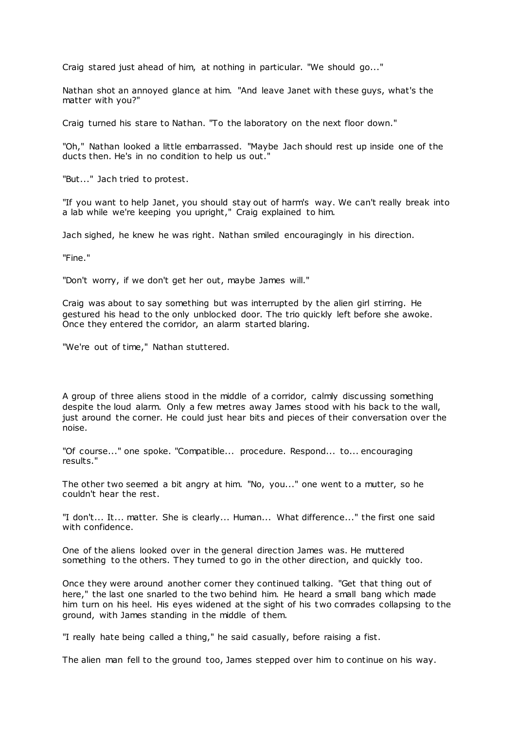Craig stared just ahead of him, at nothing in particular. "We should go..."

Nathan shot an annoyed glance at him. "And leave Janet with these guys, what's the matter with you?"

Craig turned his stare to Nathan. "To the laboratory on the next floor down."

"Oh," Nathan looked a little embarrassed. "Maybe Jach should rest up inside one of the ducts then. He's in no condition to help us out."

"But..." Jach tried to protest.

"If you want to help Janet, you should stay out of harm's way. We can't really break into a lab while we're keeping you upright," Craig explained to him.

Jach sighed, he knew he was right. Nathan smiled encouragingly in his direction.

"Fine."

"Don't worry, if we don't get her out, maybe James will."

Craig was about to say something but was interrupted by the alien girl stirring. He gestured his head to the only unblocked door. The trio quickly left before she awoke. Once they entered the corridor, an alarm started blaring.

"We're out of time," Nathan stuttered.

A group of three aliens stood in the middle of a corridor, calmly discussing something despite the loud alarm. Only a few metres away James stood with his back to the wall, just around the corner. He could just hear bits and pieces of their conversation over the noise.

"Of course..." one spoke. "Compatible... procedure. Respond... to... encouraging results."

The other two seemed a bit angry at him. "No, you..." one went to a mutter, so he couldn't hear the rest.

"I don't... It... matter. She is clearly... Human... What difference..." the first one said with confidence.

One of the aliens looked over in the general direction James was. He muttered something to the others. They turned to go in the other direction, and quickly too.

Once they were around another corner they continued talking. "Get that thing out of here," the last one snarled to the two behind him. He heard a small bang which made him turn on his heel. His eyes widened at the sight of his t wo comrades collapsing to the ground, with James standing in the middle of them.

"I really hate being called a thing," he said casually, before raising a fist.

The alien man fell to the ground too, James stepped over him to continue on his way.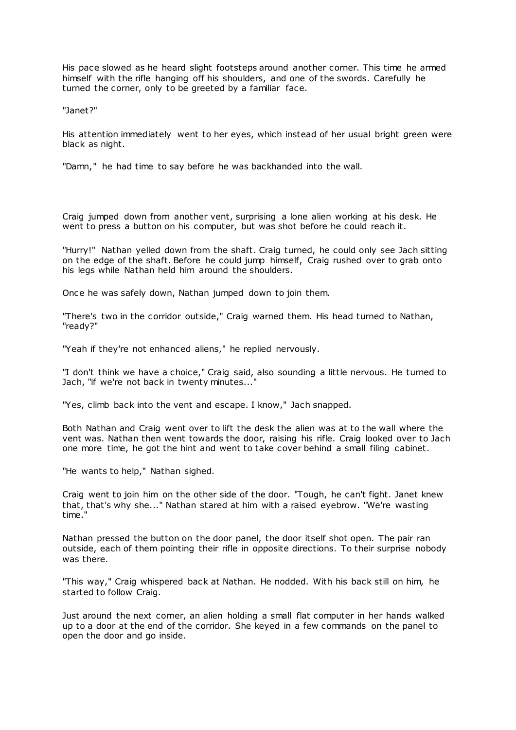His pace slowed as he heard slight footsteps around another corner. This time he armed himself with the rifle hanging off his shoulders, and one of the swords. Carefully he turned the corner, only to be greeted by a familiar face.

"Janet?"

His attention immediately went to her eyes, which instead of her usual bright green were black as night.

"Damn," he had time to say before he was backhanded into the wall.

Craig jumped down from another vent, surprising a lone alien working at his desk. He went to press a button on his computer, but was shot before he could reach it.

"Hurry!" Nathan yelled down from the shaft. Craig turned, he could only see Jach sitting on the edge of the shaft. Before he could jump himself, Craig rushed over to grab onto his legs while Nathan held him around the shoulders.

Once he was safely down, Nathan jumped down to join them.

"There's two in the corridor outside," Craig warned them. His head turned to Nathan, "ready?"

"Yeah if they're not enhanced aliens," he replied nervously.

"I don't think we have a choice," Craig said, also sounding a little nervous. He turned to Jach, "if we're not back in twenty minutes..."

"Yes, climb back into the vent and escape. I know," Jach snapped.

Both Nathan and Craig went over to lift the desk the alien was at to the wall where the vent was. Nathan then went towards the door, raising his rifle. Craig looked over to Jach one more time, he got the hint and went to take cover behind a small filing cabinet.

"He wants to help," Nathan sighed.

Craig went to join him on the other side of the door. "Tough, he can't fight. Janet knew that, that's why she..." Nathan stared at him with a raised eyebrow. "We're wasting time."

Nathan pressed the button on the door panel, the door itself shot open. The pair ran outside, each of them pointing their rifle in opposite directions. To their surprise nobody was there.

"This way," Craig whispered back at Nathan. He nodded. With his back still on him, he started to follow Craig.

Just around the next corner, an alien holding a small flat computer in her hands walked up to a door at the end of the corridor. She keyed in a few commands on the panel to open the door and go inside.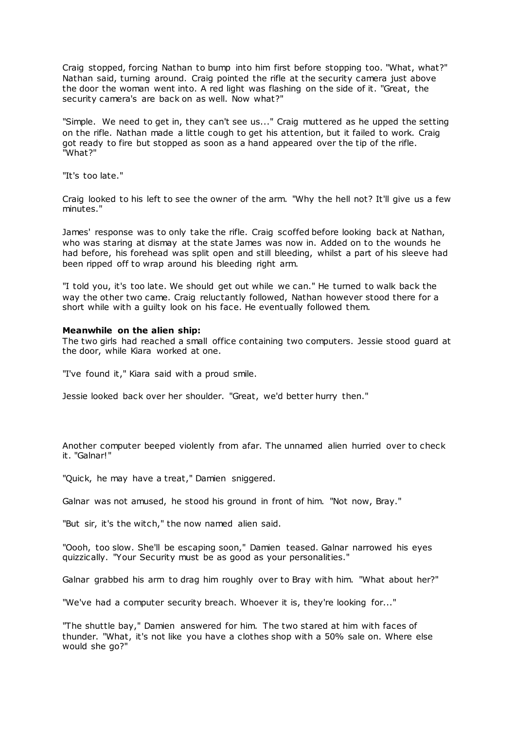Craig stopped, forcing Nathan to bump into him first before stopping too. "What, what?" Nathan said, turning around. Craig pointed the rifle at the security camera just above the door the woman went into. A red light was flashing on the side of it. "Great, the security camera's are back on as well. Now what?"

"Simple. We need to get in, they can't see us..." Craig muttered as he upped the setting on the rifle. Nathan made a little cough to get his attention, but it failed to work. Craig got ready to fire but stopped as soon as a hand appeared over the tip of the rifle. "What?"

"It's too late."

Craig looked to his left to see the owner of the arm. "Why the hell not? It'll give us a few minutes."

James' response was to only take the rifle. Craig scoffed before looking back at Nathan, who was staring at dismay at the state James was now in. Added on to the wounds he had before, his forehead was split open and still bleeding, whilst a part of his sleeve had been ripped off to wrap around his bleeding right arm.

"I told you, it's too late. We should get out while we can." He turned to walk back the way the other two came. Craig reluctantly followed, Nathan however stood there for a short while with a guilty look on his face. He eventually followed them.

## **Meanwhile on the alien ship:**

The two girls had reached a small office containing two computers. Jessie stood guard at the door, while Kiara worked at one.

"I've found it," Kiara said with a proud smile.

Jessie looked back over her shoulder. "Great, we'd better hurry then."

Another computer beeped violently from afar. The unnamed alien hurried over to check it. "Galnar!"

"Quick, he may have a treat," Damien sniggered.

Galnar was not amused, he stood his ground in front of him. "Not now, Bray."

"But sir, it's the witch," the now named alien said.

"Oooh, too slow. She'll be escaping soon," Damien teased. Galnar narrowed his eyes quizzically. "Your Security must be as good as your personalities."

Galnar grabbed his arm to drag him roughly over to Bray with him. "What about her?"

"We've had a computer security breach. Whoever it is, they're looking for..."

"The shuttle bay," Damien answered for him. The two stared at him with faces of thunder. "What, it's not like you have a clothes shop with a 50% sale on. Where else would she go?"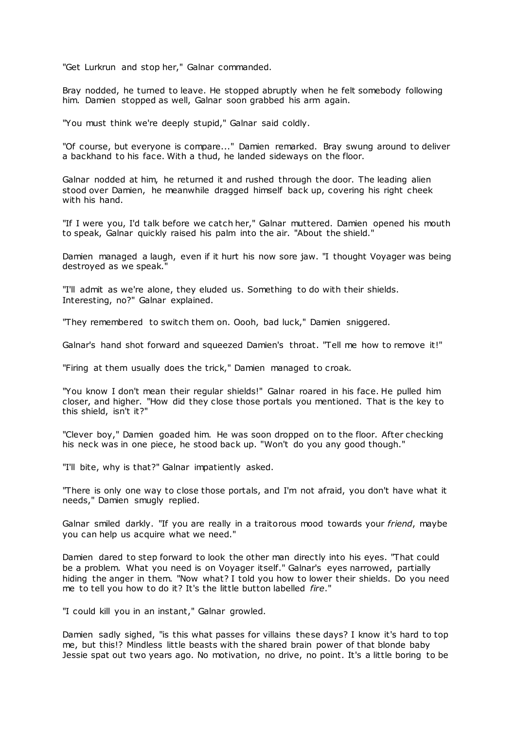"Get Lurkrun and stop her," Galnar commanded.

Bray nodded, he turned to leave. He stopped abruptly when he felt somebody following him. Damien stopped as well, Galnar soon grabbed his arm again.

"You must think we're deeply stupid," Galnar said coldly.

"Of course, but everyone is compare..." Damien remarked. Bray swung around to deliver a backhand to his face. With a thud, he landed sideways on the floor.

Galnar nodded at him, he returned it and rushed through the door. The leading alien stood over Damien, he meanwhile dragged himself back up, covering his right cheek with his hand.

"If I were you, I'd talk before we catch her," Galnar muttered. Damien opened his mouth to speak, Galnar quickly raised his palm into the air. "About the shield."

Damien managed a laugh, even if it hurt his now sore jaw. "I thought Voyager was being destroyed as we speak."

"I'll admit as we're alone, they eluded us. Something to do with their shields. Interesting, no?" Galnar explained.

"They remembered to switch them on. Oooh, bad luck," Damien sniggered.

Galnar's hand shot forward and squeezed Damien's throat. "Tell me how to remove it!"

"Firing at them usually does the trick," Damien managed to croak.

"You know I don't mean their regular shields!" Galnar roared in his face. He pulled him closer, and higher. "How did they close those portals you mentioned. That is the key to this shield, isn't it?"

"Clever boy," Damien goaded him. He was soon dropped on to the floor. After checking his neck was in one piece, he stood back up. "Won't do you any good though."

"I'll bite, why is that?" Galnar impatiently asked.

"There is only one way to close those portals, and I'm not afraid, you don't have what it needs," Damien smugly replied.

Galnar smiled darkly. "If you are really in a traitorous mood towards your *friend*, maybe you can help us acquire what we need."

Damien dared to step forward to look the other man directly into his eyes. "That could be a problem. What you need is on Voyager itself." Galnar's eyes narrowed, partially hiding the anger in them. "Now what? I told you how to lower their shields. Do you need me to tell you how to do it? It's the little button labelled *fire*."

"I could kill you in an instant," Galnar growled.

Damien sadly sighed, "is this what passes for villains these days? I know it's hard to top me, but this!? Mindless little beasts with the shared brain power of that blonde baby Jessie spat out two years ago. No motivation, no drive, no point. It's a little boring to be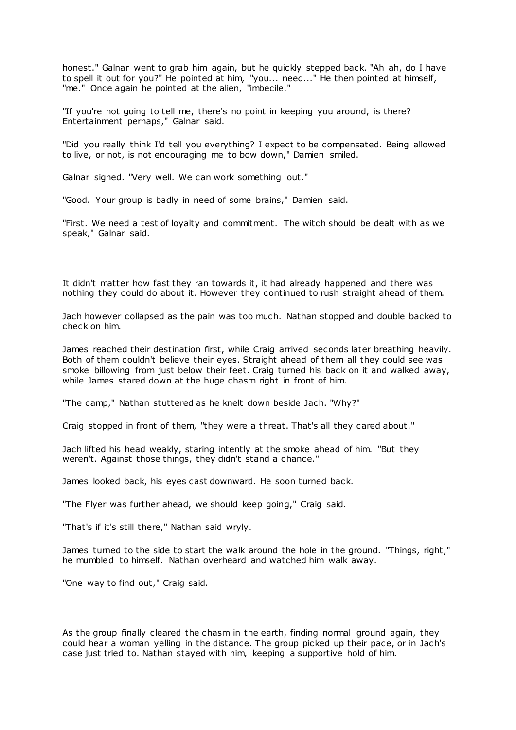honest." Galnar went to grab him again, but he quickly stepped back. "Ah ah, do I have to spell it out for you?" He pointed at him, "you... need..." He then pointed at himself, "me." Once again he pointed at the alien, "imbecile."

"If you're not going to tell me, there's no point in keeping you around, is there? Entertainment perhaps," Galnar said.

"Did you really think I'd tell you everything? I expect to be compensated. Being allowed to live, or not, is not encouraging me to bow down," Damien smiled.

Galnar sighed. "Very well. We can work something out."

"Good. Your group is badly in need of some brains," Damien said.

"First. We need a test of loyalty and commitment. The witch should be dealt with as we speak," Galnar said.

It didn't matter how fast they ran towards it, it had already happened and there was nothing they could do about it. However they continued to rush straight ahead of them.

Jach however collapsed as the pain was too much. Nathan stopped and double backed to check on him.

James reached their destination first, while Craig arrived seconds later breathing heavily. Both of them couldn't believe their eyes. Straight ahead of them all they could see was smoke billowing from just below their feet. Craig turned his back on it and walked away, while James stared down at the huge chasm right in front of him.

"The camp," Nathan stuttered as he knelt down beside Jach. "Why?"

Craig stopped in front of them, "they were a threat. That's all they cared about."

Jach lifted his head weakly, staring intently at the smoke ahead of him. "But they weren't. Against those things, they didn't stand a chance."

James looked back, his eyes cast downward. He soon turned back.

"The Flyer was further ahead, we should keep going," Craig said.

"That's if it's still there," Nathan said wryly.

James turned to the side to start the walk around the hole in the ground. "Things, right," he mumbled to himself. Nathan overheard and watched him walk away.

"One way to find out," Craig said.

As the group finally cleared the chasm in the earth, finding normal ground again, they could hear a woman yelling in the distance. The group picked up their pace, or in Jach's case just tried to. Nathan stayed with him, keeping a supportive hold of him.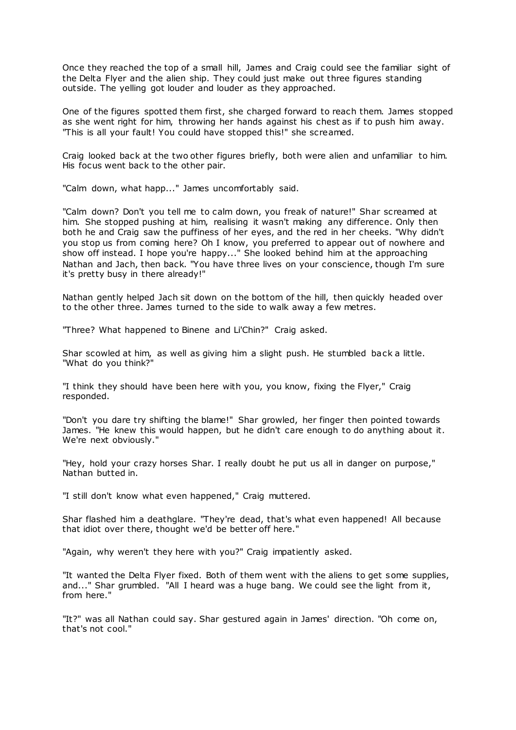Once they reached the top of a small hill, James and Craig could see the familiar sight of the Delta Flyer and the alien ship. They could just make out three figures standing outside. The yelling got louder and louder as they approached.

One of the figures spotted them first, she charged forward to reach them. James stopped as she went right for him, throwing her hands against his chest as if to push him away. "This is all your fault! You could have stopped this!" she screamed.

Craig looked back at the two other figures briefly, both were alien and unfamiliar to him. His focus went back to the other pair.

"Calm down, what happ..." James uncomfortably said.

"Calm down? Don't you tell me to calm down, you freak of nature!" Shar screamed at him. She stopped pushing at him, realising it wasn't making any difference. Only then both he and Craig saw the puffiness of her eyes, and the red in her cheeks. "Why didn't you stop us from coming here? Oh I know, you preferred to appear out of nowhere and show off instead. I hope you're happy..." She looked behind him at the approaching Nathan and Jach, then back. "You have three lives on your conscience, though I'm sure it's pretty busy in there already!"

Nathan gently helped Jach sit down on the bottom of the hill, then quickly headed over to the other three. James turned to the side to walk away a few metres.

"Three? What happened to Binene and Li'Chin?" Craig asked.

Shar scowled at him, as well as giving him a slight push. He stumbled back a little. "What do you think?"

"I think they should have been here with you, you know, fixing the Flyer," Craig responded.

"Don't you dare try shifting the blame!" Shar growled, her finger then pointed towards James. "He knew this would happen, but he didn't care enough to do anything about it. We're next obviously."

"Hey, hold your crazy horses Shar. I really doubt he put us all in danger on purpose," Nathan butted in.

"I still don't know what even happened," Craig muttered.

Shar flashed him a deathglare. "They're dead, that's what even happened! All because that idiot over there, thought we'd be better off here."

"Again, why weren't they here with you?" Craig impatiently asked.

"It wanted the Delta Flyer fixed. Both of them went with the aliens to get some supplies, and..." Shar grumbled. "All I heard was a huge bang. We could see the light from it, from here."

"It?" was all Nathan could say. Shar gestured again in James' direction. "Oh come on, that's not cool."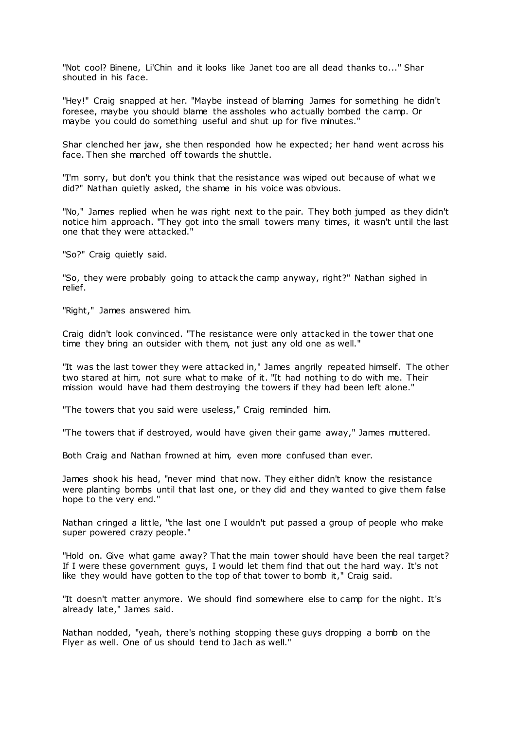"Not cool? Binene, Li'Chin and it looks like Janet too are all dead thanks to..." Shar shouted in his face.

"Hey!" Craig snapped at her. "Maybe instead of blaming James for something he didn't foresee, maybe you should blame the assholes who actually bombed the camp. Or maybe you could do something useful and shut up for five minutes."

Shar clenched her jaw, she then responded how he expected; her hand went across his face. Then she marched off towards the shuttle.

"I'm sorry, but don't you think that the resistance was wiped out because of what we did?" Nathan quietly asked, the shame in his voice was obvious.

"No," James replied when he was right next to the pair. They both jumped as they didn't notice him approach. "They got into the small towers many times, it wasn't until the last one that they were attacked."

"So?" Craig quietly said.

"So, they were probably going to attack the camp anyway, right?" Nathan sighed in relief.

"Right," James answered him.

Craig didn't look convinced. "The resistance were only attacked in the tower that one time they bring an outsider with them, not just any old one as well."

"It was the last tower they were attacked in," James angrily repeated himself. The other two stared at him, not sure what to make of it. "It had nothing to do with me. Their mission would have had them destroying the towers if they had been left alone."

"The towers that you said were useless," Craig reminded him.

"The towers that if destroyed, would have given their game away," James muttered.

Both Craig and Nathan frowned at him, even more confused than ever.

James shook his head, "never mind that now. They either didn't know the resistance were planting bombs until that last one, or they did and they wanted to give them false hope to the very end."

Nathan cringed a little, "the last one I wouldn't put passed a group of people who make super powered crazy people."

"Hold on. Give what game away? That the main tower should have been the real target? If I were these government guys, I would let them find that out the hard way. It's not like they would have gotten to the top of that tower to bomb it," Craig said.

"It doesn't matter anymore. We should find somewhere else to camp for the night. It's already late," James said.

Nathan nodded, "yeah, there's nothing stopping these guys dropping a bomb on the Flyer as well. One of us should tend to Jach as well."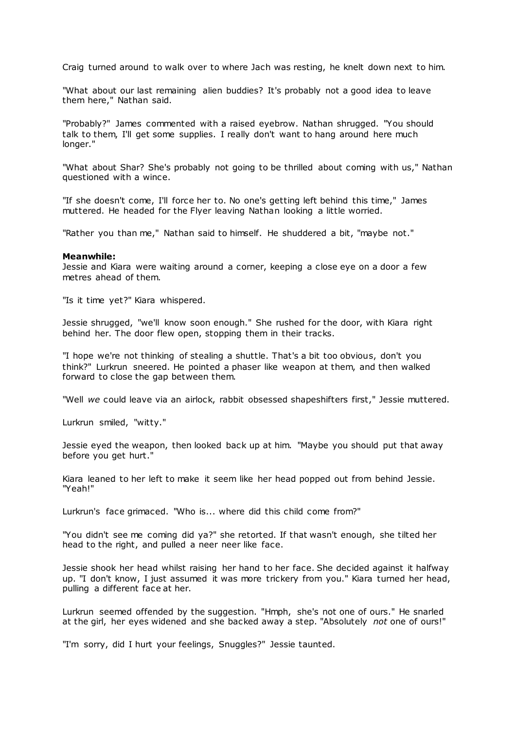Craig turned around to walk over to where Jach was resting, he knelt down next to him.

"What about our last remaining alien buddies? It's probably not a good idea to leave them here," Nathan said.

"Probably?" James commented with a raised eyebrow. Nathan shrugged. "You should talk to them, I'll get some supplies. I really don't want to hang around here much longer."

"What about Shar? She's probably not going to be thrilled about coming with us," Nathan questioned with a wince.

"If she doesn't come, I'll force her to. No one's getting left behind this time," James muttered. He headed for the Flyer leaving Nathan looking a little worried.

"Rather you than me," Nathan said to himself. He shuddered a bit, "maybe not."

### **Meanwhile:**

Jessie and Kiara were waiting around a corner, keeping a close eye on a door a few metres ahead of them.

"Is it time yet?" Kiara whispered.

Jessie shrugged, "we'll know soon enough." She rushed for the door, with Kiara right behind her. The door flew open, stopping them in their tracks.

"I hope we're not thinking of stealing a shuttle. That's a bit too obvious, don't you think?" Lurkrun sneered. He pointed a phaser like weapon at them, and then walked forward to close the gap between them.

"Well *we* could leave via an airlock, rabbit obsessed shapeshifters first," Jessie muttered.

Lurkrun smiled, "witty."

Jessie eyed the weapon, then looked back up at him. "Maybe you should put that away before you get hurt."

Kiara leaned to her left to make it seem like her head popped out from behind Jessie. "Yeah!"

Lurkrun's face grimaced. "Who is... where did this child come from?"

"You didn't see me coming did ya?" she retorted. If that wasn't enough, she tilted her head to the right, and pulled a neer neer like face.

Jessie shook her head whilst raising her hand to her face. She decided against it halfway up. "I don't know, I just assumed it was more trickery from you." Kiara turned her head, pulling a different face at her.

Lurkrun seemed offended by the suggestion. "Hmph, she's not one of ours." He snarled at the girl, her eyes widened and she backed away a step. "Absolutely *not* one of ours!"

"I'm sorry, did I hurt your feelings, Snuggles?" Jessie taunted.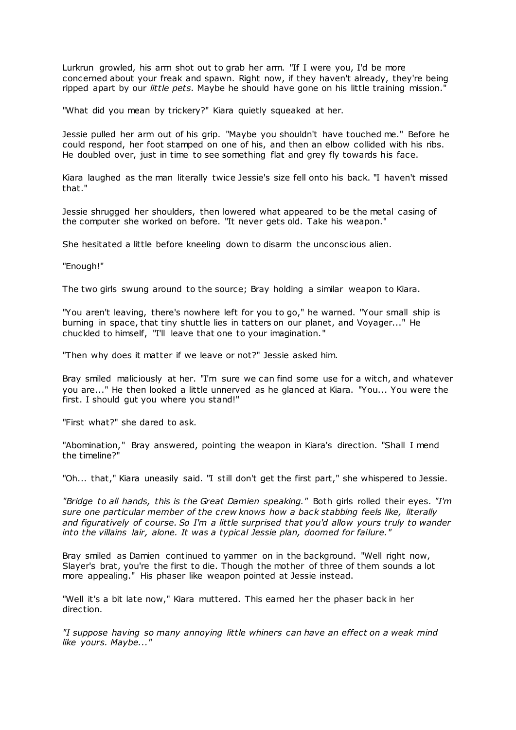Lurkrun growled, his arm shot out to grab her arm. "If I were you, I'd be more concerned about your freak and spawn. Right now, if they haven't already, they're being ripped apart by our *little pets.* Maybe he should have gone on his little training mission."

"What did you mean by trickery?" Kiara quietly squeaked at her.

Jessie pulled her arm out of his grip. "Maybe you shouldn't have touched me." Before he could respond, her foot stamped on one of his, and then an elbow collided with his ribs. He doubled over, just in time to see something flat and grey fly towards his face.

Kiara laughed as the man literally twice Jessie's size fell onto his back. "I haven't missed that."

Jessie shrugged her shoulders, then lowered what appeared to be the metal casing of the computer she worked on before. "It never gets old. Take his weapon."

She hesitated a little before kneeling down to disarm the unconscious alien.

"Enough!"

The two girls swung around to the source; Bray holding a similar weapon to Kiara.

"You aren't leaving, there's nowhere left for you to go," he warned. "Your small ship is burning in space, that tiny shuttle lies in tatters on our planet, and Voyager..." He chuckled to himself, "I'll leave that one to your imagination."

"Then why does it matter if we leave or not?" Jessie asked him.

Bray smiled maliciously at her. "I'm sure we can find some use for a witch, and whatever you are..." He then looked a little unnerved as he glanced at Kiara. "You... You were the first. I should gut you where you stand!"

"First what?" she dared to ask.

"Abomination," Bray answered, pointing the weapon in Kiara's direction. "Shall I mend the timeline?"

"Oh... that," Kiara uneasily said. "I still don't get the first part," she whispered to Jessie.

*"Bridge to all hands, this is the Great Damien speaking."* Both girls rolled their eyes. *"I'm sure one particular member of the crew knows how a back stabbing feels like, literally and figuratively of course. So I'm a little surprised that you'd allow yours truly to wander into the villains lair, alone. It was a typical Jessie plan, doomed for failure."*

Bray smiled as Damien continued to yammer on in the background. "Well right now, Slayer's brat, you're the first to die. Though the mother of three of them sounds a lot more appealing." His phaser like weapon pointed at Jessie instead.

"Well it's a bit late now," Kiara muttered. This earned her the phaser back in her direction.

*"I suppose having so many annoying little whiners can have an effect on a weak mind like yours. Maybe..."*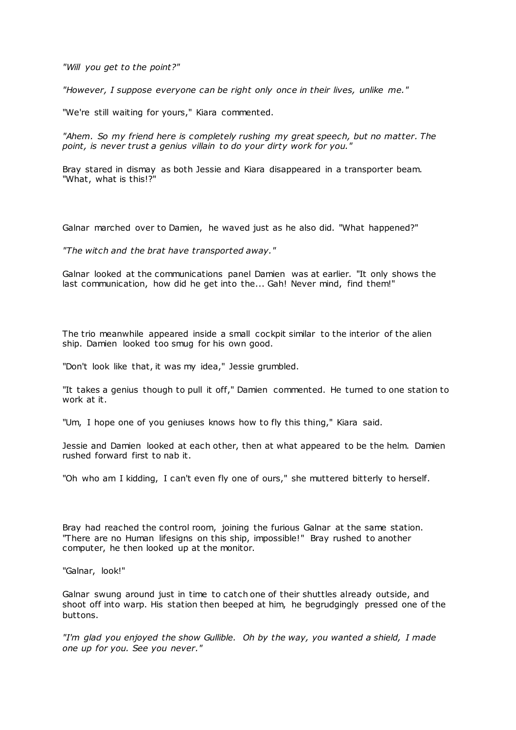*"Will you get to the point?"*

*"However, I suppose everyone can be right only once in their lives, unlike me."*

"We're still waiting for yours," Kiara commented.

*"Ahem. So my friend here is completely rushing my great speech, but no matter. The point, is never trust a genius villain to do your dirty work for you."*

Bray stared in dismay as both Jessie and Kiara disappeared in a transporter beam. "What, what is this!?"

Galnar marched over to Damien, he waved just as he also did. "What happened?"

*"The witch and the brat have transported away."*

Galnar looked at the communications panel Damien was at earlier. "It only shows the last communication, how did he get into the... Gah! Never mind, find them!"

The trio meanwhile appeared inside a small cockpit similar to the interior of the alien ship. Damien looked too smug for his own good.

"Don't look like that, it was my idea," Jessie grumbled.

"It takes a genius though to pull it off," Damien commented. He turned to one station to work at it.

"Um, I hope one of you geniuses knows how to fly this thing," Kiara said.

Jessie and Damien looked at each other, then at what appeared to be the helm. Damien rushed forward first to nab it.

"Oh who am I kidding, I can't even fly one of ours," she muttered bitterly to herself.

Bray had reached the control room, joining the furious Galnar at the same station. "There are no Human lifesigns on this ship, impossible!" Bray rushed to another computer, he then looked up at the monitor.

"Galnar, look!"

Galnar swung around just in time to catch one of their shuttles already outside, and shoot off into warp. His station then beeped at him, he begrudgingly pressed one of the buttons.

*"I'm glad you enjoyed the show Gullible. Oh by the way, you wanted a shield, I made one up for you. See you never."*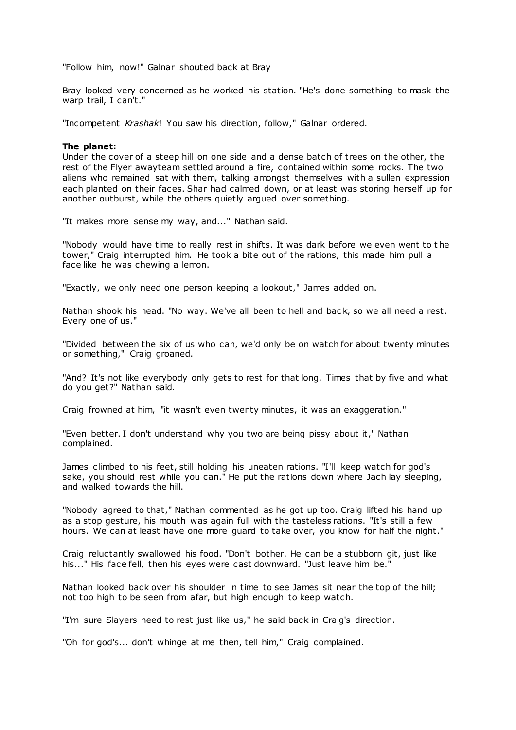"Follow him, now!" Galnar shouted back at Bray

Bray looked very concerned as he worked his station. "He's done something to mask the warp trail, I can't."

"Incompetent *Krashak*! You saw his direction, follow," Galnar ordered.

# **The planet:**

Under the cover of a steep hill on one side and a dense batch of trees on the other, the rest of the Flyer awayteam settled around a fire, contained within some rocks. The two aliens who remained sat with them, talking amongst themselves with a sullen expression each planted on their faces. Shar had calmed down, or at least was storing herself up for another outburst, while the others quietly argued over something.

"It makes more sense my way, and..." Nathan said.

"Nobody would have time to really rest in shifts. It was dark before we even went to t he tower," Craig interrupted him. He took a bite out of the rations, this made him pull a face like he was chewing a lemon.

"Exactly, we only need one person keeping a lookout," James added on.

Nathan shook his head. "No way. We've all been to hell and bac k, so we all need a rest. Every one of us."

"Divided between the six of us who can, we'd only be on watch for about twenty minutes or something," Craig groaned.

"And? It's not like everybody only gets to rest for that long. Times that by five and what do you get?" Nathan said.

Craig frowned at him, "it wasn't even twenty minutes, it was an exaggeration."

"Even better. I don't understand why you two are being pissy about it," Nathan complained.

James climbed to his feet, still holding his uneaten rations. "I'll keep watch for god's sake, you should rest while you can." He put the rations down where Jach lay sleeping, and walked towards the hill.

"Nobody agreed to that," Nathan commented as he got up too. Craig lifted his hand up as a stop gesture, his mouth was again full with the tasteless rations. "It's still a few hours. We can at least have one more guard to take over, you know for half the night."

Craig reluctantly swallowed his food. "Don't bother. He can be a stubborn git, just like his..." His face fell, then his eyes were cast downward. "Just leave him be."

Nathan looked back over his shoulder in time to see James sit near the top of the hill; not too high to be seen from afar, but high enough to keep watch.

"I'm sure Slayers need to rest just like us," he said back in Craig's direction.

"Oh for god's... don't whinge at me then, tell him," Craig complained.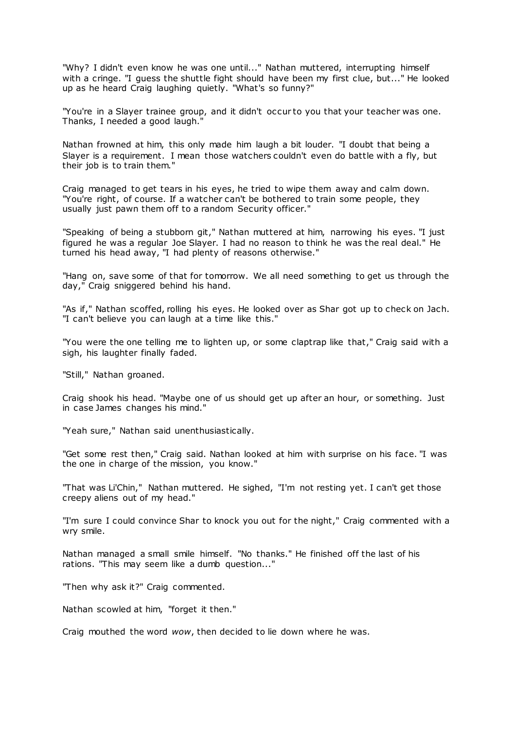"Why? I didn't even know he was one until..." Nathan muttered, interrupting himself with a cringe. "I guess the shuttle fight should have been my first clue, but..." He looked up as he heard Craig laughing quietly. "What's so funny?"

"You're in a Slayer trainee group, and it didn't occur to you that your teacher was one. Thanks, I needed a good laugh."

Nathan frowned at him, this only made him laugh a bit louder. "I doubt that being a Slayer is a requirement. I mean those watchers couldn't even do battle with a fly, but their job is to train them."

Craig managed to get tears in his eyes, he tried to wipe them away and calm down. "You're right, of course. If a watcher can't be bothered to train some people, they usually just pawn them off to a random Security officer."

"Speaking of being a stubborn git," Nathan muttered at him, narrowing his eyes. "I just figured he was a regular Joe Slayer. I had no reason to think he was the real deal." He turned his head away, "I had plenty of reasons otherwise."

"Hang on, save some of that for tomorrow. We all need something to get us through the day," Craig sniggered behind his hand.

"As if," Nathan scoffed, rolling his eyes. He looked over as Shar got up to check on Jach. "I can't believe you can laugh at a time like this."

"You were the one telling me to lighten up, or some claptrap like that," Craig said with a sigh, his laughter finally faded.

"Still," Nathan groaned.

Craig shook his head. "Maybe one of us should get up after an hour, or something. Just in case James changes his mind."

"Yeah sure," Nathan said unenthusiastically.

"Get some rest then," Craig said. Nathan looked at him with surprise on his face. "I was the one in charge of the mission, you know."

"That was Li'Chin," Nathan muttered. He sighed, "I'm not resting yet. I can't get those creepy aliens out of my head."

"I'm sure I could convince Shar to knock you out for the night," Craig commented with a wry smile.

Nathan managed a small smile himself. "No thanks." He finished off the last of his rations. "This may seem like a dumb question..."

"Then why ask it?" Craig commented.

Nathan scowled at him, "forget it then."

Craig mouthed the word *wow*, then decided to lie down where he was.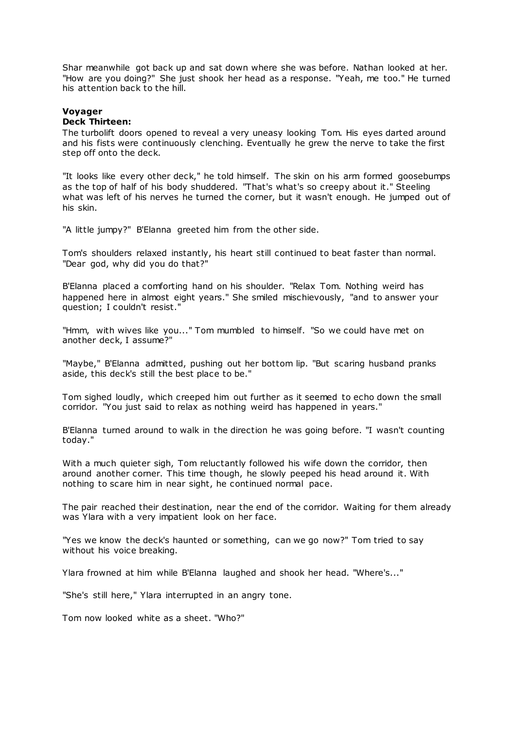Shar meanwhile got back up and sat down where she was before. Nathan looked at her. "How are you doing?" She just shook her head as a response. "Yeah, me too." He turned his attention back to the hill.

# **Voyager**

# **Deck Thirteen:**

The turbolift doors opened to reveal a very uneasy looking Tom. His eyes darted around and his fists were continuously clenching. Eventually he grew the nerve to take the first step off onto the deck.

"It looks like every other deck," he told himself. The skin on his arm formed goosebumps as the top of half of his body shuddered. "That's what's so creepy about it." Steeling what was left of his nerves he turned the corner, but it wasn't enough. He jumped out of his skin.

"A little jumpy?" B'Elanna greeted him from the other side.

Tom's shoulders relaxed instantly, his heart still continued to beat faster than normal. "Dear god, why did you do that?"

B'Elanna placed a comforting hand on his shoulder. "Relax Tom. Nothing weird has happened here in almost eight years." She smiled mischievously, "and to answer your question; I couldn't resist."

"Hmm, with wives like you..." Tom mumbled to himself. "So we could have met on another deck, I assume?"

"Maybe," B'Elanna admitted, pushing out her bottom lip. "But scaring husband pranks aside, this deck's still the best place to be."

Tom sighed loudly, which creeped him out further as it seemed to echo down the small corridor. "You just said to relax as nothing weird has happened in years."

B'Elanna turned around to walk in the direction he was going before. "I wasn't counting today."

With a much quieter sigh, Tom reluctantly followed his wife down the corridor, then around another corner. This time though, he slowly peeped his head around it. With nothing to scare him in near sight, he continued normal pace.

The pair reached their destination, near the end of the corridor. Waiting for them already was Ylara with a very impatient look on her face.

"Yes we know the deck's haunted or something, can we go now?" Tom tried to say without his voice breaking.

Ylara frowned at him while B'Elanna laughed and shook her head. "Where's..."

"She's still here," Ylara interrupted in an angry tone.

Tom now looked white as a sheet. "Who?"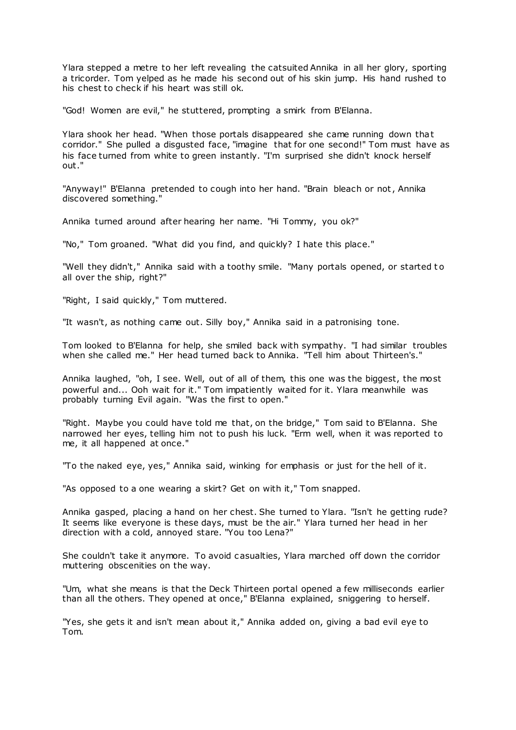Ylara stepped a metre to her left revealing the catsuited Annika in all her glory, sporting a tricorder. Tom yelped as he made his second out of his skin jump. His hand rushed to his chest to check if his heart was still ok.

"God! Women are evil," he stuttered, prompting a smirk from B'Elanna.

Ylara shook her head. "When those portals disappeared she came running down that corridor." She pulled a disgusted face, "imagine that for one second!" Tom must have as his face turned from white to green instantly. "I'm surprised she didn't knock herself out."

"Anyway!" B'Elanna pretended to cough into her hand. "Brain bleach or not, Annika discovered something."

Annika turned around after hearing her name. "Hi Tommy, you ok?"

"No," Tom groaned. "What did you find, and quickly? I hate this place."

"Well they didn't," Annika said with a toothy smile. "Many portals opened, or started to all over the ship, right?"

"Right, I said quickly," Tom muttered.

"It wasn't, as nothing came out. Silly boy," Annika said in a patronising tone.

Tom looked to B'Elanna for help, she smiled back with sympathy. "I had similar troubles when she called me." Her head turned back to Annika. "Tell him about Thirteen's."

Annika laughed, "oh, I see. Well, out of all of them, this one was the biggest, the most powerful and... Ooh wait for it." Tom impatiently waited for it. Ylara meanwhile was probably turning Evil again. "Was the first to open."

"Right. Maybe you could have told me that, on the bridge," Tom said to B'Elanna. She narrowed her eyes, telling him not to push his luck. "Erm well, when it was reported to me, it all happened at once."

"To the naked eye, yes," Annika said, winking for emphasis or just for the hell of it.

"As opposed to a one wearing a skirt? Get on with it," Tom snapped.

Annika gasped, placing a hand on her chest. She turned to Ylara. "Isn't he getting rude? It seems like everyone is these days, must be the air." Ylara turned her head in her direction with a cold, annoyed stare. "You too Lena?"

She couldn't take it anymore. To avoid casualties, Ylara marched off down the corridor muttering obscenities on the way.

"Um, what she means is that the Deck Thirteen portal opened a few milliseconds earlier than all the others. They opened at once," B'Elanna explained, sniggering to herself.

"Yes, she gets it and isn't mean about it," Annika added on, giving a bad evil eye to Tom.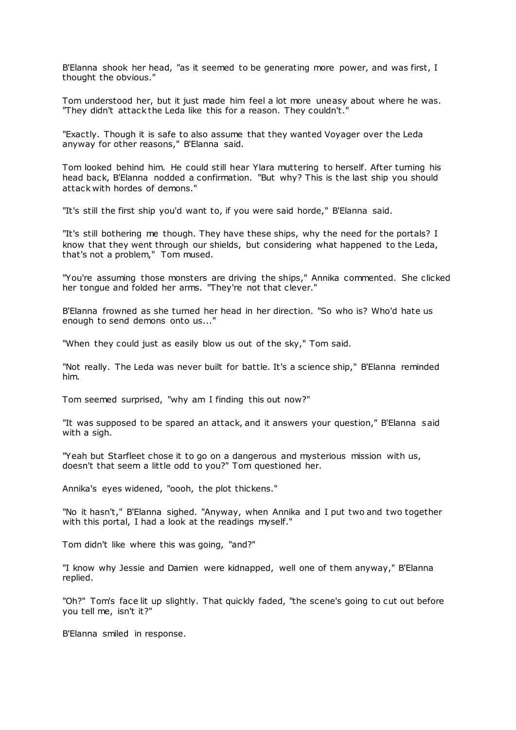B'Elanna shook her head, "as it seemed to be generating more power, and was first, I thought the obvious."

Tom understood her, but it just made him feel a lot more uneasy about where he was. "They didn't attack the Leda like this for a reason. They couldn't."

"Exactly. Though it is safe to also assume that they wanted Voyager over the Leda anyway for other reasons," B'Elanna said.

Tom looked behind him. He could still hear Ylara muttering to herself. After turning his head back, B'Elanna nodded a confirmation. "But why? This is the last ship you should attack with hordes of demons."

"It's still the first ship you'd want to, if you were said horde," B'Elanna said.

"It's still bothering me though. They have these ships, why the need for the portals? I know that they went through our shields, but considering what happened to the Leda, that's not a problem," Tom mused.

"You're assuming those monsters are driving the ships," Annika commented. She clicked her tongue and folded her arms. "They're not that clever."

B'Elanna frowned as she turned her head in her direction. "So who is? Who'd hate us enough to send demons onto us..."

"When they could just as easily blow us out of the sky," Tom said.

"Not really. The Leda was never built for battle. It's a science ship," B'Elanna reminded him.

Tom seemed surprised, "why am I finding this out now?"

"It was supposed to be spared an attack, and it answers your question," B'Elanna said with a sigh.

"Yeah but Starfleet chose it to go on a dangerous and mysterious mission with us, doesn't that seem a little odd to you?" Tom questioned her.

Annika's eyes widened, "oooh, the plot thickens."

"No it hasn't," B'Elanna sighed. "Anyway, when Annika and I put two and two together with this portal, I had a look at the readings myself."

Tom didn't like where this was going, "and?"

"I know why Jessie and Damien were kidnapped, well one of them anyway," B'Elanna replied.

"Oh?" Tom's face lit up slightly. That quickly faded, "the scene's going to cut out before you tell me, isn't it?"

B'Elanna smiled in response.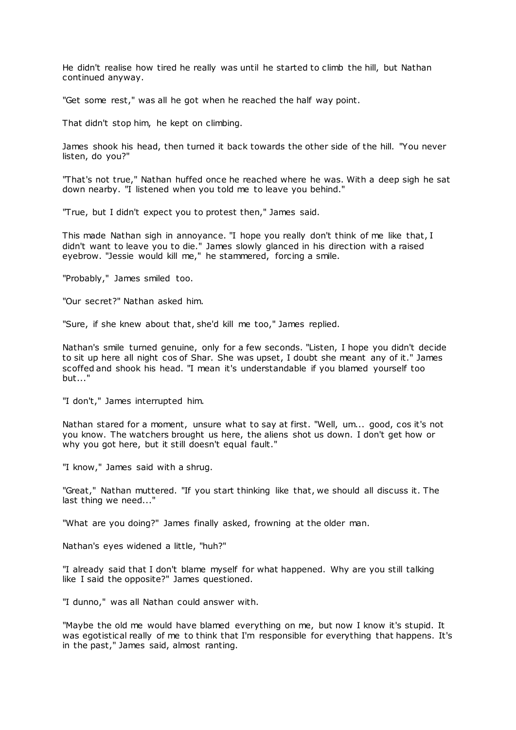He didn't realise how tired he really was until he started to climb the hill, but Nathan continued anyway.

"Get some rest," was all he got when he reached the half way point.

That didn't stop him, he kept on climbing.

James shook his head, then turned it back towards the other side of the hill. "You never listen, do you?"

"That's not true," Nathan huffed once he reached where he was. With a deep sigh he sat down nearby. "I listened when you told me to leave you behind."

"True, but I didn't expect you to protest then," James said.

This made Nathan sigh in annoyance. "I hope you really don't think of me like that, I didn't want to leave you to die." James slowly glanced in his direction with a raised eyebrow. "Jessie would kill me," he stammered, forcing a smile.

"Probably," James smiled too.

"Our secret?" Nathan asked him.

"Sure, if she knew about that, she'd kill me too," James replied.

Nathan's smile turned genuine, only for a few seconds. "Listen, I hope you didn't decide to sit up here all night cos of Shar. She was upset, I doubt she meant any of it." James scoffed and shook his head. "I mean it's understandable if you blamed yourself too but..."

"I don't," James interrupted him.

Nathan stared for a moment, unsure what to say at first. "Well, um... good, cos it's not you know. The watchers brought us here, the aliens shot us down. I don't get how or why you got here, but it still doesn't equal fault."

"I know," James said with a shrug.

"Great," Nathan muttered. "If you start thinking like that, we should all discuss it. The last thing we need..."

"What are you doing?" James finally asked, frowning at the older man.

Nathan's eyes widened a little, "huh?"

"I already said that I don't blame myself for what happened. Why are you still talking like I said the opposite?" James questioned.

"I dunno," was all Nathan could answer with.

"Maybe the old me would have blamed everything on me, but now I know it's stupid. It was egotistical really of me to think that I'm responsible for everything that happens. It's in the past," James said, almost ranting.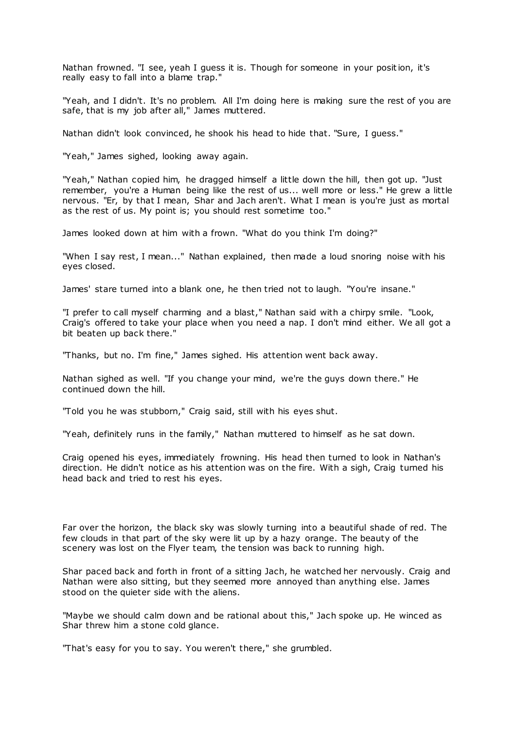Nathan frowned. "I see, yeah I guess it is. Though for someone in your position, it's really easy to fall into a blame trap."

"Yeah, and I didn't. It's no problem. All I'm doing here is making sure the rest of you are safe, that is my job after all," James muttered.

Nathan didn't look convinced, he shook his head to hide that. "Sure, I guess."

"Yeah," James sighed, looking away again.

"Yeah," Nathan copied him, he dragged himself a little down the hill, then got up. "Just remember, you're a Human being like the rest of us... well more or less." He grew a little nervous. "Er, by that I mean, Shar and Jach aren't. What I mean is you're just as mortal as the rest of us. My point is; you should rest sometime too."

James looked down at him with a frown. "What do you think I'm doing?"

"When I say rest, I mean..." Nathan explained, then made a loud snoring noise with his eyes closed.

James' stare turned into a blank one, he then tried not to laugh. "You're insane."

"I prefer to call myself charming and a blast," Nathan said with a chirpy smile. "Look, Craig's offered to take your place when you need a nap. I don't mind either. We all got a bit beaten up back there."

"Thanks, but no. I'm fine," James sighed. His attention went back away.

Nathan sighed as well. "If you change your mind, we're the guys down there." He continued down the hill.

"Told you he was stubborn," Craig said, still with his eyes shut.

"Yeah, definitely runs in the family," Nathan muttered to himself as he sat down.

Craig opened his eyes, immediately frowning. His head then turned to look in Nathan's direction. He didn't notice as his attention was on the fire. With a sigh, Craig turned his head back and tried to rest his eyes.

Far over the horizon, the black sky was slowly turning into a beautiful shade of red. The few clouds in that part of the sky were lit up by a hazy orange. The beauty of the scenery was lost on the Flyer team, the tension was back to running high.

Shar paced back and forth in front of a sitting Jach, he watched her nervously. Craig and Nathan were also sitting, but they seemed more annoyed than anything else. James stood on the quieter side with the aliens.

"Maybe we should calm down and be rational about this," Jach spoke up. He winced as Shar threw him a stone cold glance.

"That's easy for you to say. You weren't there," she grumbled.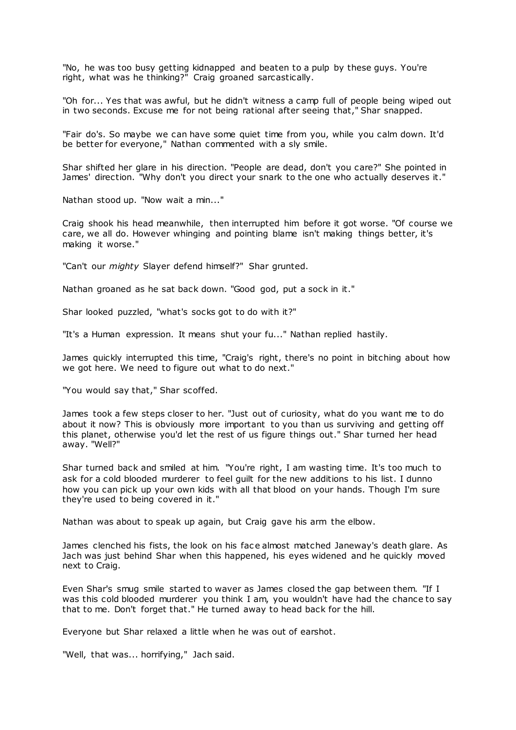"No, he was too busy getting kidnapped and beaten to a pulp by these guys. You're right, what was he thinking?" Craig groaned sarcastically.

"Oh for... Yes that was awful, but he didn't witness a camp full of people being wiped out in two seconds. Excuse me for not being rational after seeing that," Shar snapped.

"Fair do's. So maybe we can have some quiet time from you, while you calm down. It'd be better for everyone," Nathan commented with a sly smile.

Shar shifted her glare in his direction. "People are dead, don't you care?" She pointed in James' direction. "Why don't you direct your snark to the one who actually deserves it."

Nathan stood up. "Now wait a min..."

Craig shook his head meanwhile, then interrupted him before it got worse. "Of course we care, we all do. However whinging and pointing blame isn't making things better, it's making it worse."

"Can't our *mighty* Slayer defend himself?" Shar grunted.

Nathan groaned as he sat back down. "Good god, put a sock in it."

Shar looked puzzled, "what's socks got to do with it?"

"It's a Human expression. It means shut your fu..." Nathan replied hastily.

James quickly interrupted this time, "Craig's right, there's no point in bitching about how we got here. We need to figure out what to do next."

"You would say that," Shar scoffed.

James took a few steps closer to her. "Just out of curiosity, what do you want me to do about it now? This is obviously more important to you than us surviving and getting off this planet, otherwise you'd let the rest of us figure things out." Shar turned her head away. "Well?"

Shar turned back and smiled at him. "You're right, I am wasting time. It's too much to ask for a cold blooded murderer to feel guilt for the new additions to his list. I dunno how you can pick up your own kids with all that blood on your hands. Though I'm sure they're used to being covered in it."

Nathan was about to speak up again, but Craig gave his arm the elbow.

James clenched his fists, the look on his fac e almost matched Janeway's death glare. As Jach was just behind Shar when this happened, his eyes widened and he quickly moved next to Craig.

Even Shar's smug smile started to waver as James closed the gap between them. "If I was this cold blooded murderer you think I am, you wouldn't have had the chance to say that to me. Don't forget that." He turned away to head back for the hill.

Everyone but Shar relaxed a little when he was out of earshot.

"Well, that was... horrifying," Jach said.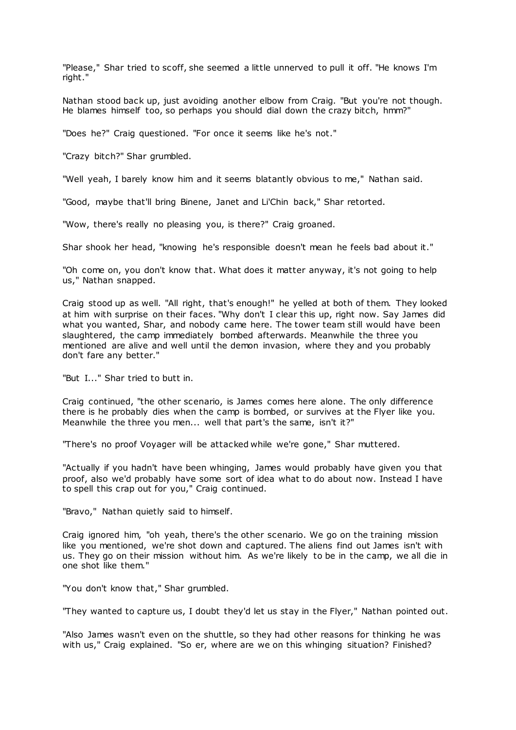"Please," Shar tried to scoff, she seemed a little unnerved to pull it off. "He knows I'm right."

Nathan stood back up, just avoiding another elbow from Craig. "But you're not though. He blames himself too, so perhaps you should dial down the crazy bitch, hmm?"

"Does he?" Craig questioned. "For once it seems like he's not."

"Crazy bitch?" Shar grumbled.

"Well yeah, I barely know him and it seems blatantly obvious to me," Nathan said.

"Good, maybe that'll bring Binene, Janet and Li'Chin back," Shar retorted.

"Wow, there's really no pleasing you, is there?" Craig groaned.

Shar shook her head, "knowing he's responsible doesn't mean he feels bad about it."

"Oh come on, you don't know that. What does it matter anyway, it's not going to help us," Nathan snapped.

Craig stood up as well. "All right, that's enough!" he yelled at both of them. They looked at him with surprise on their faces. "Why don't I clear this up, right now. Say James did what you wanted, Shar, and nobody came here. The tower team still would have been slaughtered, the camp immediately bombed afterwards. Meanwhile the three you mentioned are alive and well until the demon invasion, where they and you probably don't fare any better."

"But I..." Shar tried to butt in.

Craig continued, "the other scenario, is James comes here alone. The only difference there is he probably dies when the camp is bombed, or survives at the Flyer like you. Meanwhile the three you men... well that part's the same, isn't it?"

"There's no proof Voyager will be attacked while we're gone," Shar muttered.

"Actually if you hadn't have been whinging, James would probably have given you that proof, also we'd probably have some sort of idea what to do about now. Instead I have to spell this crap out for you," Craig continued.

"Bravo," Nathan quietly said to himself.

Craig ignored him, "oh yeah, there's the other scenario. We go on the training mission like you mentioned, we're shot down and captured. The aliens find out James isn't with us. They go on their mission without him. As we're likely to be in the camp, we all die in one shot like them."

"You don't know that," Shar grumbled.

"They wanted to capture us, I doubt they'd let us stay in the Flyer," Nathan pointed out.

"Also James wasn't even on the shuttle, so they had other reasons for thinking he was with us," Craig explained. "So er, where are we on this whinging situation? Finished?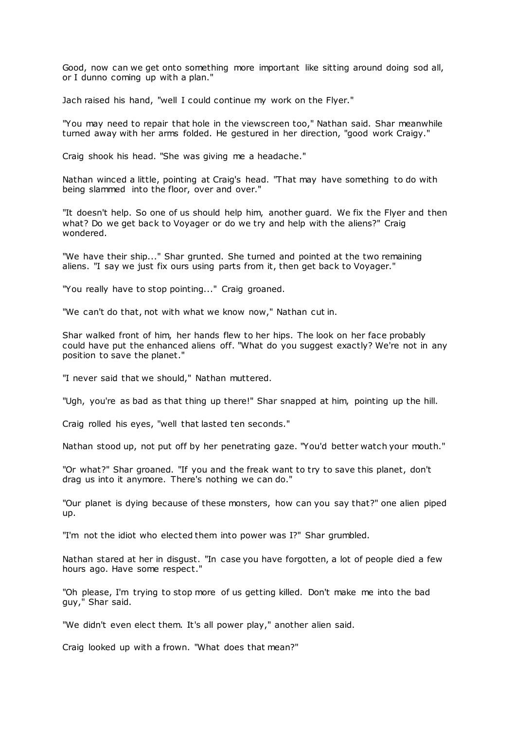Good, now can we get onto something more important like sitting around doing sod all, or I dunno coming up with a plan."

Jach raised his hand, "well I could continue my work on the Flyer."

"You may need to repair that hole in the viewscreen too," Nathan said. Shar meanwhile turned away with her arms folded. He gestured in her direction, "good work Craigy."

Craig shook his head. "She was giving me a headache."

Nathan winced a little, pointing at Craig's head. "That may have something to do with being slammed into the floor, over and over."

"It doesn't help. So one of us should help him, another guard. We fix the Flyer and then what? Do we get back to Voyager or do we try and help with the aliens?" Craig wondered.

"We have their ship..." Shar grunted. She turned and pointed at the two remaining aliens. "I say we just fix ours using parts from it, then get back to Voyager."

"You really have to stop pointing..." Craig groaned.

"We can't do that, not with what we know now," Nathan cut in.

Shar walked front of him, her hands flew to her hips. The look on her face probably could have put the enhanced aliens off. "What do you suggest exactly? We're not in any position to save the planet."

"I never said that we should," Nathan muttered.

"Ugh, you're as bad as that thing up there!" Shar snapped at him, pointing up the hill.

Craig rolled his eyes, "well that lasted ten seconds."

Nathan stood up, not put off by her penetrating gaze. "You'd better watch your mouth."

"Or what?" Shar groaned. "If you and the freak want to try to save this planet, don't drag us into it anymore. There's nothing we can do."

"Our planet is dying because of these monsters, how can you say that?" one alien piped up.

"I'm not the idiot who elected them into power was I?" Shar grumbled.

Nathan stared at her in disgust. "In case you have forgotten, a lot of people died a few hours ago. Have some respect."

"Oh please, I'm trying to stop more of us getting killed. Don't make me into the bad guy," Shar said.

"We didn't even elect them. It's all power play," another alien said.

Craig looked up with a frown. "What does that mean?"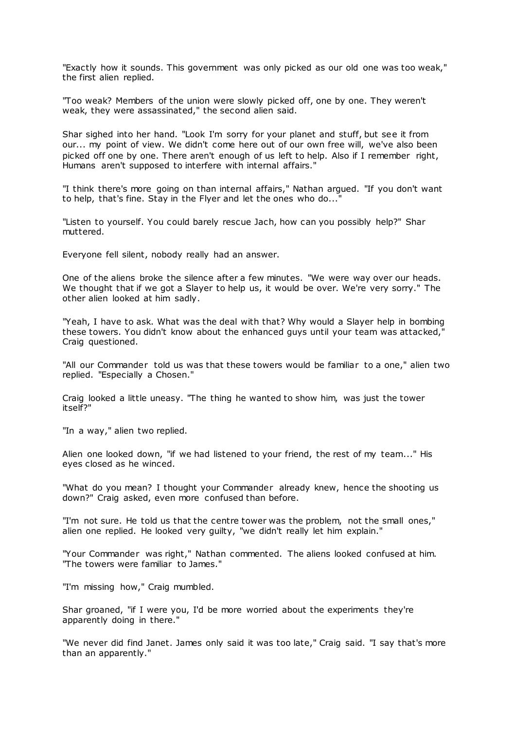"Exactly how it sounds. This government was only picked as our old one was too weak," the first alien replied.

"Too weak? Members of the union were slowly picked off, one by one. They weren't weak, they were assassinated," the second alien said.

Shar sighed into her hand. "Look I'm sorry for your planet and stuff, but see it from our... my point of view. We didn't come here out of our own free will, we've also been picked off one by one. There aren't enough of us left to help. Also if I remember right, Humans aren't supposed to interfere with internal affairs."

"I think there's more going on than internal affairs," Nathan argued. "If you don't want to help, that's fine. Stay in the Flyer and let the ones who do..."

"Listen to yourself. You could barely rescue Jach, how can you possibly help?" Shar muttered.

Everyone fell silent, nobody really had an answer.

One of the aliens broke the silence after a few minutes. "We were way over our heads. We thought that if we got a Slayer to help us, it would be over. We're very sorry." The other alien looked at him sadly.

"Yeah, I have to ask. What was the deal with that? Why would a Slayer help in bombing these towers. You didn't know about the enhanced guys until your team was attacked," Craig questioned.

"All our Commander told us was that these towers would be familiar to a one," alien two replied. "Especially a Chosen."

Craig looked a little uneasy. "The thing he wanted to show him, was just the tower itself?"

"In a way," alien two replied.

Alien one looked down, "if we had listened to your friend, the rest of my team..." His eyes closed as he winced.

"What do you mean? I thought your Commander already knew, hence the shooting us down?" Craig asked, even more confused than before.

"I'm not sure. He told us that the centre tower was the problem, not the small ones," alien one replied. He looked very guilty, "we didn't really let him explain."

"Your Commander was right," Nathan commented. The aliens looked confused at him. "The towers were familiar to James."

"I'm missing how," Craig mumbled.

Shar groaned, "if I were you, I'd be more worried about the experiments they're apparently doing in there."

"We never did find Janet. James only said it was too late," Craig said. "I say that's more than an apparently."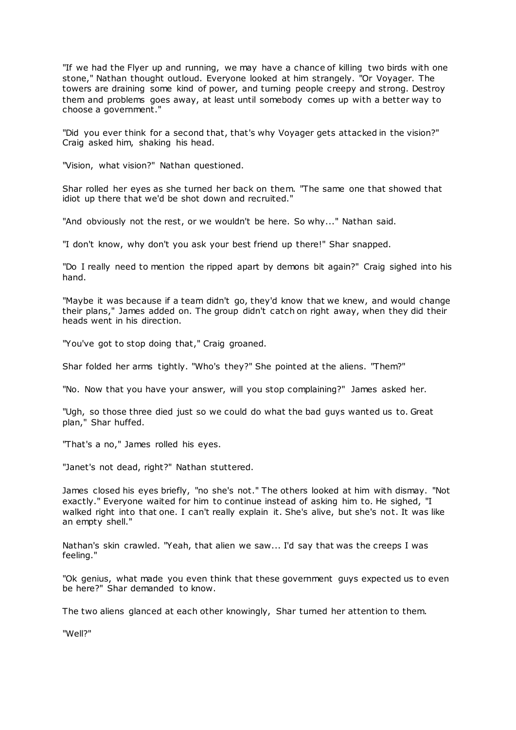"If we had the Flyer up and running, we may have a chance of killing two birds with one stone," Nathan thought outloud. Everyone looked at him strangely. "Or Voyager. The towers are draining some kind of power, and turning people creepy and strong. Destroy them and problems goes away, at least until somebody comes up with a better way to choose a government."

"Did you ever think for a second that, that's why Voyager gets attacked in the vision?" Craig asked him, shaking his head.

"Vision, what vision?" Nathan questioned.

Shar rolled her eyes as she turned her back on them. "The same one that showed that idiot up there that we'd be shot down and recruited."

"And obviously not the rest, or we wouldn't be here. So why..." Nathan said.

"I don't know, why don't you ask your best friend up there!" Shar snapped.

"Do I really need to mention the ripped apart by demons bit again?" Craig sighed into his hand.

"Maybe it was because if a team didn't go, they'd know that we knew, and would change their plans," James added on. The group didn't catch on right away, when they did their heads went in his direction.

"You've got to stop doing that," Craig groaned.

Shar folded her arms tightly. "Who's they?" She pointed at the aliens. "Them?"

"No. Now that you have your answer, will you stop complaining?" James asked her.

"Ugh, so those three died just so we could do what the bad guys wanted us to. Great plan," Shar huffed.

"That's a no," James rolled his eyes.

"Janet's not dead, right?" Nathan stuttered.

James closed his eyes briefly, "no she's not." The others looked at him with dismay. "Not exactly." Everyone waited for him to continue instead of asking him to. He sighed, "I walked right into that one. I can't really explain it. She's alive, but she's not. It was like an empty shell."

Nathan's skin crawled. "Yeah, that alien we saw... I'd say that was the creeps I was feeling."

"Ok genius, what made you even think that these government guys expected us to even be here?" Shar demanded to know.

The two aliens glanced at each other knowingly, Shar turned her attention to them.

"Well?"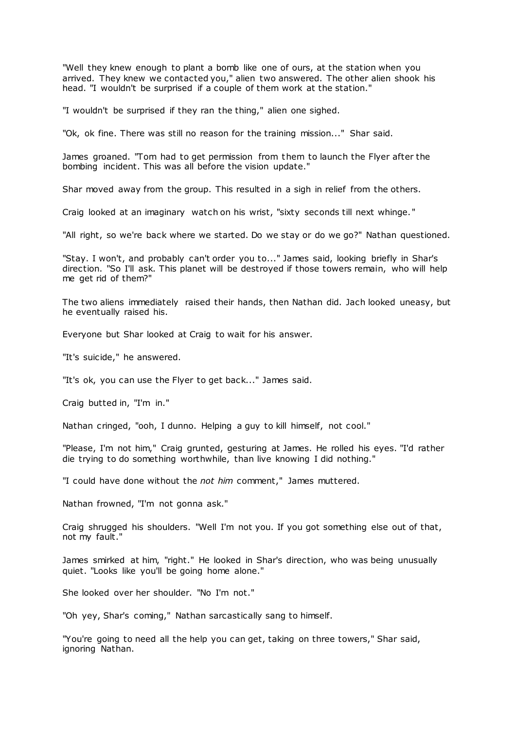"Well they knew enough to plant a bomb like one of ours, at the station when you arrived. They knew we contacted you," alien two answered. The other alien shook his head. "I wouldn't be surprised if a couple of them work at the station."

"I wouldn't be surprised if they ran the thing," alien one sighed.

"Ok, ok fine. There was still no reason for the training mission..." Shar said.

James groaned. "Tom had to get permission from them to launch the Flyer after the bombing incident. This was all before the vision update."

Shar moved away from the group. This resulted in a sigh in relief from the others.

Craig looked at an imaginary watch on his wrist, "sixty seconds till next whinge. "

"All right, so we're back where we started. Do we stay or do we go?" Nathan questioned.

"Stay. I won't, and probably can't order you to..." James said, looking briefly in Shar's direction. "So I'll ask. This planet will be destroyed if those towers remain, who will help me get rid of them?"

The two aliens immediately raised their hands, then Nathan did. Jach looked uneasy, but he eventually raised his.

Everyone but Shar looked at Craig to wait for his answer.

"It's suicide," he answered.

"It's ok, you can use the Flyer to get back..." James said.

Craig butted in, "I'm in."

Nathan cringed, "ooh, I dunno. Helping a guy to kill himself, not cool."

"Please, I'm not him," Craig grunted, gesturing at James. He rolled his eyes. "I'd rather die trying to do something worthwhile, than live knowing I did nothing."

"I could have done without the *not him* comment," James muttered.

Nathan frowned, "I'm not gonna ask."

Craig shrugged his shoulders. "Well I'm not you. If you got something else out of that, not my fault."

James smirked at him, "right." He looked in Shar's direction, who was being unusually quiet. "Looks like you'll be going home alone."

She looked over her shoulder. "No I'm not."

"Oh yey, Shar's coming," Nathan sarcastically sang to himself.

"You're going to need all the help you can get, taking on three towers," Shar said, ignoring Nathan.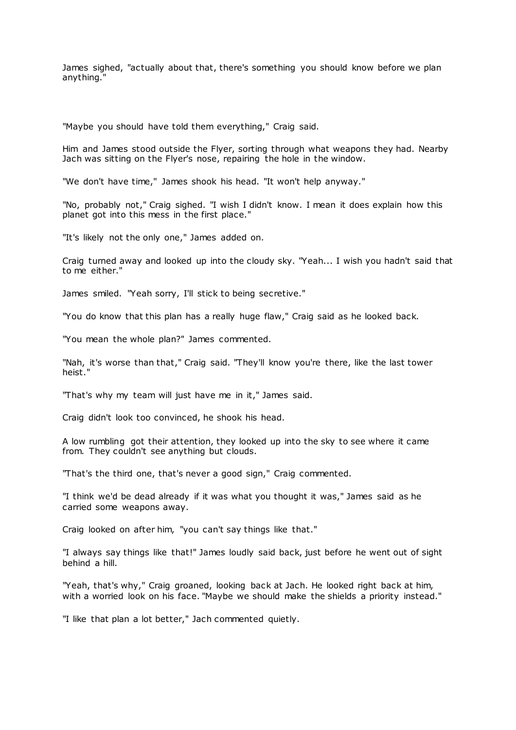James sighed, "actually about that, there's something you should know before we plan anything."

"Maybe you should have told them everything," Craig said.

Him and James stood outside the Flyer, sorting through what weapons they had. Nearby Jach was sitting on the Flyer's nose, repairing the hole in the window.

"We don't have time," James shook his head. "It won't help anyway."

"No, probably not," Craig sighed. "I wish I didn't know. I mean it does explain how this planet got into this mess in the first place."

"It's likely not the only one," James added on.

Craig turned away and looked up into the cloudy sky. "Yeah... I wish you hadn't said that to me either."

James smiled. "Yeah sorry, I'll stick to being secretive."

"You do know that this plan has a really huge flaw," Craig said as he looked back.

"You mean the whole plan?" James commented.

"Nah, it's worse than that," Craig said. "They'll know you're there, like the last tower heist."

"That's why my team will just have me in it," James said.

Craig didn't look too convinced, he shook his head.

A low rumbling got their attention, they looked up into the sky to see where it came from. They couldn't see anything but clouds.

"That's the third one, that's never a good sign," Craig commented.

"I think we'd be dead already if it was what you thought it was," James said as he carried some weapons away.

Craig looked on after him, "you can't say things like that."

"I always say things like that!" James loudly said back, just before he went out of sight behind a hill.

"Yeah, that's why," Craig groaned, looking back at Jach. He looked right back at him, with a worried look on his face. "Maybe we should make the shields a priority instead."

"I like that plan a lot better," Jach commented quietly.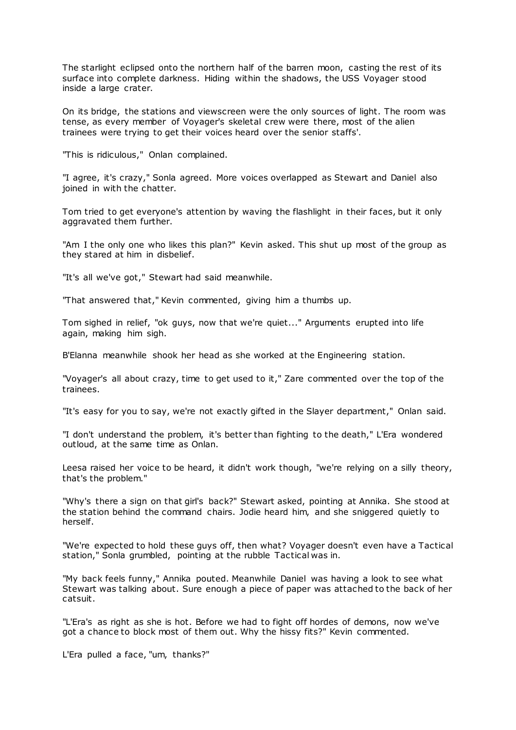The starlight eclipsed onto the northern half of the barren moon, casting the rest of its surface into complete darkness. Hiding within the shadows, the USS Voyager stood inside a large crater.

On its bridge, the stations and viewscreen were the only sources of light. The room was tense, as every member of Voyager's skeletal crew were there, most of the alien trainees were trying to get their voices heard over the senior staffs'.

"This is ridiculous," Onlan complained.

"I agree, it's crazy," Sonla agreed. More voices overlapped as Stewart and Daniel also joined in with the chatter.

Tom tried to get everyone's attention by waving the flashlight in their faces, but it only aggravated them further.

"Am I the only one who likes this plan?" Kevin asked. This shut up most of the group as they stared at him in disbelief.

"It's all we've got," Stewart had said meanwhile.

"That answered that," Kevin commented, giving him a thumbs up.

Tom sighed in relief, "ok guys, now that we're quiet..." Arguments erupted into life again, making him sigh.

B'Elanna meanwhile shook her head as she worked at the Engineering station.

"Voyager's all about crazy, time to get used to it," Zare commented over the top of the trainees.

"It's easy for you to say, we're not exactly gifted in the Slayer department," Onlan said.

"I don't understand the problem, it's better than fighting to the death," L'Era wondered outloud, at the same time as Onlan.

Leesa raised her voice to be heard, it didn't work though, "we're relying on a silly theory, that's the problem."

"Why's there a sign on that girl's back?" Stewart asked, pointing at Annika. She stood at the station behind the command chairs. Jodie heard him, and she sniggered quietly to herself.

"We're expected to hold these guys off, then what? Voyager doesn't even have a Tactical station," Sonla grumbled, pointing at the rubble Tactical was in.

"My back feels funny," Annika pouted. Meanwhile Daniel was having a look to see what Stewart was talking about. Sure enough a piece of paper was attached to the back of her catsuit.

"L'Era's as right as she is hot. Before we had to fight off hordes of demons, now we've got a chance to block most of them out. Why the hissy fits?" Kevin commented.

L'Era pulled a face, "um, thanks?"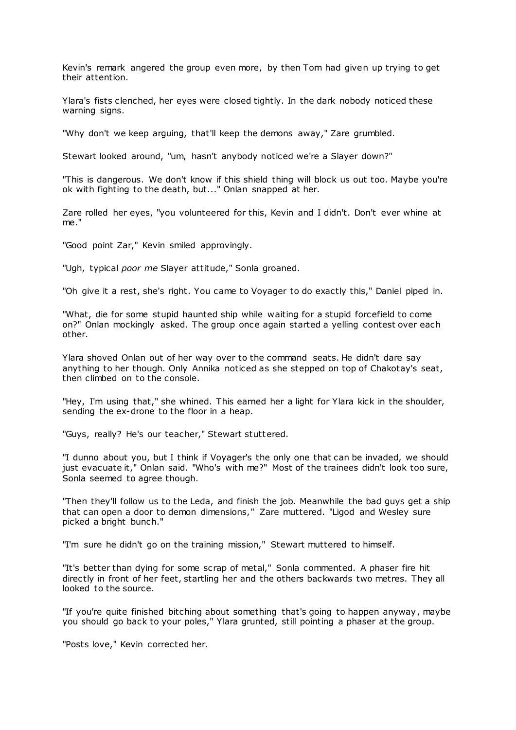Kevin's remark angered the group even more, by then Tom had given up trying to get their attention.

Ylara's fists clenched, her eyes were closed tightly. In the dark nobody noticed these warning signs.

"Why don't we keep arguing, that'll keep the demons away," Zare grumbled.

Stewart looked around, "um, hasn't anybody noticed we're a Slayer down?"

"This is dangerous. We don't know if this shield thing will block us out too. Maybe you're ok with fighting to the death, but..." Onlan snapped at her.

Zare rolled her eyes, "you volunteered for this, Kevin and I didn't. Don't ever whine at me."

"Good point Zar," Kevin smiled approvingly.

"Ugh, typical *poor me* Slayer attitude," Sonla groaned.

"Oh give it a rest, she's right. You came to Voyager to do exactly this," Daniel piped in.

"What, die for some stupid haunted ship while waiting for a stupid forcefield to come on?" Onlan mockingly asked. The group once again started a yelling contest over each other.

Ylara shoved Onlan out of her way over to the command seats. He didn't dare say anything to her though. Only Annika noticed as she stepped on top of Chakotay's seat, then climbed on to the console.

"Hey, I'm using that," she whined. This earned her a light for Ylara kick in the shoulder, sending the ex-drone to the floor in a heap.

"Guys, really? He's our teacher," Stewart stuttered.

"I dunno about you, but I think if Voyager's the only one that can be invaded, we should just evacuate it," Onlan said. "Who's with me?" Most of the trainees didn't look too sure, Sonla seemed to agree though.

"Then they'll follow us to the Leda, and finish the job. Meanwhile the bad guys get a ship that can open a door to demon dimensions," Zare muttered. "Ligod and Wesley sure picked a bright bunch."

"I'm sure he didn't go on the training mission," Stewart muttered to himself.

"It's better than dying for some scrap of metal," Sonla commented. A phaser fire hit directly in front of her feet, startling her and the others backwards two metres. They all looked to the source.

"If you're quite finished bitching about something that's going to happen anyway, maybe you should go back to your poles," Ylara grunted, still pointing a phaser at the group.

"Posts love," Kevin corrected her.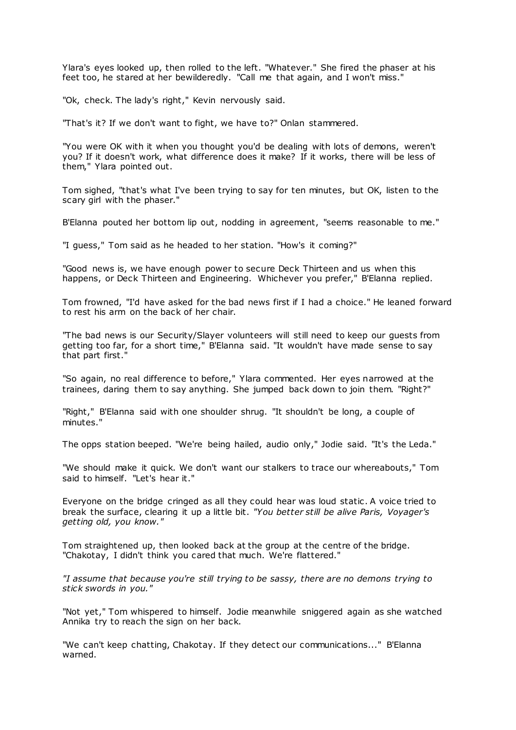Ylara's eyes looked up, then rolled to the left. "Whatever." She fired the phaser at his feet too, he stared at her bewilderedly. "Call me that again, and I won't miss."

"Ok, check. The lady's right," Kevin nervously said.

"That's it? If we don't want to fight, we have to?" Onlan stammered.

"You were OK with it when you thought you'd be dealing with lots of demons, weren't you? If it doesn't work, what difference does it make? If it works, there will be less of them," Ylara pointed out.

Tom sighed, "that's what I've been trying to say for ten minutes, but OK, listen to the scary girl with the phaser."

B'Elanna pouted her bottom lip out, nodding in agreement, "seems reasonable to me."

"I guess," Tom said as he headed to her station. "How's it coming?"

"Good news is, we have enough power to secure Deck Thirteen and us when this happens, or Deck Thirteen and Engineering. Whichever you prefer," B'Elanna replied.

Tom frowned, "I'd have asked for the bad news first if I had a choice." He leaned forward to rest his arm on the back of her chair.

"The bad news is our Security/Slayer volunteers will still need to keep our guests from getting too far, for a short time," B'Elanna said. "It wouldn't have made sense to say that part first."

"So again, no real difference to before," Ylara commented. Her eyes narrowed at the trainees, daring them to say anything. She jumped back down to join them. "Right?"

"Right," B'Elanna said with one shoulder shrug. "It shouldn't be long, a couple of minutes."

The opps station beeped. "We're being hailed, audio only," Jodie said. "It's the Leda."

"We should make it quick. We don't want our stalkers to trace our whereabouts," Tom said to himself. "Let's hear it."

Everyone on the bridge cringed as all they could hear was loud static . A voice tried to break the surface, clearing it up a little bit. *"You better still be alive Paris, Voyager's getting old, you know."*

Tom straightened up, then looked back at the group at the centre of the bridge. "Chakotay, I didn't think you cared that much. We're flattered."

*"I assume that because you're still trying to be sassy, there are no demons trying to stick swords in you."*

"Not yet," Tom whispered to himself. Jodie meanwhile sniggered again as she watched Annika try to reach the sign on her back.

"We can't keep chatting, Chakotay. If they detect our communications..." B'Elanna warned.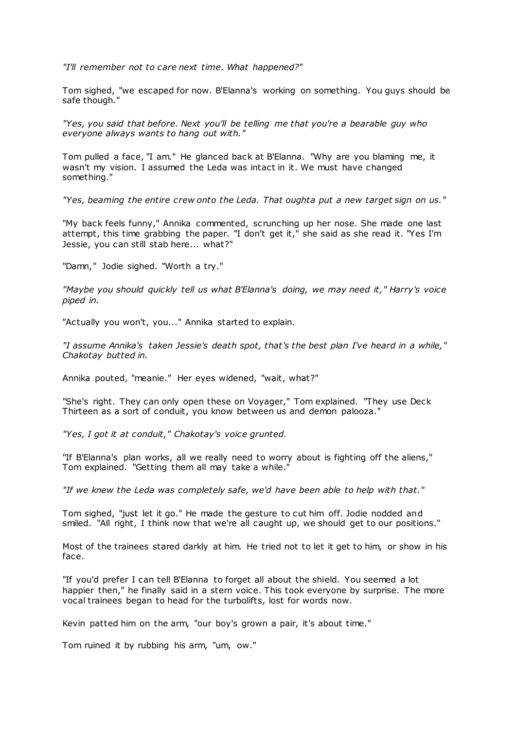*"I'll remember not to care next time. What happened?"*

Tom sighed, "we escaped for now. B'Elanna's working on something. You guys should be safe though."

*"Yes, you said that before. Next you'll be telling me that you're a bearable guy who everyone always wants to hang out with."*

Tom pulled a face, "I am." He glanced back at B'Elanna. "Why are you blaming me, it wasn't my vision. I assumed the Leda was intact in it. We must have changed something."

*"Yes, beaming the entire crew onto the Leda. That oughta put a new target sign on us."*

"My back feels funny," Annika commented, scrunching up her nose. She made one last attempt, this time grabbing the paper. "I don't get it," she said as she read it. "Yes I'm Jessie, you can still stab here... what?"

"Damn," Jodie sighed. "Worth a try."

*"Maybe you should quickly tell us what B'Elanna's doing, we may need it," Harry's voice piped in.*

"Actually you won't, you..." Annika started to explain.

*"I assume Annika's taken Jessie's death spot, that's the best plan I've heard in a while," Chakotay butted in.*

Annika pouted, "meanie." Her eyes widened, "wait, what?"

"She's right. They can only open these on Voyager," Tom explained. "They use Deck Thirteen as a sort of conduit, you know between us and demon palooza."

*"Yes, I got it at conduit," Chakotay's voice grunted.*

"If B'Elanna's plan works, all we really need to worry about is fighting off the aliens," Tom explained. "Getting them all may take a while."

*"If we knew the Leda was completely safe, we'd have been able to help with that."*

Tom sighed, "just let it go." He made the gesture to cut him off. Jodie nodded and smiled. "All right, I think now that we're all caught up, we should get to our positions."

Most of the trainees stared darkly at him. He tried not to let it get to him, or show in his face.

"If you'd prefer I can tell B'Elanna to forget all about the shield. You seemed a lot happier then," he finally said in a stern voice. This took everyone by surprise. The more vocal trainees began to head for the turbolifts, lost for words now.

Kevin patted him on the arm, "our boy's grown a pair, it's about time."

Tom ruined it by rubbing his arm, "um, ow."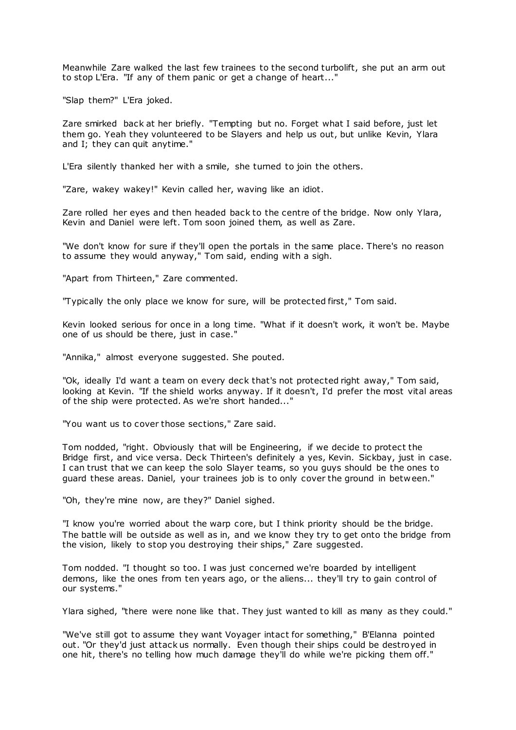Meanwhile Zare walked the last few trainees to the second turbolift, she put an arm out to stop L'Era. "If any of them panic or get a change of heart..."

"Slap them?" L'Era joked.

Zare smirked back at her briefly. "Tempting but no. Forget what I said before, just let them go. Yeah they volunteered to be Slayers and help us out, but unlike Kevin, Ylara and I; they can quit anytime."

L'Era silently thanked her with a smile, she turned to join the others.

"Zare, wakey wakey!" Kevin called her, waving like an idiot.

Zare rolled her eyes and then headed back to the centre of the bridge. Now only Ylara, Kevin and Daniel were left. Tom soon joined them, as well as Zare.

"We don't know for sure if they'll open the portals in the same place. There's no reason to assume they would anyway," Tom said, ending with a sigh.

"Apart from Thirteen," Zare commented.

"Typically the only place we know for sure, will be protected first," Tom said.

Kevin looked serious for once in a long time. "What if it doesn't work, it won't be. Maybe one of us should be there, just in case."

"Annika," almost everyone suggested. She pouted.

"Ok, ideally I'd want a team on every deck that's not protected right away," Tom said, looking at Kevin. "If the shield works anyway. If it doesn't, I'd prefer the most vital areas of the ship were protected. As we're short handed..."

"You want us to cover those sections," Zare said.

Tom nodded, "right. Obviously that will be Engineering, if we decide to protect the Bridge first, and vice versa. Deck Thirteen's definitely a yes, Kevin. Sickbay, just in case. I can trust that we can keep the solo Slayer teams, so you guys should be the ones to guard these areas. Daniel, your trainees job is to only cover the ground in between."

"Oh, they're mine now, are they?" Daniel sighed.

"I know you're worried about the warp core, but I think priority should be the bridge. The battle will be outside as well as in, and we know they try to get onto the bridge from the vision, likely to stop you destroying their ships," Zare suggested.

Tom nodded. "I thought so too. I was just concerned we're boarded by intelligent demons, like the ones from ten years ago, or the aliens... they'll try to gain control of our systems."

Ylara sighed, "there were none like that. They just wanted to kill as many as they could."

"We've still got to assume they want Voyager intact for something," B'Elanna pointed out. "Or they'd just attack us normally. Even though their ships could be destroyed in one hit, there's no telling how much damage they'll do while we're picking them off."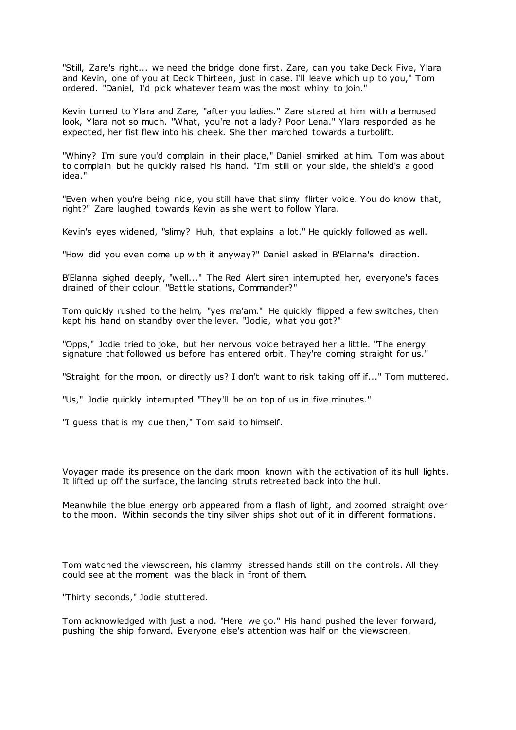"Still, Zare's right... we need the bridge done first. Zare, can you take Deck Five, Ylara and Kevin, one of you at Deck Thirteen, just in case. I'll leave which up to you," Tom ordered. "Daniel, I'd pick whatever team was the most whiny to join."

Kevin turned to Ylara and Zare, "after you ladies." Zare stared at him with a bemused look, Ylara not so much. "What, you're not a lady? Poor Lena." Ylara responded as he expected, her fist flew into his cheek. She then marched towards a turbolift.

"Whiny? I'm sure you'd complain in their place," Daniel smirked at him. Tom was about to complain but he quickly raised his hand. "I'm still on your side, the shield's a good idea."

"Even when you're being nice, you still have that slimy flirter voice. You do know that, right?" Zare laughed towards Kevin as she went to follow Ylara.

Kevin's eyes widened, "slimy? Huh, that explains a lot." He quickly followed as well.

"How did you even come up with it anyway?" Daniel asked in B'Elanna's direction.

B'Elanna sighed deeply, "well..." The Red Alert siren interrupted her, everyone's faces drained of their colour. "Battle stations, Commander?"

Tom quickly rushed to the helm, "yes ma'am." He quickly flipped a few switches, then kept his hand on standby over the lever. "Jodie, what you got?"

"Opps," Jodie tried to joke, but her nervous voice betrayed her a little. "The energy signature that followed us before has entered orbit. They're coming straight for us."

"Straight for the moon, or directly us? I don't want to risk taking off if..." Tom muttered.

"Us," Jodie quickly interrupted "They'll be on top of us in five minutes."

"I guess that is my cue then," Tom said to himself.

Voyager made its presence on the dark moon known with the activation of its hull lights. It lifted up off the surface, the landing struts retreated back into the hull.

Meanwhile the blue energy orb appeared from a flash of light, and zoomed straight over to the moon. Within seconds the tiny silver ships shot out of it in different formations.

Tom watched the viewscreen, his clammy stressed hands still on the controls. All they could see at the moment was the black in front of them.

"Thirty seconds," Jodie stuttered.

Tom acknowledged with just a nod. "Here we go." His hand pushed the lever forward, pushing the ship forward. Everyone else's attention was half on the viewscreen.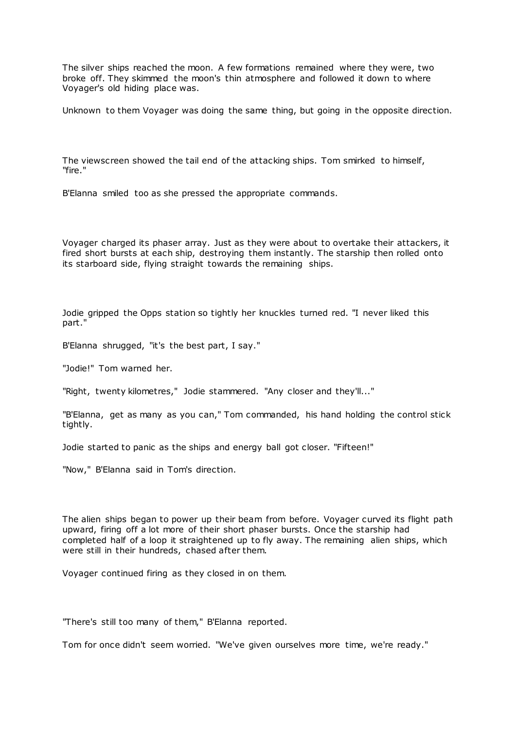The silver ships reached the moon. A few formations remained where they were, two broke off. They skimmed the moon's thin atmosphere and followed it down to where Voyager's old hiding place was.

Unknown to them Voyager was doing the same thing, but going in the opposite direction.

The viewscreen showed the tail end of the attacking ships. Tom smirked to himself, "fire."

B'Elanna smiled too as she pressed the appropriate commands.

Voyager charged its phaser array. Just as they were about to overtake their attackers, it fired short bursts at each ship, destroying them instantly. The starship then rolled onto its starboard side, flying straight towards the remaining ships.

Jodie gripped the Opps station so tightly her knuckles turned red. "I never liked this part."

B'Elanna shrugged, "it's the best part, I say."

"Jodie!" Tom warned her.

"Right, twenty kilometres," Jodie stammered. "Any closer and they'll..."

"B'Elanna, get as many as you can," Tom commanded, his hand holding the control stick tightly.

Jodie started to panic as the ships and energy ball got closer. "Fifteen!"

"Now," B'Elanna said in Tom's direction.

The alien ships began to power up their beam from before. Voyager curved its flight path upward, firing off a lot more of their short phaser bursts. Once the starship had completed half of a loop it straightened up to fly away. The remaining alien ships, which were still in their hundreds, chased after them.

Voyager continued firing as they closed in on them.

"There's still too many of them," B'Elanna reported.

Tom for once didn't seem worried. "We've given ourselves more time, we're ready."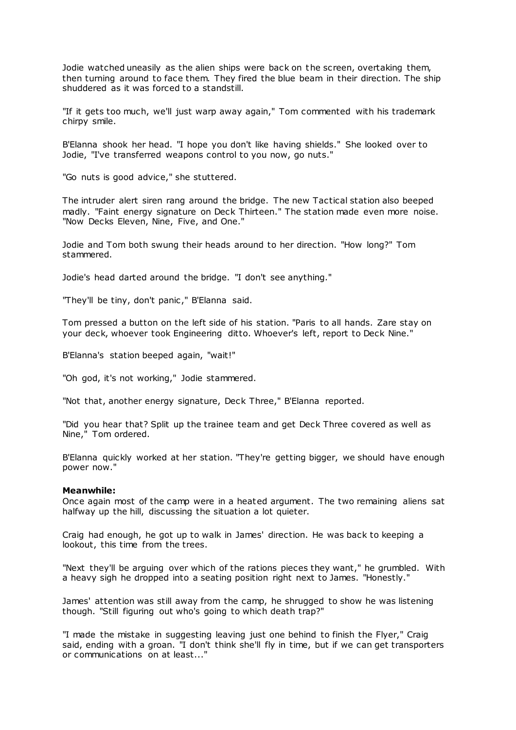Jodie watched uneasily as the alien ships were back on the screen, overtaking them, then turning around to face them. They fired the blue beam in their direction. The ship shuddered as it was forced to a standstill.

"If it gets too much, we'll just warp away again," Tom commented with his trademark chirpy smile.

B'Elanna shook her head. "I hope you don't like having shields." She looked over to Jodie, "I've transferred weapons control to you now, go nuts."

"Go nuts is good advice," she stuttered.

The intruder alert siren rang around the bridge. The new Tactical station also beeped madly. "Faint energy signature on Deck Thirteen." The station made even more noise. "Now Decks Eleven, Nine, Five, and One."

Jodie and Tom both swung their heads around to her direction. "How long?" Tom stammered.

Jodie's head darted around the bridge. "I don't see anything."

"They'll be tiny, don't panic ," B'Elanna said.

Tom pressed a button on the left side of his station. "Paris to all hands. Zare stay on your deck, whoever took Engineering ditto. Whoever's left, report to Deck Nine."

B'Elanna's station beeped again, "wait!"

"Oh god, it's not working," Jodie stammered.

"Not that, another energy signature, Deck Three," B'Elanna reported.

"Did you hear that? Split up the trainee team and get Deck Three covered as well as Nine," Tom ordered.

B'Elanna quickly worked at her station. "They're getting bigger, we should have enough power now."

## **Meanwhile:**

Once again most of the camp were in a heated argument. The two remaining aliens sat halfway up the hill, discussing the situation a lot quieter.

Craig had enough, he got up to walk in James' direction. He was back to keeping a lookout, this time from the trees.

"Next they'll be arguing over which of the rations pieces they want," he grumbled. With a heavy sigh he dropped into a seating position right next to James. "Honestly."

James' attention was still away from the camp, he shrugged to show he was listening though. "Still figuring out who's going to which death trap?"

"I made the mistake in suggesting leaving just one behind to finish the Flyer," Craig said, ending with a groan. "I don't think she'll fly in time, but if we can get transporters or communications on at least..."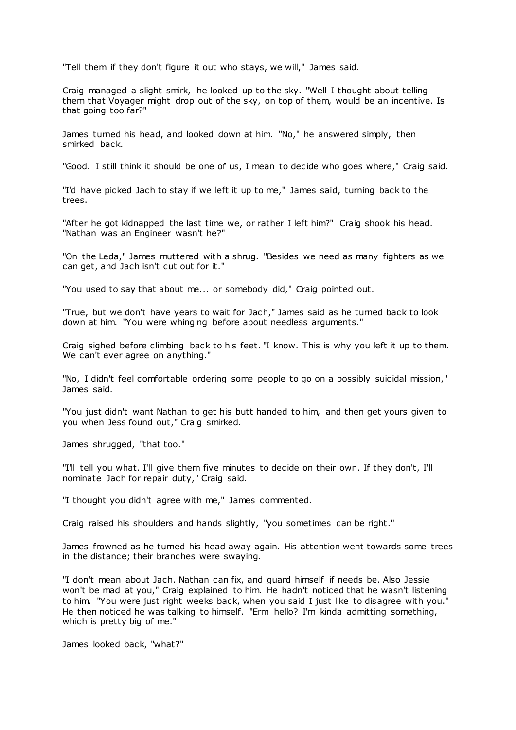"Tell them if they don't figure it out who stays, we will," James said.

Craig managed a slight smirk, he looked up to the sky. "Well I thought about telling them that Voyager might drop out of the sky, on top of them, would be an incentive. Is that going too far?"

James turned his head, and looked down at him. "No," he answered simply, then smirked back.

"Good. I still think it should be one of us, I mean to decide who goes where," Craig said.

"I'd have picked Jach to stay if we left it up to me," James said, turning back to the trees.

"After he got kidnapped the last time we, or rather I left him?" Craig shook his head. "Nathan was an Engineer wasn't he?"

"On the Leda," James muttered with a shrug. "Besides we need as many fighters as we can get, and Jach isn't cut out for it."

"You used to say that about me... or somebody did," Craig pointed out.

"True, but we don't have years to wait for Jach," James said as he turned back to look down at him. "You were whinging before about needless arguments."

Craig sighed before climbing back to his feet. "I know. This is why you left it up to them. We can't ever agree on anything."

"No, I didn't feel comfortable ordering some people to go on a possibly suicidal mission," James said.

"You just didn't want Nathan to get his butt handed to him, and then get yours given to you when Jess found out," Craig smirked.

James shrugged, "that too."

"I'll tell you what. I'll give them five minutes to decide on their own. If they don't, I'll nominate Jach for repair duty," Craig said.

"I thought you didn't agree with me," James commented.

Craig raised his shoulders and hands slightly, "you sometimes can be right."

James frowned as he turned his head away again. His attention went towards some trees in the distance; their branches were swaying.

"I don't mean about Jach. Nathan can fix, and guard himself if needs be. Also Jessie won't be mad at you," Craig explained to him. He hadn't noticed that he wasn't listening to him. "You were just right weeks back, when you said I just like to disagree with you." He then noticed he was talking to himself. "Erm hello? I'm kinda admitting something, which is pretty big of me."

James looked back, "what?"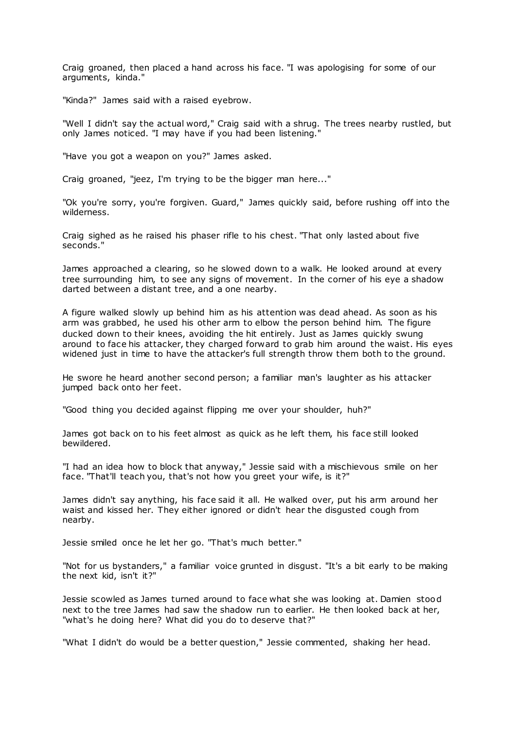Craig groaned, then placed a hand across his face. "I was apologising for some of our arguments, kinda."

"Kinda?" James said with a raised eyebrow.

"Well I didn't say the actual word," Craig said with a shrug. The trees nearby rustled, but only James noticed. "I may have if you had been listening."

"Have you got a weapon on you?" James asked.

Craig groaned, "jeez, I'm trying to be the bigger man here..."

"Ok you're sorry, you're forgiven. Guard," James quickly said, before rushing off into the wilderness.

Craig sighed as he raised his phaser rifle to his chest. "That only lasted about five seconds."

James approached a clearing, so he slowed down to a walk. He looked around at every tree surrounding him, to see any signs of movement. In the corner of his eye a shadow darted between a distant tree, and a one nearby.

A figure walked slowly up behind him as his attention was dead ahead. As soon as his arm was grabbed, he used his other arm to elbow the person behind him. The figure ducked down to their knees, avoiding the hit entirely. Just as James quickly swung around to face his attacker, they charged forward to grab him around the waist. His eyes widened just in time to have the attacker's full strength throw them both to the ground.

He swore he heard another second person; a familiar man's laughter as his attacker jumped back onto her feet.

"Good thing you decided against flipping me over your shoulder, huh?"

James got back on to his feet almost as quick as he left them, his face still looked bewildered.

"I had an idea how to block that anyway," Jessie said with a mischievous smile on her face. "That'll teach you, that's not how you greet your wife, is it?"

James didn't say anything, his face said it all. He walked over, put his arm around her waist and kissed her. They either ignored or didn't hear the disgusted cough from nearby.

Jessie smiled once he let her go. "That's much better."

"Not for us bystanders," a familiar voice grunted in disgust. "It's a bit early to be making the next kid, isn't it?"

Jessie scowled as James turned around to face what she was looking at. Damien stood next to the tree James had saw the shadow run to earlier. He then looked back at her, "what's he doing here? What did you do to deserve that?"

"What I didn't do would be a better question," Jessie commented, shaking her head.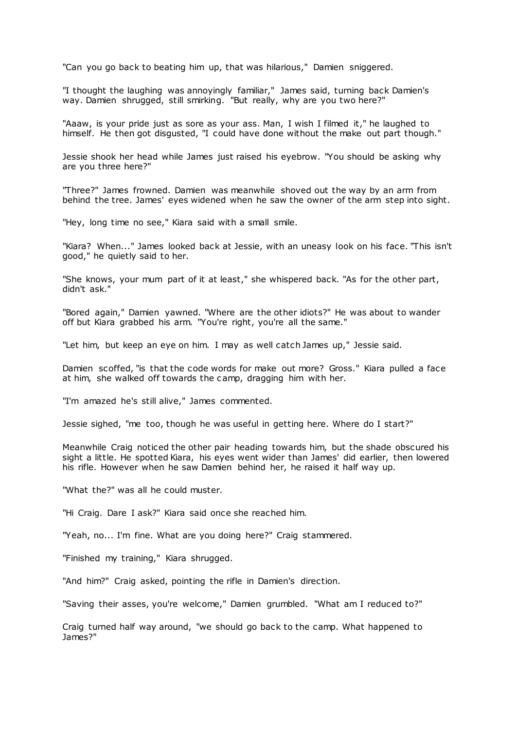"Can you go back to beating him up, that was hilarious," Damien sniggered.

"I thought the laughing was annoyingly familiar," James said, turning back Damien's way. Damien shrugged, still smirking. "But really, why are you two here?"

"Aaaw, is your pride just as sore as your ass. Man, I wish I filmed it," he laughed to himself. He then got disgusted, "I could have done without the make out part though."

Jessie shook her head while James just raised his eyebrow. "You should be asking why are you three here?"

"Three?" James frowned. Damien was meanwhile shoved out the way by an arm from behind the tree. James' eyes widened when he saw the owner of the arm step into sight.

"Hey, long time no see," Kiara said with a small smile.

"Kiara? When..." James looked back at Jessie, with an uneasy look on his face. "This isn't good," he quietly said to her.

"She knows, your mum part of it at least," she whispered back. "As for the other part, didn't ask."

"Bored again," Damien yawned. "Where are the other idiots?" He was about to wander off but Kiara grabbed his arm. "You're right, you're all the same."

"Let him, but keep an eye on him. I may as well catch James up," Jessie said.

Damien scoffed, "is that the code words for make out more? Gross." Kiara pulled a face at him, she walked off towards the camp, dragging him with her.

"I'm amazed he's still alive," James commented.

Jessie sighed, "me too, though he was useful in getting here. Where do I start?"

Meanwhile Craig noticed the other pair heading towards him, but the shade obscured his sight a little. He spotted Kiara, his eyes went wider than James' did earlier, then lowered his rifle. However when he saw Damien behind her, he raised it half way up.

"What the?" was all he could muster.

"Hi Craig. Dare I ask?" Kiara said once she reached him.

"Yeah, no... I'm fine. What are you doing here?" Craig stammered.

"Finished my training," Kiara shrugged.

"And him?" Craig asked, pointing the rifle in Damien's direction.

"Saving their asses, you're welcome," Damien grumbled. "What am I reduced to?"

Craig turned half way around, "we should go back to the camp. What happened to James?"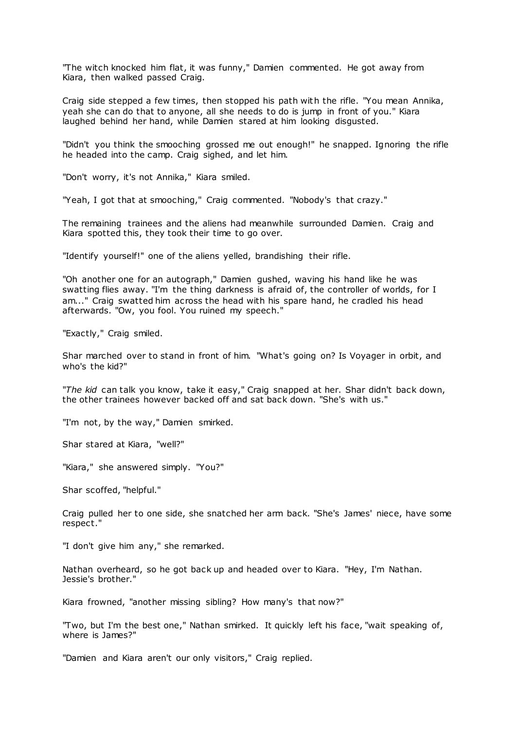"The witch knocked him flat, it was funny," Damien commented. He got away from Kiara, then walked passed Craig.

Craig side stepped a few times, then stopped his path with the rifle. "You mean Annika, yeah she can do that to anyone, all she needs to do is jump in front of you." Kiara laughed behind her hand, while Damien stared at him looking disgusted.

"Didn't you think the smooching grossed me out enough!" he snapped. Ignoring the rifle he headed into the camp. Craig sighed, and let him.

"Don't worry, it's not Annika," Kiara smiled.

"Yeah, I got that at smooching," Craig commented. "Nobody's that crazy."

The remaining trainees and the aliens had meanwhile surrounded Damien. Craig and Kiara spotted this, they took their time to go over.

"Identify yourself!" one of the aliens yelled, brandishing their rifle.

"Oh another one for an autograph," Damien gushed, waving his hand like he was swatting flies away. "I'm the thing darkness is afraid of, the controller of worlds, for I am..." Craig swatted him across the head with his spare hand, he cradled his head afterwards. "Ow, you fool. You ruined my speech."

"Exactly," Craig smiled.

Shar marched over to stand in front of him. "What's going on? Is Voyager in orbit, and who's the kid?"

"*The kid* can talk you know, take it easy," Craig snapped at her. Shar didn't back down, the other trainees however backed off and sat back down. "She's with us."

"I'm not, by the way," Damien smirked.

Shar stared at Kiara, "well?"

"Kiara," she answered simply. "You?"

Shar scoffed, "helpful."

Craig pulled her to one side, she snatched her arm back. "She's James' niece, have some respect."

"I don't give him any," she remarked.

Nathan overheard, so he got back up and headed over to Kiara. "Hey, I'm Nathan. Jessie's brother."

Kiara frowned, "another missing sibling? How many's that now?"

"Two, but I'm the best one," Nathan smirked. It quickly left his face, "wait speaking of, where is James?"

"Damien and Kiara aren't our only visitors," Craig replied.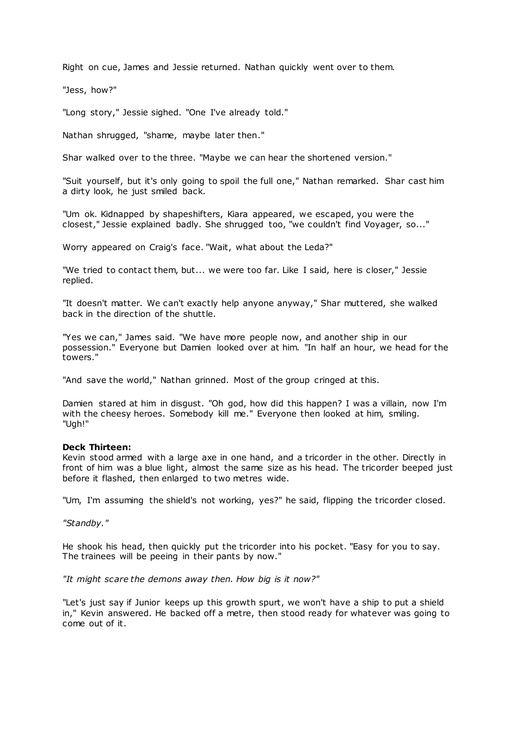Right on cue, James and Jessie returned. Nathan quickly went over to them.

"Jess, how?"

"Long story," Jessie sighed. "One I've already told."

Nathan shrugged, "shame, maybe later then."

Shar walked over to the three. "Maybe we can hear the shortened version."

"Suit yourself, but it's only going to spoil the full one," Nathan remarked. Shar cast him a dirty look, he just smiled back.

"Um ok. Kidnapped by shapeshifters, Kiara appeared, we escaped, you were the closest," Jessie explained badly. She shrugged too, "we couldn't find Voyager, so..."

Worry appeared on Craig's face. "Wait, what about the Leda?"

"We tried to contact them, but... we were too far. Like I said, here is closer," Jessie replied.

"It doesn't matter. We can't exactly help anyone anyway," Shar muttered, she walked back in the direction of the shuttle.

"Yes we can," James said. "We have more people now, and another ship in our possession." Everyone but Damien looked over at him. "In half an hour, we head for the towers."

"And save the world," Nathan grinned. Most of the group cringed at this.

Damien stared at him in disgust. "Oh god, how did this happen? I was a villain, now I'm with the cheesy heroes. Somebody kill me." Everyone then looked at him, smiling. "Ugh!"

## **Deck Thirteen:**

Kevin stood armed with a large axe in one hand, and a tricorder in the other. Directly in front of him was a blue light, almost the same size as his head. The tricorder beeped just before it flashed, then enlarged to two metres wide.

"Um, I'm assuming the shield's not working, yes?" he said, flipping the tricorder closed.

*"Standby."*

He shook his head, then quickly put the tricorder into his pocket. "Easy for you to say. The trainees will be peeing in their pants by now."

*"It might scare the demons away then. How big is it now?"*

"Let's just say if Junior keeps up this growth spurt, we won't have a ship to put a shield in," Kevin answered. He backed off a metre, then stood ready for whatever was going to come out of it.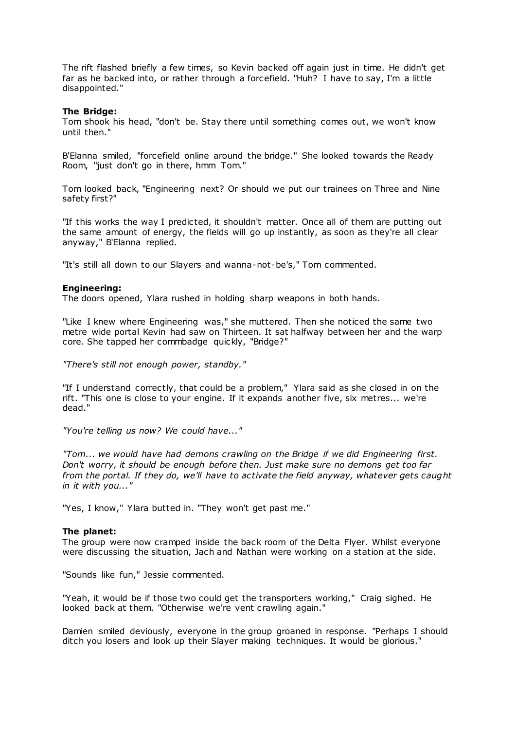The rift flashed briefly a few times, so Kevin backed off again just in time. He didn't get far as he backed into, or rather through a forcefield. "Huh? I have to say, I'm a little disappointed."

# **The Bridge:**

Tom shook his head, "don't be. Stay there until something comes out, we won't know until then."

B'Elanna smiled, "forcefield online around the bridge." She looked towards the Ready Room, "just don't go in there, hmm Tom."

Tom looked back, "Engineering next? Or should we put our trainees on Three and Nine safety first?"

"If this works the way I predicted, it shouldn't matter. Once all of them are putting out the same amount of energy, the fields will go up instantly, as soon as they're all clear anyway," B'Elanna replied.

"It's still all down to our Slayers and wanna-not-be's," Tom commented.

## **Engineering:**

The doors opened, Ylara rushed in holding sharp weapons in both hands.

"Like I knew where Engineering was," she muttered. Then she noticed the same two metre wide portal Kevin had saw on Thirteen. It sat halfway between her and the warp core. She tapped her commbadge quickly, "Bridge?"

*"There's still not enough power, standby."*

"If I understand correctly, that could be a problem," Ylara said as she closed in on the rift. "This one is close to your engine. If it expands another five, six metres... we're dead."

*"You're telling us now? We could have..."*

*"Tom... we would have had demons crawling on the Bridge if we did Engineering first. Don't worry, it should be enough before then. Just make sure no demons get too far from the portal. If they do, we'll have to activate the field anyway, whatever gets caught in it with you..."*

"Yes, I know," Ylara butted in. "They won't get past me."

## **The planet:**

The group were now cramped inside the back room of the Delta Flyer. Whilst everyone were discussing the situation, Jach and Nathan were working on a station at the side.

"Sounds like fun," Jessie commented.

"Yeah, it would be if those two could get the transporters working," Craig sighed. He looked back at them. "Otherwise we're vent crawling again."

Damien smiled deviously, everyone in the group groaned in response. "Perhaps I should ditch you losers and look up their Slayer making techniques. It would be glorious."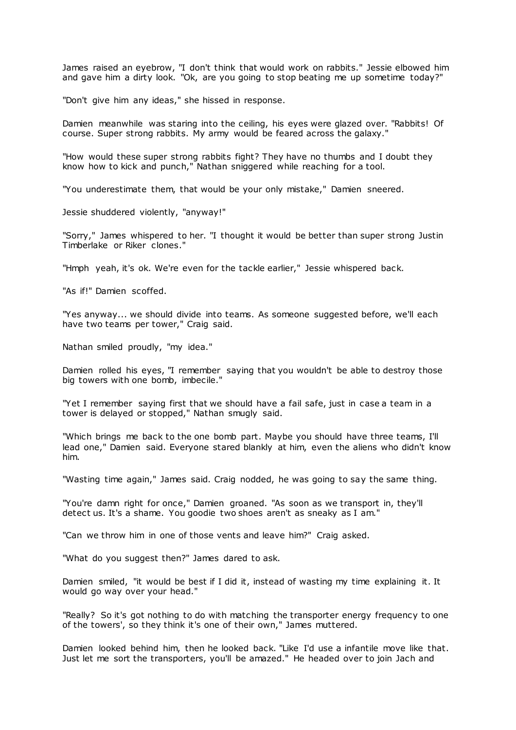James raised an eyebrow, "I don't think that would work on rabbits." Jessie elbowed him and gave him a dirty look. "Ok, are you going to stop beating me up sometime today?"

"Don't give him any ideas," she hissed in response.

Damien meanwhile was staring into the ceiling, his eyes were glazed over. "Rabbits! Of course. Super strong rabbits. My army would be feared across the galaxy."

"How would these super strong rabbits fight? They have no thumbs and I doubt they know how to kick and punch," Nathan sniggered while reaching for a tool.

"You underestimate them, that would be your only mistake," Damien sneered.

Jessie shuddered violently, "anyway!"

"Sorry," James whispered to her. "I thought it would be better than super strong Justin Timberlake or Riker clones."

"Hmph yeah, it's ok. We're even for the tackle earlier," Jessie whispered back.

"As if!" Damien scoffed.

"Yes anyway... we should divide into teams. As someone suggested before, we'll each have two teams per tower," Craig said.

Nathan smiled proudly, "my idea."

Damien rolled his eyes, "I remember saying that you wouldn't be able to destroy those big towers with one bomb, imbecile."

"Yet I remember saying first that we should have a fail safe, just in case a team in a tower is delayed or stopped," Nathan smugly said.

"Which brings me back to the one bomb part. Maybe you should have three teams, I'll lead one," Damien said. Everyone stared blankly at him, even the aliens who didn't know him.

"Wasting time again," James said. Craig nodded, he was going to say the same thing.

"You're damn right for once," Damien groaned. "As soon as we transport in, they'll detect us. It's a shame. You goodie two shoes aren't as sneaky as I am."

"Can we throw him in one of those vents and leave him?" Craig asked.

"What do you suggest then?" James dared to ask.

Damien smiled, "it would be best if I did it, instead of wasting my time explaining it. It would go way over your head."

"Really? So it's got nothing to do with matching the transporter energy frequency to one of the towers', so they think it's one of their own," James muttered.

Damien looked behind him, then he looked back. "Like I'd use a infantile move like that. Just let me sort the transporters, you'll be amazed." He headed over to join Jach and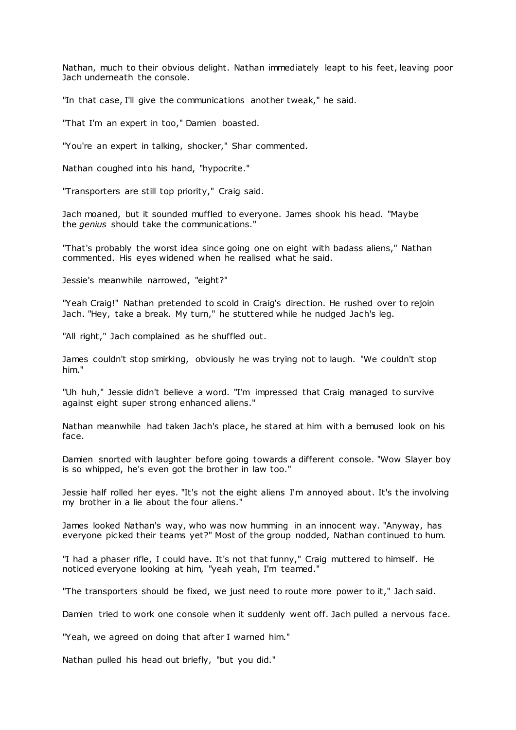Nathan, much to their obvious delight. Nathan immediately leapt to his feet, leaving poor Jach underneath the console.

"In that case, I'll give the communications another tweak," he said.

"That I'm an expert in too," Damien boasted.

"You're an expert in talking, shocker," Shar commented.

Nathan coughed into his hand, "hypocrite."

"Transporters are still top priority," Craig said.

Jach moaned, but it sounded muffled to everyone. James shook his head. "Maybe the *genius* should take the communications."

"That's probably the worst idea since going one on eight with badass aliens," Nathan commented. His eyes widened when he realised what he said.

Jessie's meanwhile narrowed, "eight?"

"Yeah Craig!" Nathan pretended to scold in Craig's direction. He rushed over to rejoin Jach. "Hey, take a break. My turn," he stuttered while he nudged Jach's leg.

"All right," Jach complained as he shuffled out.

James couldn't stop smirking, obviously he was trying not to laugh. "We couldn't stop him."

"Uh huh," Jessie didn't believe a word. "I'm impressed that Craig managed to survive against eight super strong enhanced aliens."

Nathan meanwhile had taken Jach's place, he stared at him with a bemused look on his face.

Damien snorted with laughter before going towards a different console. "Wow Slayer boy is so whipped, he's even got the brother in law too."

Jessie half rolled her eyes. "It's not the eight aliens I'm annoyed about. It's the involving my brother in a lie about the four aliens."

James looked Nathan's way, who was now humming in an innocent way. "Anyway, has everyone picked their teams yet?" Most of the group nodded, Nathan continued to hum.

"I had a phaser rifle, I could have. It's not that funny," Craig muttered to himself. He noticed everyone looking at him, "yeah yeah, I'm teamed."

"The transporters should be fixed, we just need to route more power to it," Jach said.

Damien tried to work one console when it suddenly went off. Jach pulled a nervous face.

"Yeah, we agreed on doing that after I warned him."

Nathan pulled his head out briefly, "but you did."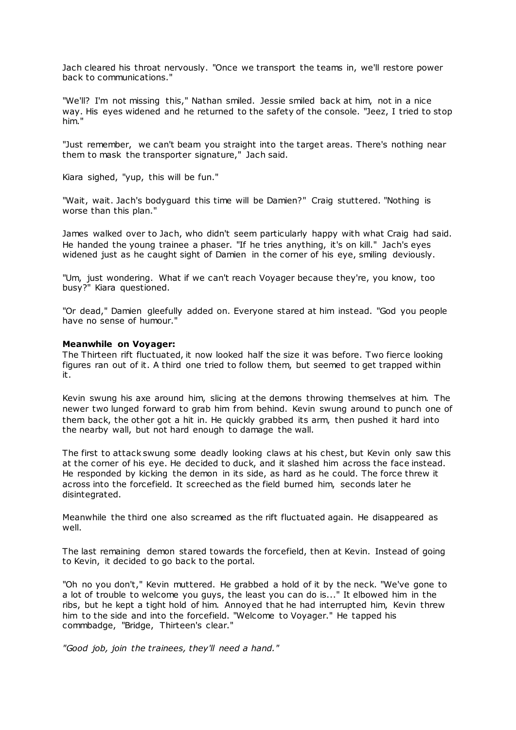Jach cleared his throat nervously. "Once we transport the teams in, we'll restore power back to communications."

"We'll? I'm not missing this," Nathan smiled. Jessie smiled back at him, not in a nice way. His eyes widened and he returned to the safety of the console. "Jeez, I tried to stop him."

"Just remember, we can't beam you straight into the target areas. There's nothing near them to mask the transporter signature," Jach said.

Kiara sighed, "yup, this will be fun."

"Wait, wait. Jach's bodyguard this time will be Damien?" Craig stuttered. "Nothing is worse than this plan."

James walked over to Jach, who didn't seem particularly happy with what Craig had said. He handed the young trainee a phaser. "If he tries anything, it's on kill." Jach's eyes widened just as he caught sight of Damien in the corner of his eye, smiling deviously.

"Um, just wondering. What if we can't reach Voyager because they're, you know, too busy?" Kiara questioned.

"Or dead," Damien gleefully added on. Everyone stared at him instead. "God you people have no sense of humour."

## **Meanwhile on Voyager:**

The Thirteen rift fluctuated, it now looked half the size it was before. Two fierce looking figures ran out of it. A third one tried to follow them, but seemed to get trapped within it.

Kevin swung his axe around him, slicing at the demons throwing themselves at him. The newer two lunged forward to grab him from behind. Kevin swung around to punch one of them back, the other got a hit in. He quickly grabbed its arm, then pushed it hard into the nearby wall, but not hard enough to damage the wall.

The first to attack swung some deadly looking claws at his chest, but Kevin only saw this at the corner of his eye. He decided to duck, and it slashed him across the face instead. He responded by kicking the demon in its side, as hard as he could. The force threw it across into the forcefield. It screeched as the field burned him, seconds later he disintegrated.

Meanwhile the third one also screamed as the rift fluctuated again. He disappeared as well.

The last remaining demon stared towards the forcefield, then at Kevin. Instead of going to Kevin, it decided to go back to the portal.

"Oh no you don't," Kevin muttered. He grabbed a hold of it by the neck. "We've gone to a lot of trouble to welcome you guys, the least you can do is..." It elbowed him in the ribs, but he kept a tight hold of him. Annoyed that he had interrupted him, Kevin threw him to the side and into the forcefield. "Welcome to Voyager." He tapped his commbadge, "Bridge, Thirteen's clear."

*"Good job, join the trainees, they'll need a hand."*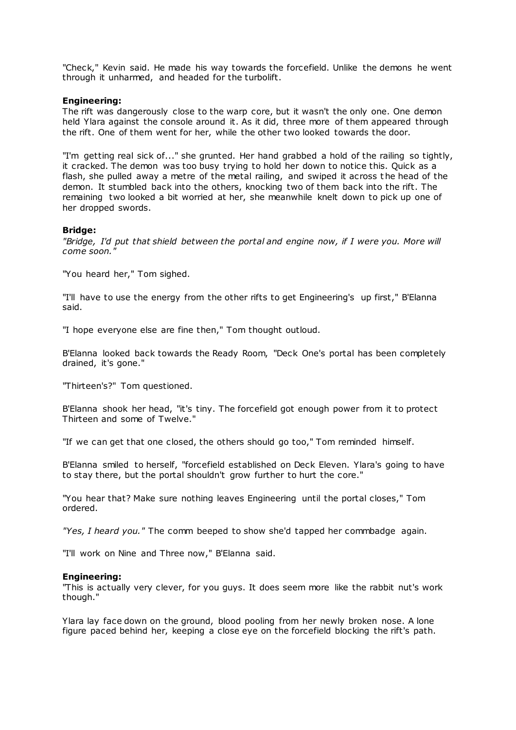"Check," Kevin said. He made his way towards the forcefield. Unlike the demons he went through it unharmed, and headed for the turbolift.

# **Engineering:**

The rift was dangerously close to the warp core, but it wasn't the only one. One demon held Ylara against the console around it. As it did, three more of them appeared through the rift. One of them went for her, while the other two looked towards the door.

"I'm getting real sick of..." she grunted. Her hand grabbed a hold of the railing so tightly, it cracked. The demon was too busy trying to hold her down to notice this. Quick as a flash, she pulled away a metre of the metal railing, and swiped it across the head of the demon. It stumbled back into the others, knocking two of them back into the rift. The remaining two looked a bit worried at her, she meanwhile knelt down to pick up one of her dropped swords.

## **Bridge:**

*"Bridge, I'd put that shield between the portal and engine now, if I were you. More will come soon."*

"You heard her," Tom sighed.

"I'll have to use the energy from the other rifts to get Engineering's up first," B'Elanna said.

"I hope everyone else are fine then," Tom thought outloud.

B'Elanna looked back towards the Ready Room, "Deck One's portal has been completely drained, it's gone."

"Thirteen's?" Tom questioned.

B'Elanna shook her head, "it's tiny. The forcefield got enough power from it to protect Thirteen and some of Twelve."

"If we can get that one closed, the others should go too," Tom reminded himself.

B'Elanna smiled to herself, "forcefield established on Deck Eleven. Ylara's going to have to stay there, but the portal shouldn't grow further to hurt the core."

"You hear that? Make sure nothing leaves Engineering until the portal closes," Tom ordered.

*"Yes, I heard you."* The comm beeped to show she'd tapped her commbadge again.

"I'll work on Nine and Three now," B'Elanna said.

## **Engineering:**

"This is actually very clever, for you guys. It does seem more like the rabbit nut's work though."

Ylara lay face down on the ground, blood pooling from her newly broken nose. A lone figure paced behind her, keeping a close eye on the forcefield blocking the rift's path.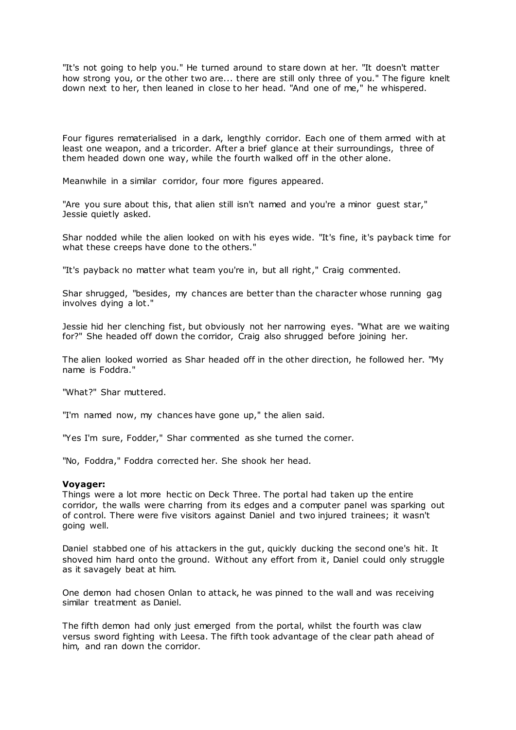"It's not going to help you." He turned around to stare down at her. "It doesn't matter how strong you, or the other two are... there are still only three of you." The figure knelt down next to her, then leaned in close to her head. "And one of me," he whispered.

Four figures rematerialised in a dark, lengthly corridor. Each one of them armed with at least one weapon, and a tricorder. After a brief glance at their surroundings, three of them headed down one way, while the fourth walked off in the other alone.

Meanwhile in a similar corridor, four more figures appeared.

"Are you sure about this, that alien still isn't named and you're a minor guest star," Jessie quietly asked.

Shar nodded while the alien looked on with his eyes wide. "It's fine, it's payback time for what these creeps have done to the others."

"It's payback no matter what team you're in, but all right," Craig commented.

Shar shrugged, "besides, my chances are better than the character whose running gag involves dying a lot."

Jessie hid her clenching fist, but obviously not her narrowing eyes. "What are we waiting for?" She headed off down the corridor, Craig also shrugged before joining her.

The alien looked worried as Shar headed off in the other direction, he followed her. "My name is Foddra."

"What?" Shar muttered.

"I'm named now, my chances have gone up," the alien said.

"Yes I'm sure, Fodder," Shar commented as she turned the corner.

"No, Foddra," Foddra corrected her. She shook her head.

## **Voyager:**

Things were a lot more hectic on Deck Three. The portal had taken up the entire corridor, the walls were charring from its edges and a computer panel was sparking out of control. There were five visitors against Daniel and two injured trainees; it wasn't going well.

Daniel stabbed one of his attackers in the gut, quickly ducking the second one's hit. It shoved him hard onto the ground. Without any effort from it, Daniel could only struggle as it savagely beat at him.

One demon had chosen Onlan to attack, he was pinned to the wall and was receiving similar treatment as Daniel.

The fifth demon had only just emerged from the portal, whilst the fourth was claw versus sword fighting with Leesa. The fifth took advantage of the clear path ahead of him, and ran down the corridor.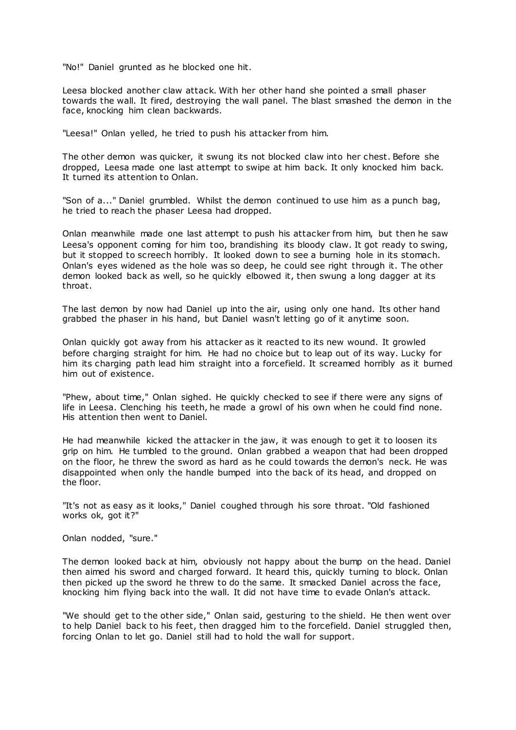"No!" Daniel grunted as he blocked one hit.

Leesa blocked another claw attack. With her other hand she pointed a small phaser towards the wall. It fired, destroying the wall panel. The blast smashed the demon in the face, knocking him clean backwards.

"Leesa!" Onlan yelled, he tried to push his attacker from him.

The other demon was quicker, it swung its not blocked claw into her chest. Before she dropped, Leesa made one last attempt to swipe at him back. It only knocked him back. It turned its attention to Onlan.

"Son of a..." Daniel grumbled. Whilst the demon continued to use him as a punch bag, he tried to reach the phaser Leesa had dropped.

Onlan meanwhile made one last attempt to push his attacker from him, but then he saw Leesa's opponent coming for him too, brandishing its bloody claw. It got ready to swing, but it stopped to screech horribly. It looked down to see a burning hole in its stomach. Onlan's eyes widened as the hole was so deep, he could see right through it. The other demon looked back as well, so he quickly elbowed it, then swung a long dagger at its throat.

The last demon by now had Daniel up into the air, using only one hand. Its other hand grabbed the phaser in his hand, but Daniel wasn't letting go of it anytime soon.

Onlan quickly got away from his attacker as it reacted to its new wound. It growled before charging straight for him. He had no choice but to leap out of its way. Lucky for him its charging path lead him straight into a forcefield. It screamed horribly as it burned him out of existence.

"Phew, about time," Onlan sighed. He quickly checked to see if there were any signs of life in Leesa. Clenching his teeth, he made a growl of his own when he could find none. His attention then went to Daniel.

He had meanwhile kicked the attacker in the jaw, it was enough to get it to loosen its grip on him. He tumbled to the ground. Onlan grabbed a weapon that had been dropped on the floor, he threw the sword as hard as he could towards the demon's neck. He was disappointed when only the handle bumped into the back of its head, and dropped on the floor.

"It's not as easy as it looks," Daniel coughed through his sore throat. "Old fashioned works ok, got it?"

Onlan nodded, "sure."

The demon looked back at him, obviously not happy about the bump on the head. Daniel then aimed his sword and charged forward. It heard this, quickly turning to block. Onlan then picked up the sword he threw to do the same. It smacked Daniel across the face, knocking him flying back into the wall. It did not have time to evade Onlan's attack.

"We should get to the other side," Onlan said, gesturing to the shield. He then went over to help Daniel back to his feet, then dragged him to the forcefield. Daniel struggled then, forcing Onlan to let go. Daniel still had to hold the wall for support.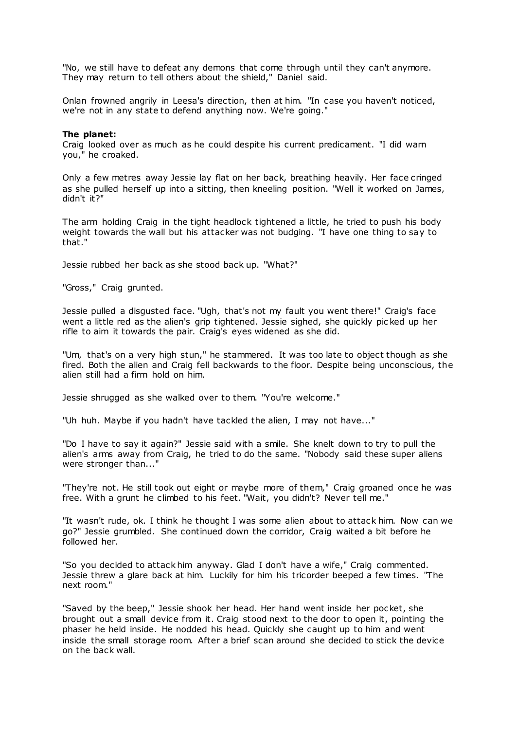"No, we still have to defeat any demons that come through until they can't anymore. They may return to tell others about the shield," Daniel said.

Onlan frowned angrily in Leesa's direction, then at him. "In case you haven't noticed, we're not in any state to defend anything now. We're going."

## **The planet:**

Craig looked over as much as he could despite his current predicament. "I did warn you," he croaked.

Only a few metres away Jessie lay flat on her back, breathing heavily. Her face cringed as she pulled herself up into a sitting, then kneeling position. "Well it worked on James, didn't it?"

The arm holding Craig in the tight headlock tightened a little, he tried to push his body weight towards the wall but his attacker was not budging. "I have one thing to say to that."

Jessie rubbed her back as she stood back up. "What?"

"Gross," Craig grunted.

Jessie pulled a disgusted face. "Ugh, that's not my fault you went there!" Craig's face went a little red as the alien's grip tightened. Jessie sighed, she quickly pic ked up her rifle to aim it towards the pair. Craig's eyes widened as she did.

"Um, that's on a very high stun," he stammered. It was too late to object though as she fired. Both the alien and Craig fell backwards to the floor. Despite being unconscious, the alien still had a firm hold on him.

Jessie shrugged as she walked over to them. "You're welcome."

"Uh huh. Maybe if you hadn't have tackled the alien, I may not have..."

"Do I have to say it again?" Jessie said with a smile. She knelt down to try to pull the alien's arms away from Craig, he tried to do the same. "Nobody said these super aliens were stronger than..."

"They're not. He still took out eight or maybe more of them," Craig groaned once he was free. With a grunt he climbed to his feet. "Wait, you didn't? Never tell me."

"It wasn't rude, ok. I think he thought I was some alien about to attack him. Now can we go?" Jessie grumbled. She continued down the corridor, Craig waited a bit before he followed her.

"So you decided to attack him anyway. Glad I don't have a wife," Craig commented. Jessie threw a glare back at him. Luckily for him his tricorder beeped a few times. "The next room."

"Saved by the beep," Jessie shook her head. Her hand went inside her pocket, she brought out a small device from it. Craig stood next to the door to open it, pointing the phaser he held inside. He nodded his head. Quickly she caught up to him and went inside the small storage room. After a brief scan around she decided to stick the device on the back wall.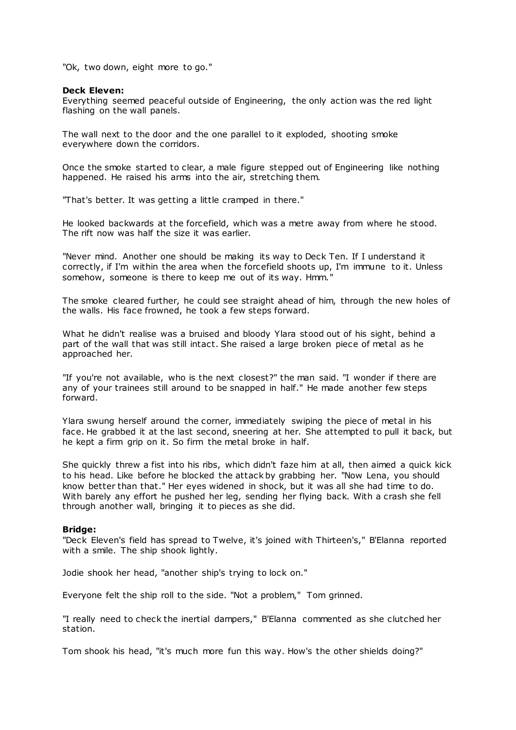"Ok, two down, eight more to go."

# **Deck Eleven:**

Everything seemed peaceful outside of Engineering, the only action was the red light flashing on the wall panels.

The wall next to the door and the one parallel to it exploded, shooting smoke everywhere down the corridors.

Once the smoke started to clear, a male figure stepped out of Engineering like nothing happened. He raised his arms into the air, stretching them.

"That's better. It was getting a little cramped in there."

He looked backwards at the forcefield, which was a metre away from where he stood. The rift now was half the size it was earlier.

"Never mind. Another one should be making its way to Deck Ten. If I understand it correctly, if I'm within the area when the forcefield shoots up, I'm immune to it. Unless somehow, someone is there to keep me out of its way. Hmm."

The smoke cleared further, he could see straight ahead of him, through the new holes of the walls. His face frowned, he took a few steps forward.

What he didn't realise was a bruised and bloody Ylara stood out of his sight, behind a part of the wall that was still intact. She raised a large broken piece of metal as he approached her.

"If you're not available, who is the next closest?" the man said. "I wonder if there are any of your trainees still around to be snapped in half." He made another few steps forward.

Ylara swung herself around the corner, immediately swiping the piece of metal in his face. He grabbed it at the last second, sneering at her. She attempted to pull it back, but he kept a firm grip on it. So firm the metal broke in half.

She quickly threw a fist into his ribs, which didn't faze him at all, then aimed a quick kick to his head. Like before he blocked the attack by grabbing her. "Now Lena, you should know better than that." Her eyes widened in shock, but it was all she had time to do. With barely any effort he pushed her leg, sending her flying back. With a crash she fell through another wall, bringing it to pieces as she did.

## **Bridge:**

"Deck Eleven's field has spread to Twelve, it's joined with Thirteen's," B'Elanna reported with a smile. The ship shook lightly.

Jodie shook her head, "another ship's trying to lock on."

Everyone felt the ship roll to the side. "Not a problem," Tom grinned.

"I really need to check the inertial dampers," B'Elanna commented as she clutched her station.

Tom shook his head, "it's much more fun this way. How's the other shields doing?"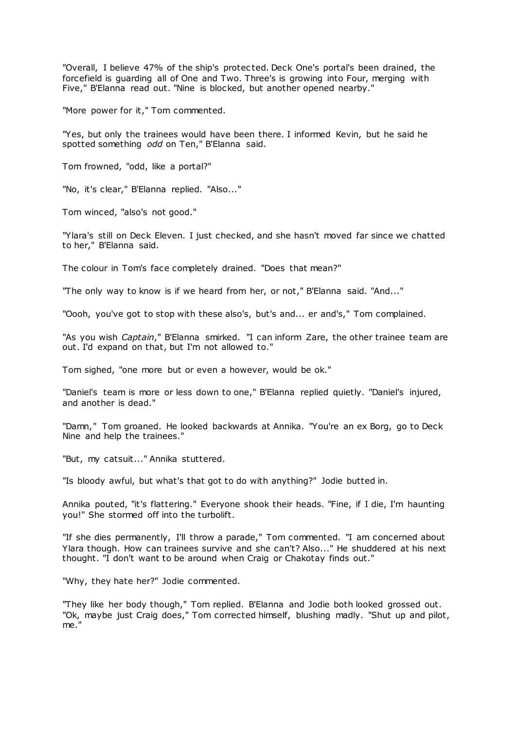"Overall, I believe 47% of the ship's protec ted. Deck One's portal's been drained, the forcefield is guarding all of One and Two. Three's is growing into Four, merging with Five," B'Elanna read out. "Nine is blocked, but another opened nearby."

"More power for it," Tom commented.

"Yes, but only the trainees would have been there. I informed Kevin, but he said he spotted something *odd* on Ten," B'Elanna said.

Tom frowned, "odd, like a portal?"

"No, it's clear," B'Elanna replied. "Also..."

Tom winced, "also's not good."

"Ylara's still on Deck Eleven. I just checked, and she hasn't moved far since we chatted to her," B'Elanna said.

The colour in Tom's face completely drained. "Does that mean?"

"The only way to know is if we heard from her, or not," B'Elanna said. "And..."

"Oooh, you've got to stop with these also's, but's and... er and's," Tom complained.

"As you wish *Captain*," B'Elanna smirked. "I can inform Zare, the other trainee team are out. I'd expand on that, but I'm not allowed to."

Tom sighed, "one more but or even a however, would be ok."

"Daniel's team is more or less down to one," B'Elanna replied quietly. "Daniel's injured, and another is dead."

"Damn," Tom groaned. He looked backwards at Annika. "You're an ex Borg, go to Deck Nine and help the trainees."

"But, my catsuit..." Annika stuttered.

"Is bloody awful, but what's that got to do with anything?" Jodie butted in.

Annika pouted, "it's flattering." Everyone shook their heads. "Fine, if I die, I'm haunting you!" She stormed off into the turbolift.

"If she dies permanently, I'll throw a parade," Tom commented. "I am concerned about Ylara though. How can trainees survive and she can't? Also..." He shuddered at his next thought. "I don't want to be around when Craig or Chakotay finds out."

"Why, they hate her?" Jodie commented.

"They like her body though," Tom replied. B'Elanna and Jodie both looked grossed out. "Ok, maybe just Craig does," Tom corrected himself, blushing madly. "Shut up and pilot, me."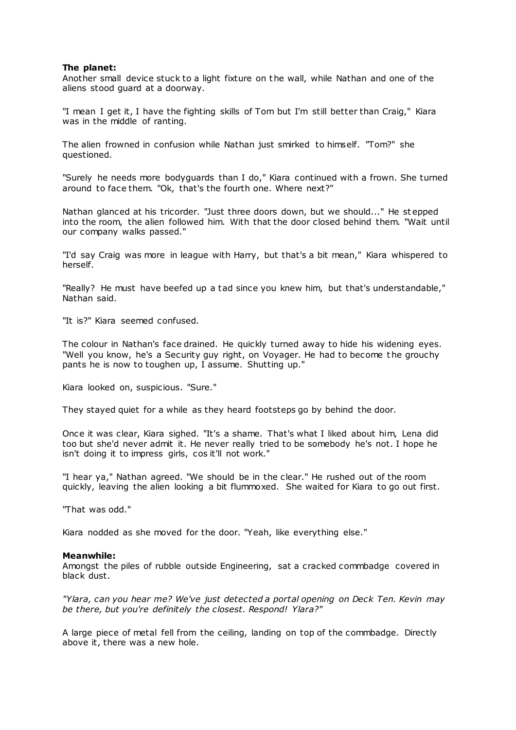# **The planet:**

Another small device stuck to a light fixture on the wall, while Nathan and one of the aliens stood guard at a doorway.

"I mean I get it, I have the fighting skills of Tom but I'm still better than Craig," Kiara was in the middle of ranting.

The alien frowned in confusion while Nathan just smirked to himself. "Tom?" she questioned.

"Surely he needs more bodyguards than I do," Kiara continued with a frown. She turned around to face them. "Ok, that's the fourth one. Where next?"

Nathan glanced at his tricorder. "Just three doors down, but we should..." He st epped into the room, the alien followed him. With that the door closed behind them. "Wait until our company walks passed."

"I'd say Craig was more in league with Harry, but that's a bit mean," Kiara whispered to herself.

"Really? He must have beefed up a tad since you knew him, but that's understandable," Nathan said.

"It is?" Kiara seemed confused.

The colour in Nathan's face drained. He quickly turned away to hide his widening eyes. "Well you know, he's a Security guy right, on Voyager. He had to become t he grouchy pants he is now to toughen up, I assume. Shutting up."

Kiara looked on, suspicious. "Sure."

They stayed quiet for a while as they heard footsteps go by behind the door.

Once it was clear, Kiara sighed. "It's a shame. That's what I liked about him, Lena did too but she'd never admit it. He never really tried to be somebody he's not. I hope he isn't doing it to impress girls, cos it'll not work."

"I hear ya," Nathan agreed. "We should be in the clear." He rushed out of the room quickly, leaving the alien looking a bit flummoxed. She waited for Kiara to go out first.

"That was odd."

Kiara nodded as she moved for the door. "Yeah, like everything else."

# **Meanwhile:**

Amongst the piles of rubble outside Engineering, sat a cracked commbadge covered in black dust.

*"Ylara, can you hear me? We've just detected a portal opening on Deck Ten. Kevin may be there, but you're definitely the closest. Respond! Ylara?"*

A large piece of metal fell from the ceiling, landing on top of the commbadge. Directly above it, there was a new hole.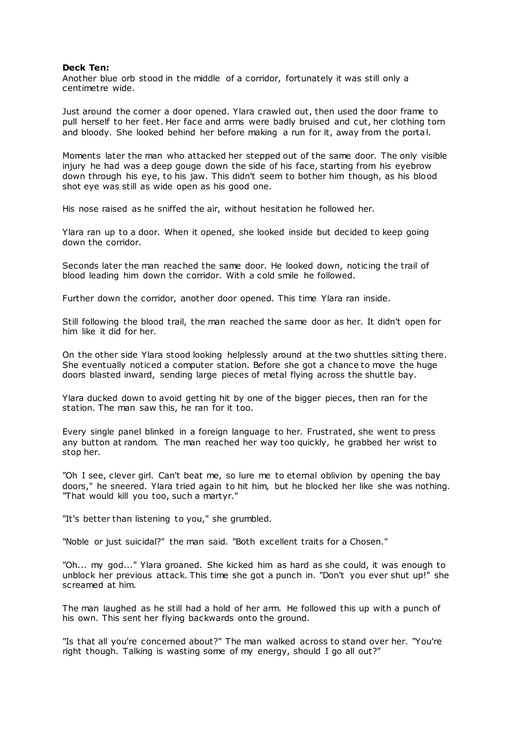### **Deck Ten:**

Another blue orb stood in the middle of a corridor, fortunately it was still only a centimetre wide.

Just around the corner a door opened. Ylara crawled out, then used the door frame to pull herself to her feet. Her face and arms were badly bruised and cut, her clothing torn and bloody. She looked behind her before making a run for it, away from the portal.

Moments later the man who attacked her stepped out of the same door. The only visible injury he had was a deep gouge down the side of his face, starting from his eyebrow down through his eye, to his jaw. This didn't seem to bother him though, as his blood shot eye was still as wide open as his good one.

His nose raised as he sniffed the air, without hesitation he followed her.

Ylara ran up to a door. When it opened, she looked inside but decided to keep going down the corridor.

Seconds later the man reached the same door. He looked down, noticing the trail of blood leading him down the corridor. With a cold smile he followed.

Further down the corridor, another door opened. This time Ylara ran inside.

Still following the blood trail, the man reached the same door as her. It didn't open for him like it did for her.

On the other side Ylara stood looking helplessly around at the two shuttles sitting there. She eventually noticed a computer station. Before she got a chance to move the huge doors blasted inward, sending large pieces of metal flying across the shuttle bay.

Ylara ducked down to avoid getting hit by one of the bigger pieces, then ran for the station. The man saw this, he ran for it too.

Every single panel blinked in a foreign language to her. Frustrated, she went to press any button at random. The man reached her way too quickly, he grabbed her wrist to stop her.

"Oh I see, clever girl. Can't beat me, so lure me to eternal oblivion by opening the bay doors," he sneered. Ylara tried again to hit him, but he blocked her like she was nothing. "That would kill you too, such a martyr."

"It's better than listening to you," she grumbled.

"Noble or just suicidal?" the man said. "Both excellent traits for a Chosen."

"Oh... my god..." Ylara groaned. She kicked him as hard as she could, it was enough to unblock her previous attack. This time she got a punch in. "Don't you ever shut up!" she screamed at him.

The man laughed as he still had a hold of her arm. He followed this up with a punch of his own. This sent her flying backwards onto the ground.

"Is that all you're concerned about?" The man walked across to stand over her. "You're right though. Talking is wasting some of my energy, should I go all out?"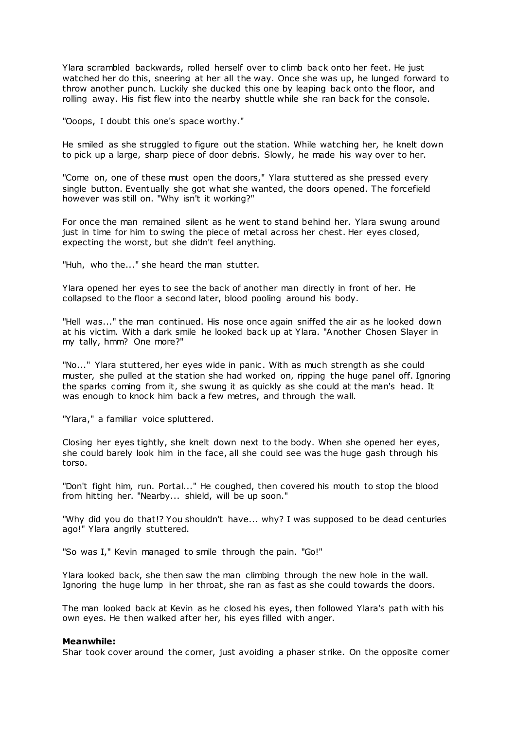Ylara scrambled backwards, rolled herself over to climb back onto her feet. He just watched her do this, sneering at her all the way. Once she was up, he lunged forward to throw another punch. Luckily she ducked this one by leaping back onto the floor, and rolling away. His fist flew into the nearby shuttle while she ran back for the console.

"Ooops, I doubt this one's space worthy."

He smiled as she struggled to figure out the station. While watching her, he knelt down to pick up a large, sharp piece of door debris. Slowly, he made his way over to her.

"Come on, one of these must open the doors," Ylara stuttered as she pressed every single button. Eventually she got what she wanted, the doors opened. The forcefield however was still on. "Why isn't it working?"

For once the man remained silent as he went to stand behind her. Ylara swung around just in time for him to swing the piece of metal across her chest. Her eyes closed, expecting the worst, but she didn't feel anything.

"Huh, who the..." she heard the man stutter.

Ylara opened her eyes to see the back of another man directly in front of her. He collapsed to the floor a second later, blood pooling around his body.

"Hell was..." the man continued. His nose once again sniffed the air as he looked down at his victim. With a dark smile he looked back up at Ylara. "Another Chosen Slayer in my tally, hmm? One more?"

"No..." Ylara stuttered, her eyes wide in panic . With as much strength as she could muster, she pulled at the station she had worked on, ripping the huge panel off. Ignoring the sparks coming from it, she swung it as quickly as she could at the man's head. It was enough to knock him back a few metres, and through the wall.

"Ylara," a familiar voice spluttered.

Closing her eyes tightly, she knelt down next to the body. When she opened her eyes, she could barely look him in the face, all she could see was the huge gash through his torso.

"Don't fight him, run. Portal..." He coughed, then covered his mouth to stop the blood from hitting her. "Nearby... shield, will be up soon."

"Why did you do that!? You shouldn't have... why? I was supposed to be dead centuries ago!" Ylara angrily stuttered.

"So was I," Kevin managed to smile through the pain. "Go!"

Ylara looked back, she then saw the man climbing through the new hole in the wall. Ignoring the huge lump in her throat, she ran as fast as she could towards the doors.

The man looked back at Kevin as he closed his eyes, then followed Ylara's path with his own eyes. He then walked after her, his eyes filled with anger.

### **Meanwhile:**

Shar took cover around the corner, just avoiding a phaser strike. On the opposite corner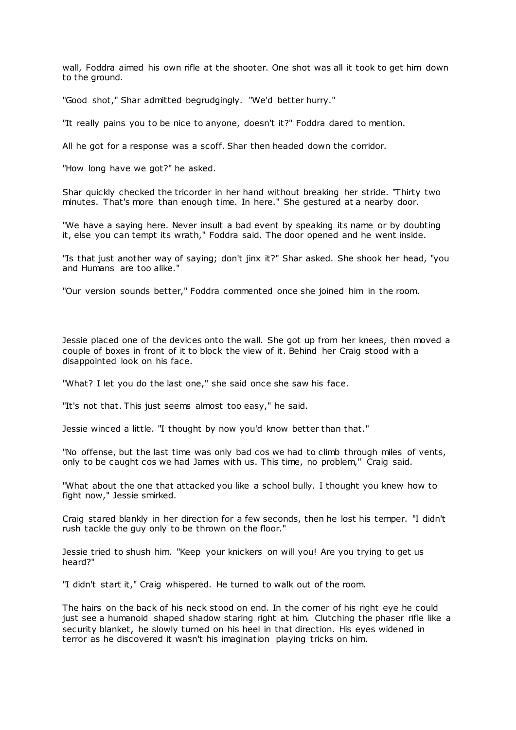wall, Foddra aimed his own rifle at the shooter. One shot was all it took to get him down to the ground.

"Good shot," Shar admitted begrudgingly. "We'd better hurry."

"It really pains you to be nice to anyone, doesn't it?" Foddra dared to mention.

All he got for a response was a scoff. Shar then headed down the corridor.

"How long have we got?" he asked.

Shar quickly checked the tricorder in her hand without breaking her stride. "Thirty two minutes. That's more than enough time. In here." She gestured at a nearby door.

"We have a saying here. Never insult a bad event by speaking its name or by doubting it, else you can tempt its wrath," Foddra said. The door opened and he went inside.

"Is that just another way of saying; don't jinx it?" Shar asked. She shook her head, "you and Humans are too alike."

"Our version sounds better," Foddra commented once she joined him in the room.

Jessie placed one of the devices onto the wall. She got up from her knees, then moved a couple of boxes in front of it to block the view of it. Behind her Craig stood with a disappointed look on his face.

"What? I let you do the last one," she said once she saw his face.

"It's not that. This just seems almost too easy," he said.

Jessie winced a little. "I thought by now you'd know better than that."

"No offense, but the last time was only bad cos we had to climb through miles of vents, only to be caught cos we had James with us. This time, no problem," Craig said.

"What about the one that attacked you like a school bully. I thought you knew how to fight now," Jessie smirked.

Craig stared blankly in her direction for a few seconds, then he lost his temper. "I didn't rush tackle the guy only to be thrown on the floor."

Jessie tried to shush him. "Keep your knickers on will you! Are you trying to get us heard?"

"I didn't start it," Craig whispered. He turned to walk out of the room.

The hairs on the back of his neck stood on end. In the corner of his right eye he could just see a humanoid shaped shadow staring right at him. Clutching the phaser rifle like a security blanket, he slowly turned on his heel in that direction. His eyes widened in terror as he discovered it wasn't his imagination playing tricks on him.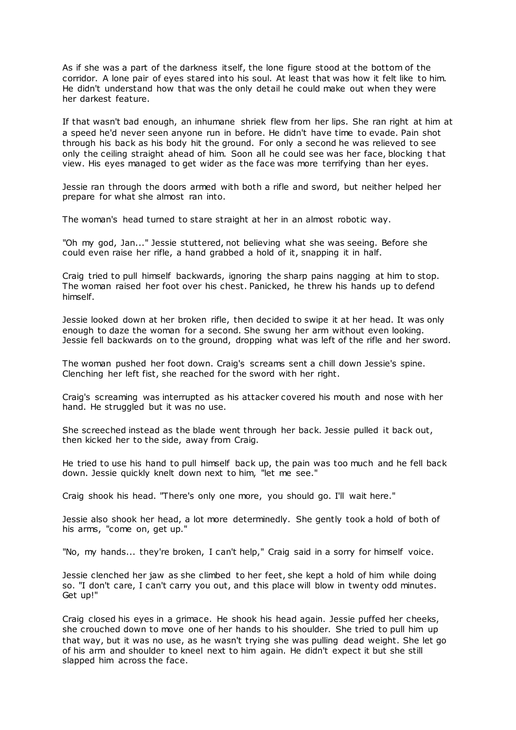As if she was a part of the darkness itself, the lone figure stood at the bottom of the corridor. A lone pair of eyes stared into his soul. At least that was how it felt like to him. He didn't understand how that was the only detail he could make out when they were her darkest feature.

If that wasn't bad enough, an inhumane shriek flew from her lips. She ran right at him at a speed he'd never seen anyone run in before. He didn't have time to evade. Pain shot through his back as his body hit the ground. For only a second he was relieved to see only the ceiling straight ahead of him. Soon all he could see was her face, blocking t hat view. His eyes managed to get wider as the face was more terrifying than her eyes.

Jessie ran through the doors armed with both a rifle and sword, but neither helped her prepare for what she almost ran into.

The woman's head turned to stare straight at her in an almost robotic way.

"Oh my god, Jan..." Jessie stuttered, not believing what she was seeing. Before she could even raise her rifle, a hand grabbed a hold of it, snapping it in half.

Craig tried to pull himself backwards, ignoring the sharp pains nagging at him to stop. The woman raised her foot over his chest. Panicked, he threw his hands up to defend himself.

Jessie looked down at her broken rifle, then decided to swipe it at her head. It was only enough to daze the woman for a second. She swung her arm without even looking. Jessie fell backwards on to the ground, dropping what was left of the rifle and her sword.

The woman pushed her foot down. Craig's screams sent a chill down Jessie's spine. Clenching her left fist, she reached for the sword with her right.

Craig's screaming was interrupted as his attacker covered his mouth and nose with her hand. He struggled but it was no use.

She screeched instead as the blade went through her back. Jessie pulled it back out, then kicked her to the side, away from Craig.

He tried to use his hand to pull himself back up, the pain was too much and he fell back down. Jessie quickly knelt down next to him, "let me see."

Craig shook his head. "There's only one more, you should go. I'll wait here."

Jessie also shook her head, a lot more determinedly. She gently took a hold of both of his arms, "come on, get up."

"No, my hands... they're broken, I can't help," Craig said in a sorry for himself voice.

Jessie clenched her jaw as she climbed to her feet, she kept a hold of him while doing so. "I don't care, I can't carry you out, and this place will blow in twenty odd minutes. Get up!"

Craig closed his eyes in a grimace. He shook his head again. Jessie puffed her cheeks, she crouched down to move one of her hands to his shoulder. She tried to pull him up that way, but it was no use, as he wasn't trying she was pulling dead weight. She let go of his arm and shoulder to kneel next to him again. He didn't expect it but she still slapped him across the face.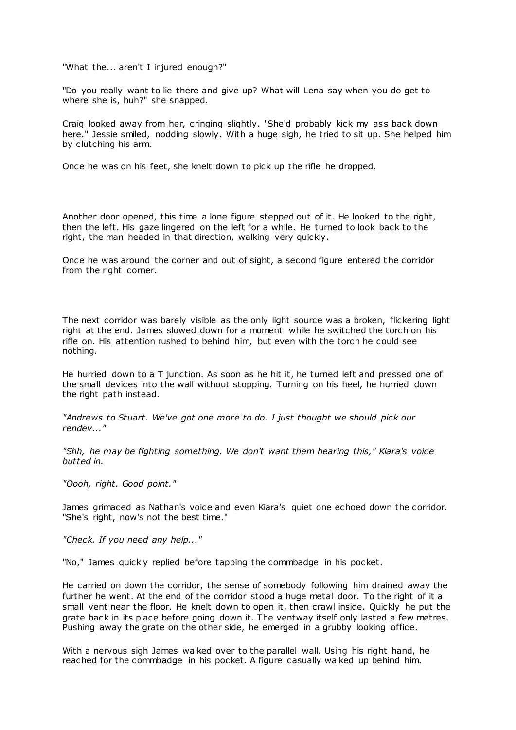"What the... aren't I injured enough?"

"Do you really want to lie there and give up? What will Lena say when you do get to where she is, huh?" she snapped.

Craig looked away from her, cringing slightly. "She'd probably kick my ass back down here." Jessie smiled, nodding slowly. With a huge sigh, he tried to sit up. She helped him by clutching his arm.

Once he was on his feet, she knelt down to pick up the rifle he dropped.

Another door opened, this time a lone figure stepped out of it. He looked to the right, then the left. His gaze lingered on the left for a while. He turned to look back to the right, the man headed in that direction, walking very quickly.

Once he was around the corner and out of sight, a second figure entered t he corridor from the right corner.

The next corridor was barely visible as the only light source was a broken, flickering light right at the end. James slowed down for a moment while he switched the torch on his rifle on. His attention rushed to behind him, but even with the torch he could see nothing.

He hurried down to a T junction. As soon as he hit it, he turned left and pressed one of the small devices into the wall without stopping. Turning on his heel, he hurried down the right path instead.

*"Andrews to Stuart. We've got one more to do. I just thought we should pick our rendev..."*

*"Shh, he may be fighting something. We don't want them hearing this," Kiara's voice butted in.*

*"Oooh, right. Good point."*

James grimaced as Nathan's voice and even Kiara's quiet one echoed down the corridor. "She's right, now's not the best time."

*"Check. If you need any help..."*

"No," James quickly replied before tapping the commbadge in his pocket.

He carried on down the corridor, the sense of somebody following him drained away the further he went. At the end of the corridor stood a huge metal door. To the right of it a small vent near the floor. He knelt down to open it, then crawl inside. Quickly he put the grate back in its place before going down it. The ventway itself only lasted a few metres. Pushing away the grate on the other side, he emerged in a grubby looking office.

With a nervous sigh James walked over to the parallel wall. Using his right hand, he reached for the commbadge in his pocket. A figure casually walked up behind him.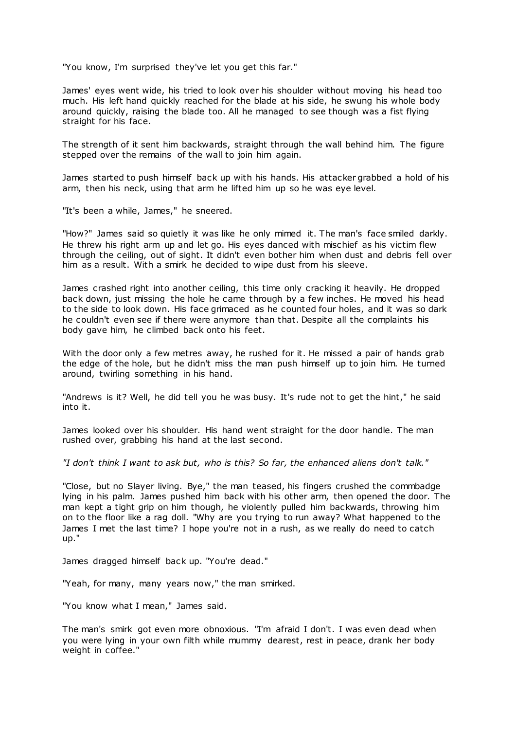"You know, I'm surprised they've let you get this far."

James' eyes went wide, his tried to look over his shoulder without moving his head too much. His left hand quickly reached for the blade at his side, he swung his whole body around quickly, raising the blade too. All he managed to see though was a fist flying straight for his face.

The strength of it sent him backwards, straight through the wall behind him. The figure stepped over the remains of the wall to join him again.

James started to push himself back up with his hands. His attacker grabbed a hold of his arm, then his neck, using that arm he lifted him up so he was eye level.

"It's been a while, James," he sneered.

"How?" James said so quietly it was like he only mimed it. The man's face smiled darkly. He threw his right arm up and let go. His eyes danced with mischief as his victim flew through the ceiling, out of sight. It didn't even bother him when dust and debris fell over him as a result. With a smirk he decided to wipe dust from his sleeve.

James crashed right into another ceiling, this time only cracking it heavily. He dropped back down, just missing the hole he came through by a few inches. He moved his head to the side to look down. His face grimaced as he counted four holes, and it was so dark he couldn't even see if there were anymore than that. Despite all the complaints his body gave him, he climbed back onto his feet.

With the door only a few metres away, he rushed for it. He missed a pair of hands grab the edge of the hole, but he didn't miss the man push himself up to join him. He turned around, twirling something in his hand.

"Andrews is it? Well, he did tell you he was busy. It's rude not to get the hint," he said into it.

James looked over his shoulder. His hand went straight for the door handle. The man rushed over, grabbing his hand at the last second.

*"I don't think I want to ask but, who is this? So far, the enhanced aliens don't talk."*

"Close, but no Slayer living. Bye," the man teased, his fingers crushed the commbadge lying in his palm. James pushed him back with his other arm, then opened the door. The man kept a tight grip on him though, he violently pulled him backwards, throwing him on to the floor like a rag doll. "Why are you trying to run away? What happened to the James I met the last time? I hope you're not in a rush, as we really do need to catch up."

James dragged himself back up. "You're dead."

"Yeah, for many, many years now," the man smirked.

"You know what I mean," James said.

The man's smirk got even more obnoxious. "I'm afraid I don't. I was even dead when you were lying in your own filth while mummy dearest, rest in peace, drank her body weight in coffee."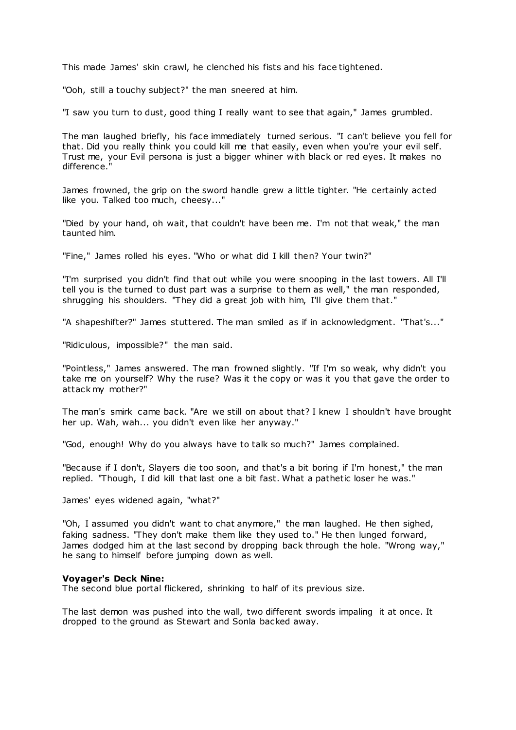This made James' skin crawl, he clenched his fists and his face tightened.

"Ooh, still a touchy subject?" the man sneered at him.

"I saw you turn to dust, good thing I really want to see that again," James grumbled.

The man laughed briefly, his face immediately turned serious. "I can't believe you fell for that. Did you really think you could kill me that easily, even when you're your evil self. Trust me, your Evil persona is just a bigger whiner with black or red eyes. It makes no difference.

James frowned, the grip on the sword handle grew a little tighter. "He certainly acted like you. Talked too much, cheesy..."

"Died by your hand, oh wait, that couldn't have been me. I'm not that weak," the man taunted him.

"Fine," James rolled his eyes. "Who or what did I kill then? Your twin?"

"I'm surprised you didn't find that out while you were snooping in the last towers. All I'll tell you is the turned to dust part was a surprise to them as well," the man responded, shrugging his shoulders. "They did a great job with him, I'll give them that."

"A shapeshifter?" James stuttered. The man smiled as if in acknowledgment. "That's..."

"Ridiculous, impossible?" the man said.

"Pointless," James answered. The man frowned slightly. "If I'm so weak, why didn't you take me on yourself? Why the ruse? Was it the copy or was it you that gave the order to attack my mother?"

The man's smirk came back. "Are we still on about that? I knew I shouldn't have brought her up. Wah, wah... you didn't even like her anyway."

"God, enough! Why do you always have to talk so much?" James complained.

"Because if I don't, Slayers die too soon, and that's a bit boring if I'm honest," the man replied. "Though, I did kill that last one a bit fast. What a pathetic loser he was."

James' eyes widened again, "what?"

"Oh, I assumed you didn't want to chat anymore," the man laughed. He then sighed, faking sadness. "They don't make them like they used to." He then lunged forward, James dodged him at the last second by dropping back through the hole. "Wrong way," he sang to himself before jumping down as well.

#### **Voyager's Deck Nine:**

The second blue portal flickered, shrinking to half of its previous size.

The last demon was pushed into the wall, two different swords impaling it at once. It dropped to the ground as Stewart and Sonla backed away.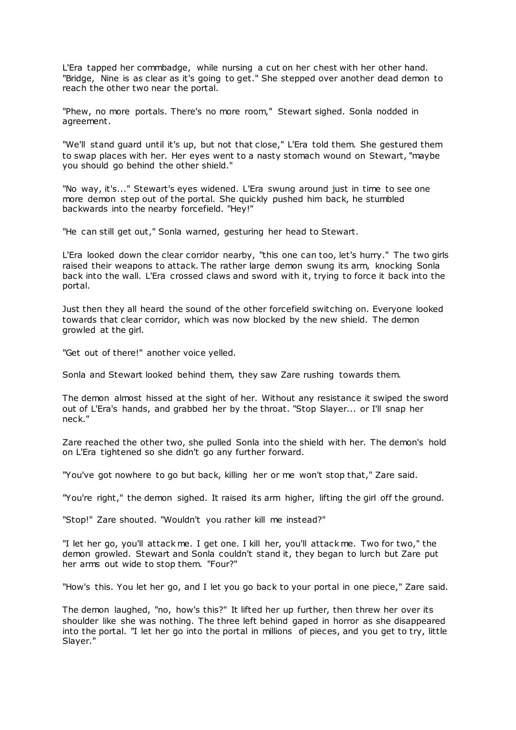L'Era tapped her commbadge, while nursing a cut on her chest with her other hand. "Bridge, Nine is as clear as it's going to get." She stepped over another dead demon to reach the other two near the portal.

"Phew, no more portals. There's no more room," Stewart sighed. Sonla nodded in agreement.

"We'll stand guard until it's up, but not that close," L'Era told them. She gestured them to swap places with her. Her eyes went to a nasty stomach wound on Stewart, "maybe you should go behind the other shield."

"No way, it's..." Stewart's eyes widened. L'Era swung around just in time to see one more demon step out of the portal. She quickly pushed him back, he stumbled backwards into the nearby forcefield. "Hey!"

"He can still get out," Sonla warned, gesturing her head to Stewart.

L'Era looked down the clear corridor nearby, "this one can too, let's hurry." The two girls raised their weapons to attack. The rather large demon swung its arm, knocking Sonla back into the wall. L'Era crossed claws and sword with it, trying to force it back into the portal.

Just then they all heard the sound of the other forcefield switching on. Everyone looked towards that clear corridor, which was now blocked by the new shield. The demon growled at the girl.

"Get out of there!" another voice yelled.

Sonla and Stewart looked behind them, they saw Zare rushing towards them.

The demon almost hissed at the sight of her. Without any resistance it swiped the sword out of L'Era's hands, and grabbed her by the throat. "Stop Slayer... or I'll snap her neck."

Zare reached the other two, she pulled Sonla into the shield with her. The demon's hold on L'Era tightened so she didn't go any further forward.

"You've got nowhere to go but back, killing her or me won't stop that," Zare said.

"You're right," the demon sighed. It raised its arm higher, lifting the girl off the ground.

"Stop!" Zare shouted. "Wouldn't you rather kill me instead?"

"I let her go, you'll attack me. I get one. I kill her, you'll attack me. Two for two," the demon growled. Stewart and Sonla couldn't stand it, they began to lurch but Zare put her arms out wide to stop them. "Four?"

"How's this. You let her go, and I let you go back to your portal in one piece," Zare said.

The demon laughed, "no, how's this?" It lifted her up further, then threw her over its shoulder like she was nothing. The three left behind gaped in horror as she disappeared into the portal. "I let her go into the portal in millions of pieces, and you get to try, little Slayer."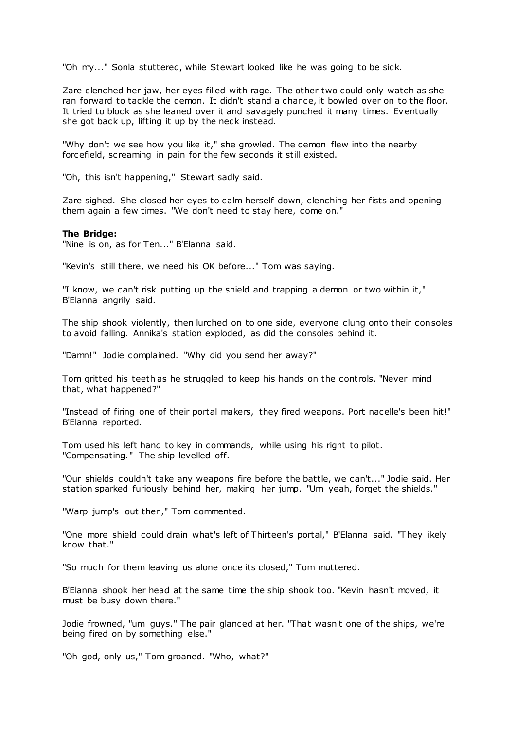"Oh my..." Sonla stuttered, while Stewart looked like he was going to be sick.

Zare clenched her jaw, her eyes filled with rage. The other two could only watch as she ran forward to tackle the demon. It didn't stand a chance, it bowled over on to the floor. It tried to block as she leaned over it and savagely punched it many times. Eventually she got back up, lifting it up by the neck instead.

"Why don't we see how you like it," she growled. The demon flew into the nearby forcefield, screaming in pain for the few seconds it still existed.

"Oh, this isn't happening," Stewart sadly said.

Zare sighed. She closed her eyes to calm herself down, clenching her fists and opening them again a few times. "We don't need to stay here, come on."

### **The Bridge:**

"Nine is on, as for Ten..." B'Elanna said.

"Kevin's still there, we need his OK before..." Tom was saying.

"I know, we can't risk putting up the shield and trapping a demon or two within it," B'Elanna angrily said.

The ship shook violently, then lurched on to one side, everyone clung onto their consoles to avoid falling. Annika's station exploded, as did the consoles behind it.

"Damn!" Jodie complained. "Why did you send her away?"

Tom gritted his teeth as he struggled to keep his hands on the controls. "Never mind that, what happened?"

"Instead of firing one of their portal makers, they fired weapons. Port nacelle's been hit!" B'Elanna reported.

Tom used his left hand to key in commands, while using his right to pilot. "Compensating." The ship levelled off.

"Our shields couldn't take any weapons fire before the battle, we can't..." Jodie said. Her station sparked furiously behind her, making her jump. "Um yeah, forget the shields."

"Warp jump's out then," Tom commented.

"One more shield could drain what's left of Thirteen's portal," B'Elanna said. "T hey likely know that."

"So much for them leaving us alone once its closed," Tom muttered.

B'Elanna shook her head at the same time the ship shook too. "Kevin hasn't moved, it must be busy down there."

Jodie frowned, "um guys." The pair glanced at her. "That wasn't one of the ships, we're being fired on by something else."

"Oh god, only us," Tom groaned. "Who, what?"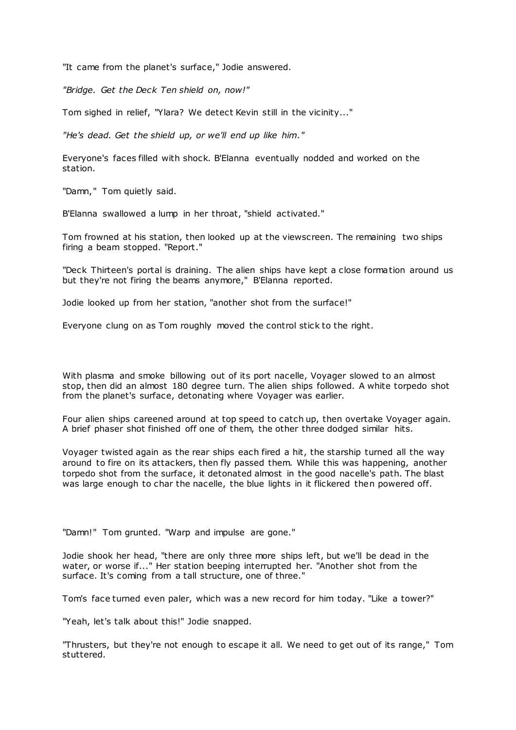"It came from the planet's surface," Jodie answered.

*"Bridge. Get the Deck Ten shield on, now!"*

Tom sighed in relief, "Ylara? We detect Kevin still in the vicinity..."

*"He's dead. Get the shield up, or we'll end up like him."*

Everyone's faces filled with shock. B'Elanna eventually nodded and worked on the station.

"Damn," Tom quietly said.

B'Elanna swallowed a lump in her throat, "shield activated."

Tom frowned at his station, then looked up at the viewscreen. The remaining two ships firing a beam stopped. "Report."

"Deck Thirteen's portal is draining. The alien ships have kept a close formation around us but they're not firing the beams anymore," B'Elanna reported.

Jodie looked up from her station, "another shot from the surface!"

Everyone clung on as Tom roughly moved the control stick to the right.

With plasma and smoke billowing out of its port nacelle, Voyager slowed to an almost stop, then did an almost 180 degree turn. The alien ships followed. A white torpedo shot from the planet's surface, detonating where Voyager was earlier.

Four alien ships careened around at top speed to catch up, then overtake Voyager again. A brief phaser shot finished off one of them, the other three dodged similar hits.

Voyager twisted again as the rear ships each fired a hit, the starship turned all the way around to fire on its attackers, then fly passed them. While this was happening, another torpedo shot from the surface, it detonated almost in the good nacelle's path. The blast was large enough to char the nacelle, the blue lights in it flickered then powered off.

"Damn!" Tom grunted. "Warp and impulse are gone."

Jodie shook her head, "there are only three more ships left, but we'll be dead in the water, or worse if..." Her station beeping interrupted her. "Another shot from the surface. It's coming from a tall structure, one of three."

Tom's face turned even paler, which was a new record for him today. "Like a tower?"

"Yeah, let's talk about this!" Jodie snapped.

"Thrusters, but they're not enough to escape it all. We need to get out of its range," Tom stuttered.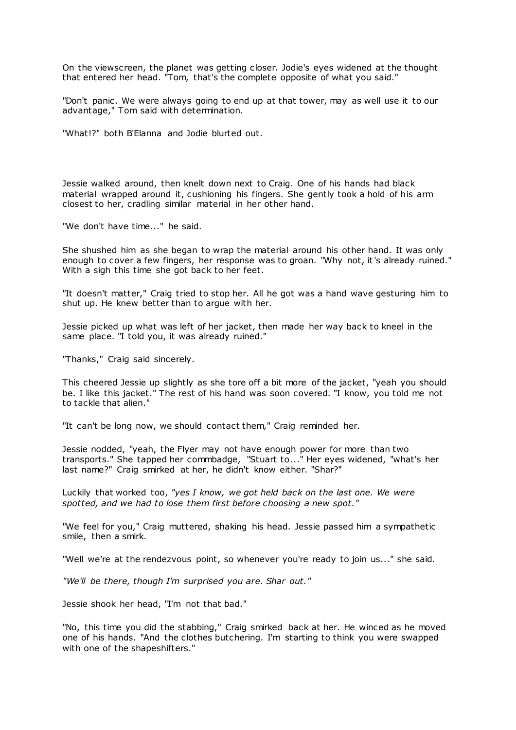On the viewscreen, the planet was getting closer. Jodie's eyes widened at the thought that entered her head. "Tom, that's the complete opposite of what you said."

"Don't panic. We were always going to end up at that tower, may as well use it to our advantage," Tom said with determination.

"What!?" both B'Elanna and Jodie blurted out.

Jessie walked around, then knelt down next to Craig. One of his hands had black material wrapped around it, cushioning his fingers. She gently took a hold of his arm closest to her, cradling similar material in her other hand.

"We don't have time..." he said.

She shushed him as she began to wrap the material around his other hand. It was only enough to cover a few fingers, her response was to groan. "Why not, it's already ruined." With a sigh this time she got back to her feet.

"It doesn't matter," Craig tried to stop her. All he got was a hand wave gesturing him to shut up. He knew better than to argue with her.

Jessie picked up what was left of her jacket, then made her way back to kneel in the same place. "I told you, it was already ruined."

"Thanks," Craig said sincerely.

This cheered Jessie up slightly as she tore off a bit more of the jacket, "yeah you should be. I like this jacket." The rest of his hand was soon covered. "I know, you told me not to tackle that alien."

"It can't be long now, we should contact them," Craig reminded her.

Jessie nodded, "yeah, the Flyer may not have enough power for more than two transports." She tapped her commbadge, "Stuart to..." Her eyes widened, "what's her last name?" Craig smirked at her, he didn't know either. "Shar?"

Luckily that worked too, *"yes I know, we got held back on the last one. We were spotted, and we had to lose them first before choosing a new spot."*

"We feel for you," Craig muttered, shaking his head. Jessie passed him a sympathetic smile, then a smirk.

"Well we're at the rendezvous point, so whenever you're ready to join us..." she said.

*"We'll be there, though I'm surprised you are. Shar out."*

Jessie shook her head, "I'm not that bad."

"No, this time you did the stabbing," Craig smirked back at her. He winced as he moved one of his hands. "And the clothes butchering. I'm starting to think you were swapped with one of the shapeshifters."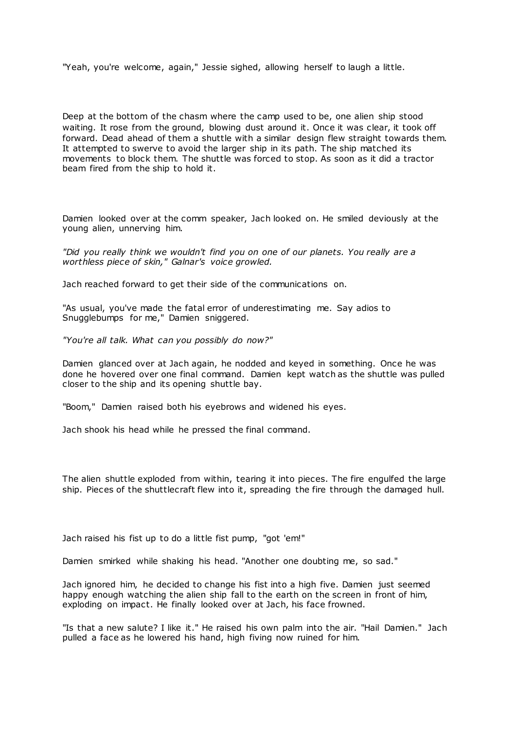"Yeah, you're welcome, again," Jessie sighed, allowing herself to laugh a little.

Deep at the bottom of the chasm where the camp used to be, one alien ship stood waiting. It rose from the ground, blowing dust around it. Once it was clear, it took off forward. Dead ahead of them a shuttle with a similar design flew straight towards them. It attempted to swerve to avoid the larger ship in its path. The ship matched its movements to block them. The shuttle was forced to stop. As soon as it did a tractor beam fired from the ship to hold it.

Damien looked over at the comm speaker, Jach looked on. He smiled deviously at the young alien, unnerving him.

*"Did you really think we wouldn't find you on one of our planets. You really are a worthless piece of skin," Galnar's voice growled.*

Jach reached forward to get their side of the communications on.

"As usual, you've made the fatal error of underestimating me. Say adios to Snugglebumps for me," Damien sniggered.

*"You're all talk. What can you possibly do now?"*

Damien glanced over at Jach again, he nodded and keyed in something. Once he was done he hovered over one final command. Damien kept watch as the shuttle was pulled closer to the ship and its opening shuttle bay.

"Boom," Damien raised both his eyebrows and widened his eyes.

Jach shook his head while he pressed the final command.

The alien shuttle exploded from within, tearing it into pieces. The fire engulfed the large ship. Pieces of the shuttlecraft flew into it, spreading the fire through the damaged hull.

Jach raised his fist up to do a little fist pump, "got 'em!"

Damien smirked while shaking his head. "Another one doubting me, so sad."

Jach ignored him, he decided to change his fist into a high five. Damien just seemed happy enough watching the alien ship fall to the earth on the screen in front of him, exploding on impact. He finally looked over at Jach, his face frowned.

"Is that a new salute? I like it." He raised his own palm into the air. "Hail Damien." Jach pulled a face as he lowered his hand, high fiving now ruined for him.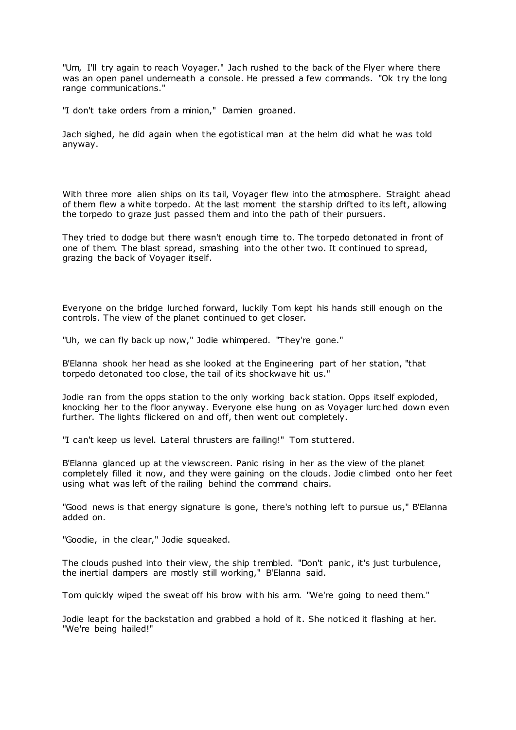"Um, I'll try again to reach Voyager." Jach rushed to the back of the Flyer where there was an open panel underneath a console. He pressed a few commands. "Ok try the long range communications."

"I don't take orders from a minion," Damien groaned.

Jach sighed, he did again when the egotistical man at the helm did what he was told anyway.

With three more alien ships on its tail, Voyager flew into the atmosphere. Straight ahead of them flew a white torpedo. At the last moment the starship drifted to its left, allowing the torpedo to graze just passed them and into the path of their pursuers.

They tried to dodge but there wasn't enough time to. The torpedo detonated in front of one of them. The blast spread, smashing into the other two. It continued to spread, grazing the back of Voyager itself.

Everyone on the bridge lurched forward, luckily Tom kept his hands still enough on the controls. The view of the planet continued to get closer.

"Uh, we can fly back up now," Jodie whimpered. "They're gone."

B'Elanna shook her head as she looked at the Engineering part of her station, "that torpedo detonated too close, the tail of its shockwave hit us."

Jodie ran from the opps station to the only working back station. Opps itself exploded, knocking her to the floor anyway. Everyone else hung on as Voyager lurc hed down even further. The lights flickered on and off, then went out completely.

"I can't keep us level. Lateral thrusters are failing!" Tom stuttered.

B'Elanna glanced up at the viewscreen. Panic rising in her as the view of the planet completely filled it now, and they were gaining on the clouds. Jodie climbed onto her feet using what was left of the railing behind the command chairs.

"Good news is that energy signature is gone, there's nothing left to pursue us," B'Elanna added on.

"Goodie, in the clear," Jodie squeaked.

The clouds pushed into their view, the ship trembled. "Don't panic , it's just turbulence, the inertial dampers are mostly still working," B'Elanna said.

Tom quickly wiped the sweat off his brow with his arm. "We're going to need them."

Jodie leapt for the backstation and grabbed a hold of it. She noticed it flashing at her. "We're being hailed!"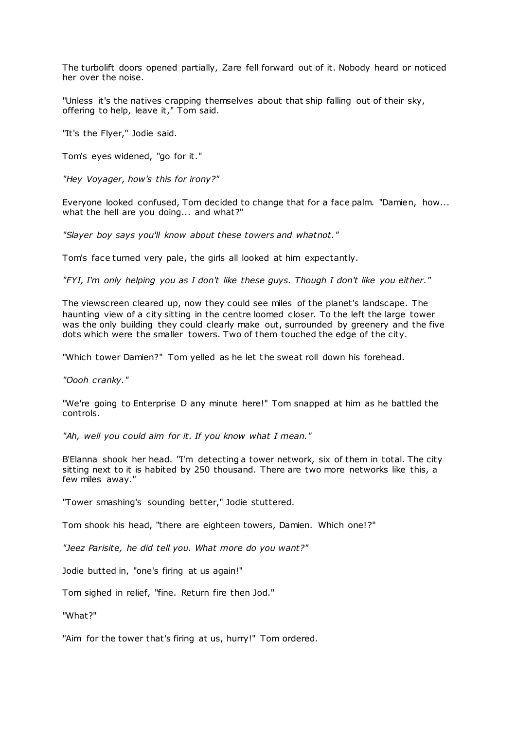The turbolift doors opened partially, Zare fell forward out of it. Nobody heard or noticed her over the noise.

"Unless it's the natives crapping themselves about that ship falling out of their sky, offering to help, leave it," Tom said.

"It's the Flyer," Jodie said.

Tom's eyes widened, "go for it."

*"Hey Voyager, how's this for irony?"*

Everyone looked confused, Tom decided to change that for a face palm. "Damien, how... what the hell are you doing... and what?"

*"Slayer boy says you'll know about these towers and whatnot."*

Tom's face turned very pale, the girls all looked at him expectantly.

*"FYI, I'm only helping you as I don't like these guys. Though I don't like you either."*

The viewscreen cleared up, now they could see miles of the planet's landscape. The haunting view of a city sitting in the centre loomed closer. To the left the large tower was the only building they could clearly make out, surrounded by greenery and the five dots which were the smaller towers. Two of them touched the edge of the city.

"Which tower Damien?" Tom yelled as he let the sweat roll down his forehead.

*"Oooh cranky."*

"We're going to Enterprise D any minute here!" Tom snapped at him as he battled the controls.

*"Ah, well you could aim for it. If you know what I mean."*

B'Elanna shook her head. "I'm detecting a tower network, six of them in total. The city sitting next to it is habited by 250 thousand. There are two more networks like this, a few miles away."

"Tower smashing's sounding better," Jodie stuttered.

Tom shook his head, "there are eighteen towers, Damien. Which one!?"

*"Jeez Parisite, he did tell you. What more do you want?"*

Jodie butted in, "one's firing at us again!"

Tom sighed in relief, "fine. Return fire then Jod."

"What?"

"Aim for the tower that's firing at us, hurry!" Tom ordered.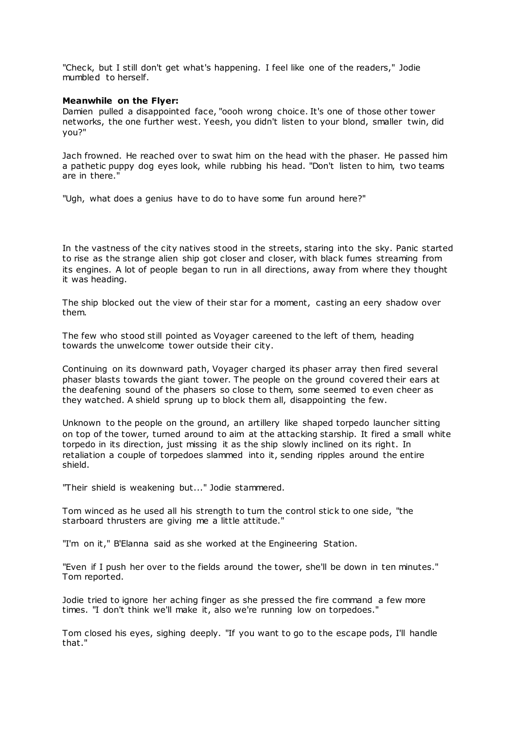"Check, but I still don't get what's happening. I feel like one of the readers," Jodie mumbled to herself.

# **Meanwhile on the Flyer:**

Damien pulled a disappointed face, "oooh wrong choice. It's one of those other tower networks, the one further west. Yeesh, you didn't listen to your blond, smaller twin, did you?"

Jach frowned. He reached over to swat him on the head with the phaser. He passed him a pathetic puppy dog eyes look, while rubbing his head. "Don't listen to him, two teams are in there."

"Ugh, what does a genius have to do to have some fun around here?"

In the vastness of the city natives stood in the streets, staring into the sky. Panic started to rise as the strange alien ship got closer and closer, with black fumes streaming from its engines. A lot of people began to run in all directions, away from where they thought it was heading.

The ship blocked out the view of their star for a moment, casting an eery shadow over them.

The few who stood still pointed as Voyager careened to the left of them, heading towards the unwelcome tower outside their city.

Continuing on its downward path, Voyager charged its phaser array then fired several phaser blasts towards the giant tower. The people on the ground covered their ears at the deafening sound of the phasers so close to them, some seemed to even cheer as they watched. A shield sprung up to block them all, disappointing the few.

Unknown to the people on the ground, an artillery like shaped torpedo launcher sitting on top of the tower, turned around to aim at the attacking starship. It fired a small white torpedo in its direction, just missing it as the ship slowly inclined on its right. In retaliation a couple of torpedoes slammed into it, sending ripples around the entire shield.

"Their shield is weakening but..." Jodie stammered.

Tom winced as he used all his strength to turn the control stick to one side, "the starboard thrusters are giving me a little attitude."

"I'm on it," B'Elanna said as she worked at the Engineering Station.

"Even if I push her over to the fields around the tower, she'll be down in ten minutes." Tom reported.

Jodie tried to ignore her aching finger as she pressed the fire command a few more times. "I don't think we'll make it, also we're running low on torpedoes."

Tom closed his eyes, sighing deeply. "If you want to go to the escape pods, I'll handle that."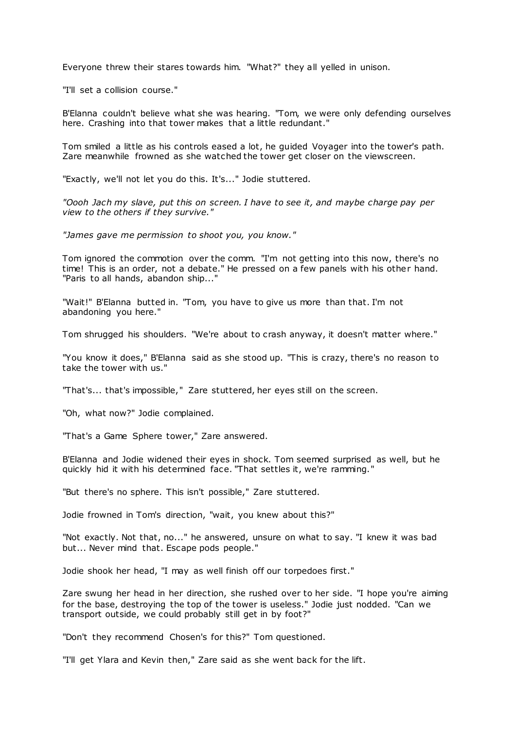Everyone threw their stares towards him. "What?" they all yelled in unison.

"I'll set a collision course."

B'Elanna couldn't believe what she was hearing. "Tom, we were only defending ourselves here. Crashing into that tower makes that a little redundant."

Tom smiled a little as his controls eased a lot, he guided Voyager into the tower's path. Zare meanwhile frowned as she watched the tower get closer on the viewscreen.

"Exactly, we'll not let you do this. It's..." Jodie stuttered.

*"Oooh Jach my slave, put this on screen. I have to see it, and maybe charge pay per view to the others if they survive."*

*"James gave me permission to shoot you, you know."*

Tom ignored the commotion over the comm. "I'm not getting into this now, there's no time! This is an order, not a debate." He pressed on a few panels with his other hand. "Paris to all hands, abandon ship..."

"Wait!" B'Elanna butted in. "Tom, you have to give us more than that. I'm not abandoning you here."

Tom shrugged his shoulders. "We're about to crash anyway, it doesn't matter where."

"You know it does," B'Elanna said as she stood up. "This is crazy, there's no reason to take the tower with us."

"That's... that's impossible," Zare stuttered, her eyes still on the screen.

"Oh, what now?" Jodie complained.

"That's a Game Sphere tower," Zare answered.

B'Elanna and Jodie widened their eyes in shock. Tom seemed surprised as well, but he quickly hid it with his determined face. "That settles it, we're ramming."

"But there's no sphere. This isn't possible," Zare stuttered.

Jodie frowned in Tom's direction, "wait, you knew about this?"

"Not exactly. Not that, no..." he answered, unsure on what to say. "I knew it was bad but... Never mind that. Escape pods people."

Jodie shook her head, "I may as well finish off our torpedoes first."

Zare swung her head in her direction, she rushed over to her side. "I hope you're aiming for the base, destroying the top of the tower is useless." Jodie just nodded. "Can we transport outside, we could probably still get in by foot?"

"Don't they recommend Chosen's for this?" Tom questioned.

"I'll get Ylara and Kevin then," Zare said as she went back for the lift.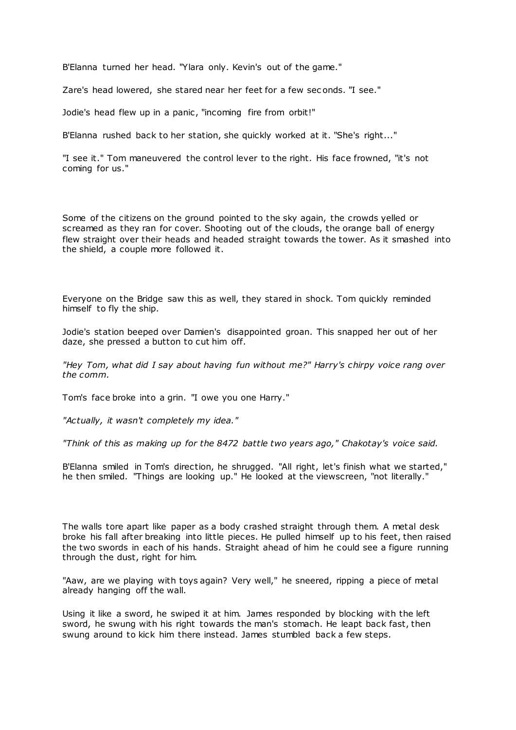B'Elanna turned her head. "Ylara only. Kevin's out of the game."

Zare's head lowered, she stared near her feet for a few sec onds. "I see."

Jodie's head flew up in a panic, "incoming fire from orbit!"

B'Elanna rushed back to her station, she quickly worked at it. "She's right..."

"I see it." Tom maneuvered the control lever to the right. His face frowned, "it's not coming for us."

Some of the citizens on the ground pointed to the sky again, the crowds yelled or screamed as they ran for cover. Shooting out of the clouds, the orange ball of energy flew straight over their heads and headed straight towards the tower. As it smashed into the shield, a couple more followed it.

Everyone on the Bridge saw this as well, they stared in shock. Tom quickly reminded himself to fly the ship.

Jodie's station beeped over Damien's disappointed groan. This snapped her out of her daze, she pressed a button to cut him off.

*"Hey Tom, what did I say about having fun without me?" Harry's chirpy voice rang over the comm.*

Tom's face broke into a grin. "I owe you one Harry."

*"Actually, it wasn't completely my idea."*

*"Think of this as making up for the 8472 battle two years ago," Chakotay's voice said.*

B'Elanna smiled in Tom's direction, he shrugged. "All right, let's finish what we started," he then smiled. "Things are looking up." He looked at the viewscreen, "not literally."

The walls tore apart like paper as a body crashed straight through them. A metal desk broke his fall after breaking into little pieces. He pulled himself up to his feet, then raised the two swords in each of his hands. Straight ahead of him he could see a figure running through the dust, right for him.

"Aaw, are we playing with toys again? Very well," he sneered, ripping a piece of metal already hanging off the wall.

Using it like a sword, he swiped it at him. James responded by blocking with the left sword, he swung with his right towards the man's stomach. He leapt back fast, then swung around to kick him there instead. James stumbled back a few steps.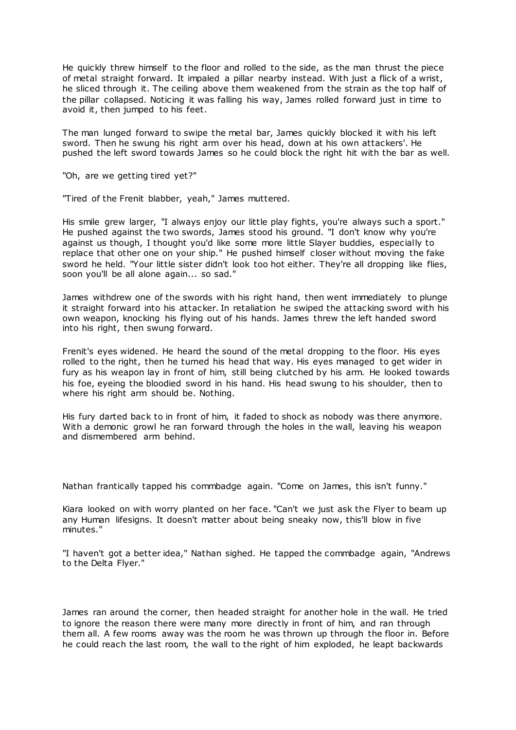He quickly threw himself to the floor and rolled to the side, as the man thrust the piece of metal straight forward. It impaled a pillar nearby instead. With just a flick of a wrist, he sliced through it. The ceiling above them weakened from the strain as the top half of the pillar collapsed. Noticing it was falling his way, James rolled forward just in time to avoid it, then jumped to his feet.

The man lunged forward to swipe the metal bar, James quickly blocked it with his left sword. Then he swung his right arm over his head, down at his own attackers'. He pushed the left sword towards James so he could block the right hit with the bar as well.

"Oh, are we getting tired yet?"

"Tired of the Frenit blabber, yeah," James muttered.

His smile grew larger, "I always enjoy our little play fights, you're always such a sport." He pushed against the two swords, James stood his ground. "I don't know why you're against us though, I thought you'd like some more little Slayer buddies, especially to replace that other one on your ship." He pushed himself closer without moving the fake sword he held. "Your little sister didn't look too hot either. They're all dropping like flies, soon you'll be all alone again... so sad."

James withdrew one of the swords with his right hand, then went immediately to plunge it straight forward into his attacker. In retaliation he swiped the attacking sword with his own weapon, knocking his flying out of his hands. James threw the left handed sword into his right, then swung forward.

Frenit's eyes widened. He heard the sound of the metal dropping to the floor. His eyes rolled to the right, then he turned his head that way. His eyes managed to get wider in fury as his weapon lay in front of him, still being clutched by his arm. He looked towards his foe, eyeing the bloodied sword in his hand. His head swung to his shoulder, then to where his right arm should be. Nothing.

His fury darted back to in front of him, it faded to shock as nobody was there anymore. With a demonic growl he ran forward through the holes in the wall, leaving his weapon and dismembered arm behind.

Nathan frantically tapped his commbadge again. "Come on James, this isn't funny."

Kiara looked on with worry planted on her face. "Can't we just ask the Flyer to beam up any Human lifesigns. It doesn't matter about being sneaky now, this'll blow in five minutes."

"I haven't got a better idea," Nathan sighed. He tapped the commbadge again, "Andrews to the Delta Flyer."

James ran around the corner, then headed straight for another hole in the wall. He tried to ignore the reason there were many more directly in front of him, and ran through them all. A few rooms away was the room he was thrown up through the floor in. Before he could reach the last room, the wall to the right of him exploded, he leapt backwards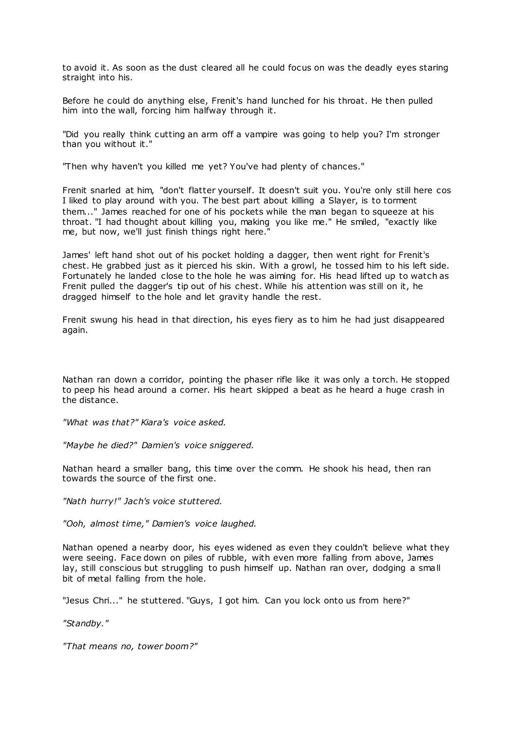to avoid it. As soon as the dust cleared all he could focus on was the deadly eyes staring straight into his.

Before he could do anything else, Frenit's hand lunched for his throat. He then pulled him into the wall, forcing him halfway through it.

"Did you really think cutting an arm off a vampire was going to help you? I'm stronger than you without it."

"Then why haven't you killed me yet? You've had plenty of chances."

Frenit snarled at him, "don't flatter yourself. It doesn't suit you. You're only still here cos I liked to play around with you. The best part about killing a Slayer, is to torment them..." James reached for one of his pockets while the man began to squeeze at his throat. "I had thought about killing you, making you like me." He smiled, "exactly like me, but now, we'll just finish things right here."

James' left hand shot out of his pocket holding a dagger, then went right for Frenit's chest. He grabbed just as it pierced his skin. With a growl, he tossed him to his left side. Fortunately he landed close to the hole he was aiming for. His head lifted up to watch as Frenit pulled the dagger's tip out of his chest. While his attention was still on it, he dragged himself to the hole and let gravity handle the rest.

Frenit swung his head in that direction, his eyes fiery as to him he had just disappeared again.

Nathan ran down a corridor, pointing the phaser rifle like it was only a torch. He stopped to peep his head around a corner. His heart skipped a beat as he heard a huge crash in the distance.

*"What was that?" Kiara's voice asked.*

*"Maybe he died?" Damien's voice sniggered.*

Nathan heard a smaller bang, this time over the comm. He shook his head, then ran towards the source of the first one.

*"Nath hurry!" Jach's voice stuttered.*

*"Ooh, almost time," Damien's voice laughed.*

Nathan opened a nearby door, his eyes widened as even they couldn't believe what they were seeing. Face down on piles of rubble, with even more falling from above, James lay, still conscious but struggling to push himself up. Nathan ran over, dodging a small bit of metal falling from the hole.

"Jesus Chri..." he stuttered. "Guys, I got him. Can you lock onto us from here?"

*"Standby."*

*"That means no, tower boom?"*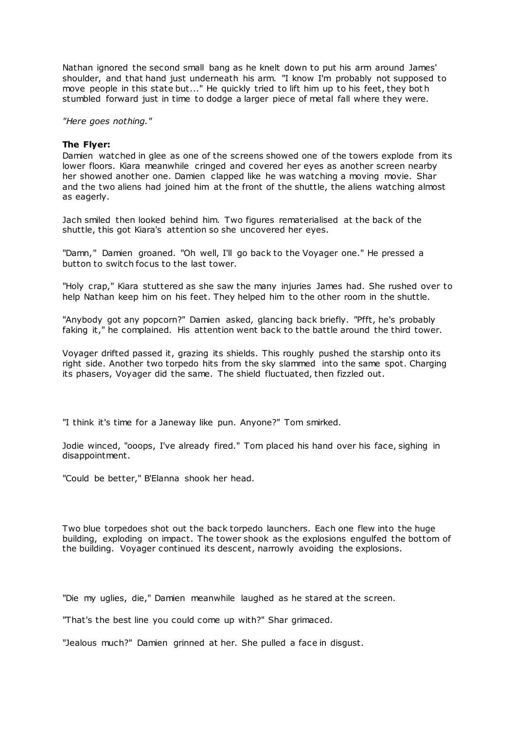Nathan ignored the second small bang as he knelt down to put his arm around James' shoulder, and that hand just underneath his arm. "I know I'm probably not supposed to move people in this state but..." He quickly tried to lift him up to his feet, they bot h stumbled forward just in time to dodge a larger piece of metal fall where they were.

*"Here goes nothing."*

### **The Flyer:**

Damien watched in glee as one of the screens showed one of the towers explode from its lower floors. Kiara meanwhile cringed and covered her eyes as another screen nearby her showed another one. Damien clapped like he was watching a moving movie. Shar and the two aliens had joined him at the front of the shuttle, the aliens watching almost as eagerly.

Jach smiled then looked behind him. Two figures rematerialised at the back of the shuttle, this got Kiara's attention so she uncovered her eyes.

"Damn," Damien groaned. "Oh well, I'll go back to the Voyager one." He pressed a button to switch focus to the last tower.

"Holy crap," Kiara stuttered as she saw the many injuries James had. She rushed over to help Nathan keep him on his feet. They helped him to the other room in the shuttle.

"Anybody got any popcorn?" Damien asked, glancing back briefly. "Pfft, he's probably faking it," he complained. His attention went back to the battle around the third tower.

Voyager drifted passed it, grazing its shields. This roughly pushed the starship onto its right side. Another two torpedo hits from the sky slammed into the same spot. Charging its phasers, Voyager did the same. The shield fluctuated, then fizzled out.

"I think it's time for a Janeway like pun. Anyone?" Tom smirked.

Jodie winced, "ooops, I've already fired." Tom placed his hand over his face, sighing in disappointment.

"Could be better," B'Elanna shook her head.

Two blue torpedoes shot out the back torpedo launchers. Each one flew into the huge building, exploding on impact. The tower shook as the explosions engulfed the bottom of the building. Voyager continued its descent, narrowly avoiding the explosions.

"Die my uglies, die," Damien meanwhile laughed as he stared at the screen.

"That's the best line you could come up with?" Shar grimaced.

"Jealous much?" Damien grinned at her. She pulled a face in disgust.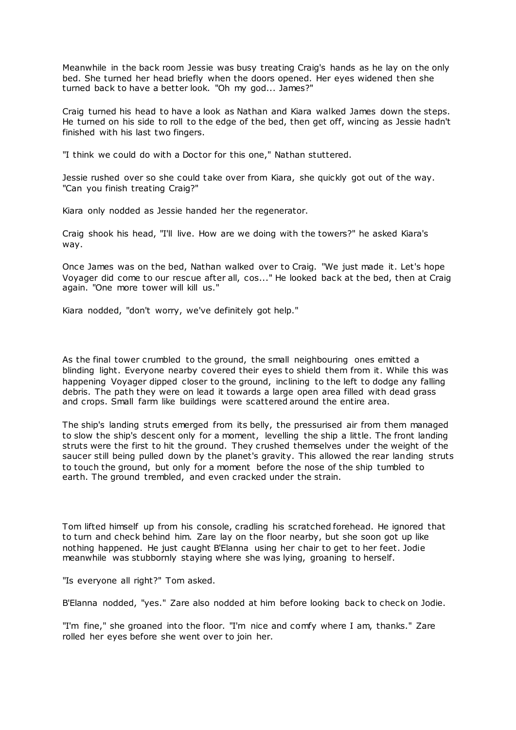Meanwhile in the back room Jessie was busy treating Craig's hands as he lay on the only bed. She turned her head briefly when the doors opened. Her eyes widened then she turned back to have a better look. "Oh my god... James?"

Craig turned his head to have a look as Nathan and Kiara walked James down the steps. He turned on his side to roll to the edge of the bed, then get off, wincing as Jessie hadn't finished with his last two fingers.

"I think we could do with a Doctor for this one," Nathan stuttered.

Jessie rushed over so she could take over from Kiara, she quickly got out of the way. "Can you finish treating Craig?"

Kiara only nodded as Jessie handed her the regenerator.

Craig shook his head, "I'll live. How are we doing with the towers?" he asked Kiara's way.

Once James was on the bed, Nathan walked over to Craig. "We just made it. Let's hope Voyager did come to our rescue after all, cos..." He looked back at the bed, then at Craig again. "One more tower will kill us."

Kiara nodded, "don't worry, we've definitely got help."

As the final tower crumbled to the ground, the small neighbouring ones emitted a blinding light. Everyone nearby covered their eyes to shield them from it. While this was happening Voyager dipped closer to the ground, inclining to the left to dodge any falling debris. The path they were on lead it towards a large open area filled with dead grass and crops. Small farm like buildings were scattered around the entire area.

The ship's landing struts emerged from its belly, the pressurised air from them managed to slow the ship's descent only for a moment, levelling the ship a little. The front landing struts were the first to hit the ground. They crushed themselves under the weight of the saucer still being pulled down by the planet's gravity. This allowed the rear landing struts to touch the ground, but only for a moment before the nose of the ship tumbled to earth. The ground trembled, and even cracked under the strain.

Tom lifted himself up from his console, cradling his scratched forehead. He ignored that to turn and check behind him. Zare lay on the floor nearby, but she soon got up like nothing happened. He just caught B'Elanna using her chair to get to her feet. Jodie meanwhile was stubbornly staying where she was lying, groaning to herself.

"Is everyone all right?" Tom asked.

B'Elanna nodded, "yes." Zare also nodded at him before looking back to check on Jodie.

"I'm fine," she groaned into the floor. "I'm nice and comfy where I am, thanks." Zare rolled her eyes before she went over to join her.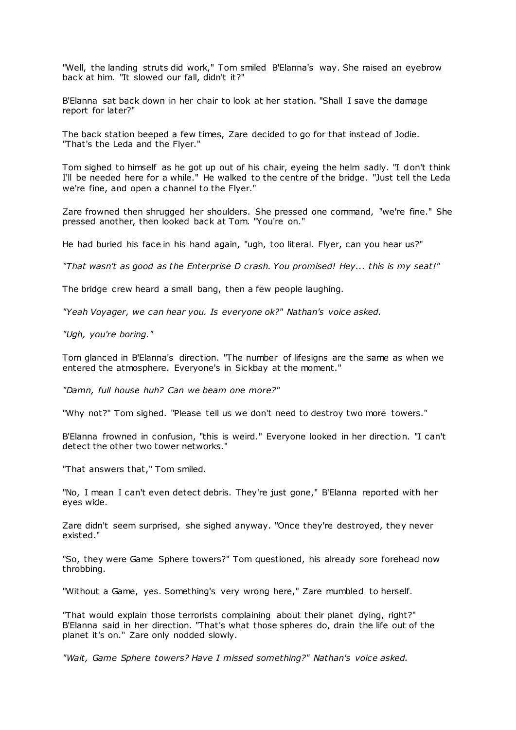"Well, the landing struts did work," Tom smiled B'Elanna's way. She raised an eyebrow back at him. "It slowed our fall, didn't it?"

B'Elanna sat back down in her chair to look at her station. "Shall I save the damage report for later?"

The back station beeped a few times, Zare decided to go for that instead of Jodie. "That's the Leda and the Flyer."

Tom sighed to himself as he got up out of his chair, eyeing the helm sadly. "I don't think I'll be needed here for a while." He walked to the centre of the bridge. "Just tell the Leda we're fine, and open a channel to the Flyer."

Zare frowned then shrugged her shoulders. She pressed one command, "we're fine." She pressed another, then looked back at Tom. "You're on."

He had buried his face in his hand again, "ugh, too literal. Flyer, can you hear us?"

*"That wasn't as good as the Enterprise D crash. You promised! Hey... this is my seat!"*

The bridge crew heard a small bang, then a few people laughing.

*"Yeah Voyager, we can hear you. Is everyone ok?" Nathan's voice asked.*

*"Ugh, you're boring."*

Tom glanced in B'Elanna's direction. "The number of lifesigns are the same as when we entered the atmosphere. Everyone's in Sickbay at the moment."

*"Damn, full house huh? Can we beam one more?"*

"Why not?" Tom sighed. "Please tell us we don't need to destroy two more towers."

B'Elanna frowned in confusion, "this is weird." Everyone looked in her direction. "I can't detect the other two tower networks."

"That answers that," Tom smiled.

"No, I mean I can't even detect debris. They're just gone," B'Elanna reported with her eyes wide.

Zare didn't seem surprised, she sighed anyway. "Once they're destroyed, they never existed."

"So, they were Game Sphere towers?" Tom questioned, his already sore forehead now throbbing.

"Without a Game, yes. Something's very wrong here," Zare mumbled to herself.

"That would explain those terrorists complaining about their planet dying, right?" B'Elanna said in her direction. "That's what those spheres do, drain the life out of the planet it's on." Zare only nodded slowly.

*"Wait, Game Sphere towers? Have I missed something?" Nathan's voice asked.*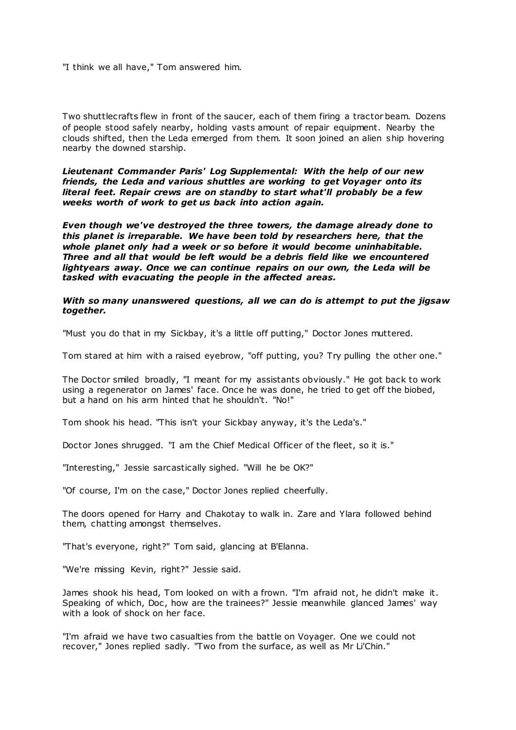"I think we all have," Tom answered him.

Two shuttlecrafts flew in front of the saucer, each of them firing a tractor beam. Dozens of people stood safely nearby, holding vasts amount of repair equipment. Nearby the clouds shifted, then the Leda emerged from them. It soon joined an alien ship hovering nearby the downed starship.

*Lieutenant Commander Paris' Log Supplemental: With the help of our new friends, the Leda and various shuttles are working to get Voyager onto its literal feet. Repair crews are on standby to start what'll probably be a few weeks worth of work to get us back into action again.*

*Even though we've destroyed the three towers, the damage already done to this planet is irreparable. We have been told by researchers here, that the whole planet only had a week or so before it would become uninhabitable. Three and all that would be left would be a debris field like we encountered lightyears away. Once we can continue repairs on our own, the Leda will be tasked with evacuating the people in the affected areas.*

# *With so many unanswered questions, all we can do is attempt to put the jigsaw together.*

"Must you do that in my Sickbay, it's a little off putting," Doctor Jones muttered.

Tom stared at him with a raised eyebrow, "off putting, you? Try pulling the other one."

The Doctor smiled broadly, "I meant for my assistants obviously." He got back to work using a regenerator on James' face. Once he was done, he tried to get off the biobed, but a hand on his arm hinted that he shouldn't. "No!"

Tom shook his head. "This isn't your Sickbay anyway, it's the Leda's."

Doctor Jones shrugged. "I am the Chief Medical Officer of the fleet, so it is."

"Interesting," Jessie sarcastically sighed. "Will he be OK?"

"Of course, I'm on the case," Doctor Jones replied cheerfully.

The doors opened for Harry and Chakotay to walk in. Zare and Ylara followed behind them, chatting amongst themselves.

"That's everyone, right?" Tom said, glancing at B'Elanna.

"We're missing Kevin, right?" Jessie said.

James shook his head, Tom looked on with a frown. "I'm afraid not, he didn't make it. Speaking of which, Doc, how are the trainees?" Jessie meanwhile glanced James' way with a look of shock on her face.

"I'm afraid we have two casualties from the battle on Voyager. One we could not recover," Jones replied sadly. "Two from the surface, as well as Mr Li'Chin."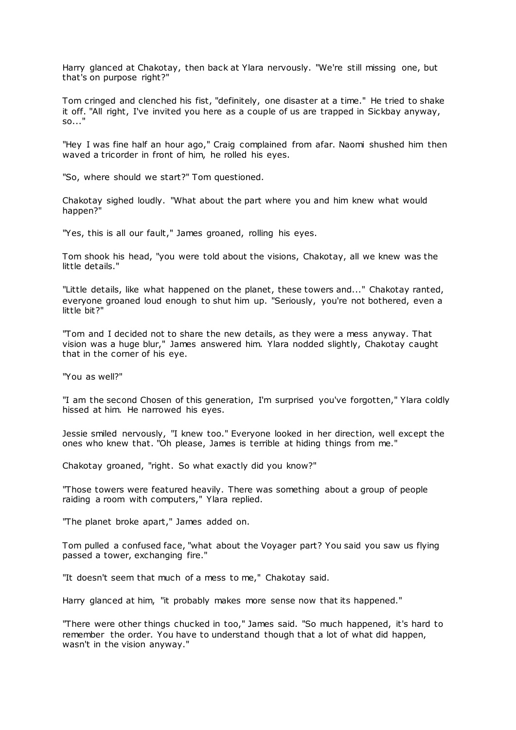Harry glanced at Chakotay, then back at Ylara nervously. "We're still missing one, but that's on purpose right?"

Tom cringed and clenched his fist, "definitely, one disaster at a time." He tried to shake it off. "All right, I've invited you here as a couple of us are trapped in Sickbay anyway, so..."

"Hey I was fine half an hour ago," Craig complained from afar. Naomi shushed him then waved a tricorder in front of him, he rolled his eyes.

"So, where should we start?" Tom questioned.

Chakotay sighed loudly. "What about the part where you and him knew what would happen?"

"Yes, this is all our fault," James groaned, rolling his eyes.

Tom shook his head, "you were told about the visions, Chakotay, all we knew was the little details."

"Little details, like what happened on the planet, these towers and..." Chakotay ranted, everyone groaned loud enough to shut him up. "Seriously, you're not bothered, even a little bit?"

"Tom and I decided not to share the new details, as they were a mess anyway. That vision was a huge blur," James answered him. Ylara nodded slightly, Chakotay caught that in the corner of his eye.

"You as well?"

"I am the second Chosen of this generation, I'm surprised you've forgotten," Ylara coldly hissed at him. He narrowed his eyes.

Jessie smiled nervously, "I knew too." Everyone looked in her direction, well except the ones who knew that. "Oh please, James is terrible at hiding things from me."

Chakotay groaned, "right. So what exactly did you know?"

"Those towers were featured heavily. There was something about a group of people raiding a room with computers," Ylara replied.

"The planet broke apart," James added on.

Tom pulled a confused face, "what about the Voyager part? You said you saw us flying passed a tower, exchanging fire."

"It doesn't seem that much of a mess to me," Chakotay said.

Harry glanced at him, "it probably makes more sense now that its happened."

"There were other things chucked in too," James said. "So much happened, it's hard to remember the order. You have to understand though that a lot of what did happen, wasn't in the vision anyway."